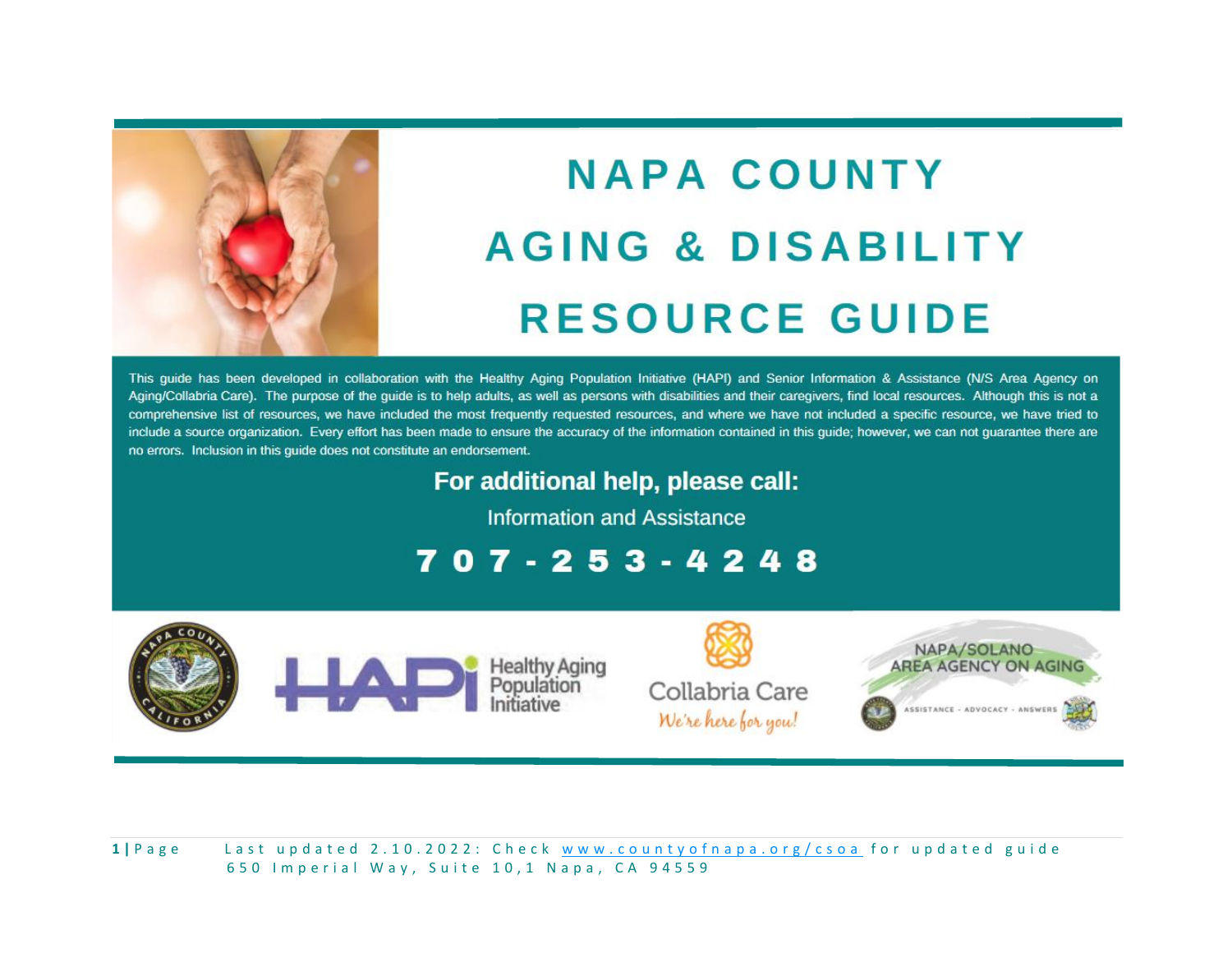

# **NAPA COUNTY AGING & DISABILITY RESOURCE GUIDE**

This guide has been developed in collaboration with the Healthy Aging Population Initiative (HAPI) and Senior Information & Assistance (N/S Area Agency on Aging/Collabria Care). The purpose of the guide is to help adults, as well as persons with disabilities and their caregivers, find local resources. Although this is not a comprehensive list of resources, we have included the most frequently requested resources, and where we have not included a specific resource, we have tried to include a source organization. Every effort has been made to ensure the accuracy of the information contained in this guide; however, we can not guarantee there are no errors. Inclusion in this guide does not constitute an endorsement.

For additional help, please call:

**Information and Assistance** 

707-253-4248





Healthy A<br>Populatio



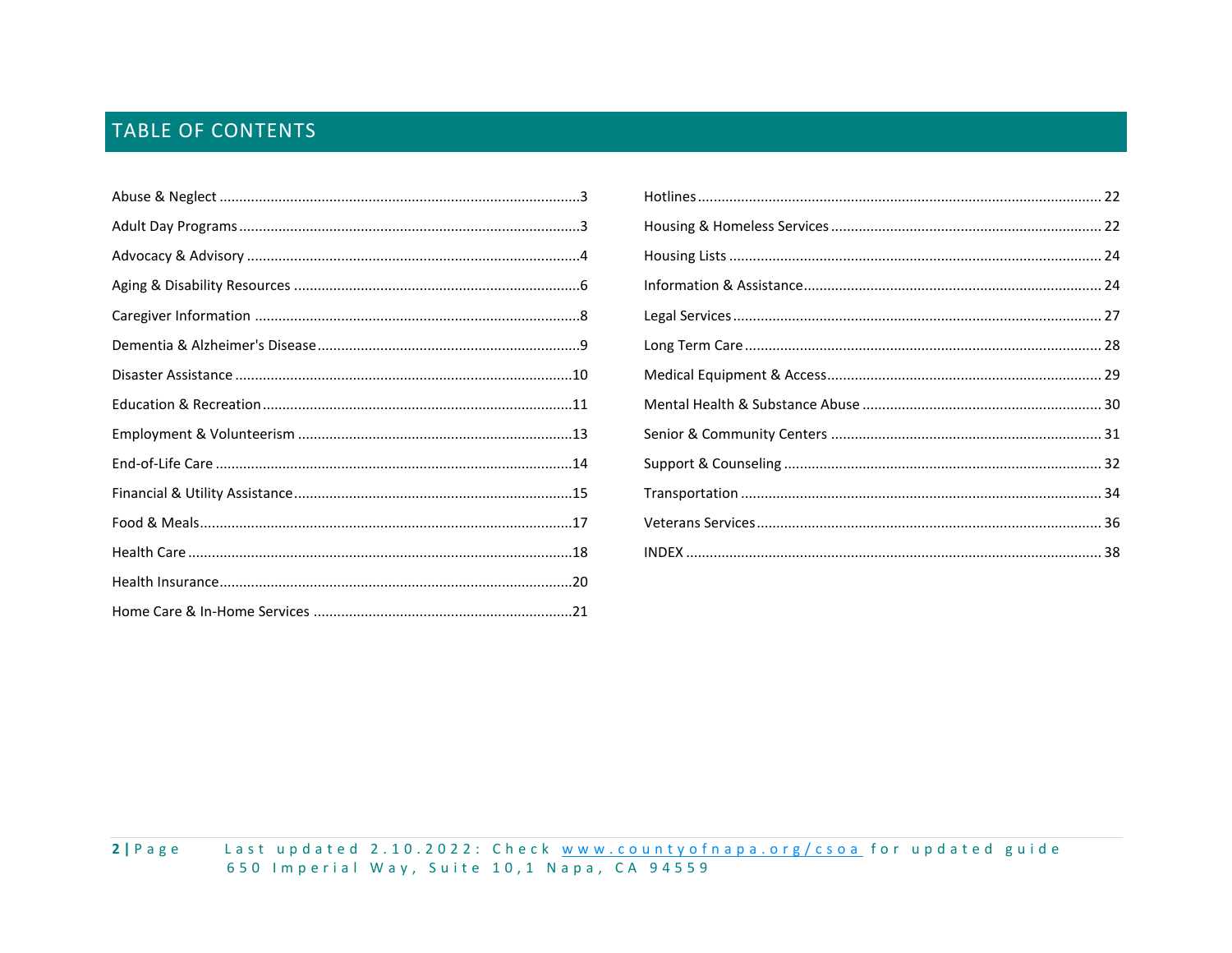# **TABLE OF CONTENTS**

| . . 3 |  |
|-------|--|
| 3     |  |
| . 4   |  |
| . 6   |  |
| 8     |  |
| . . 9 |  |
| 10    |  |
| 11    |  |
| 13    |  |
| 14    |  |
| 15    |  |
| 17    |  |
| 18    |  |
|       |  |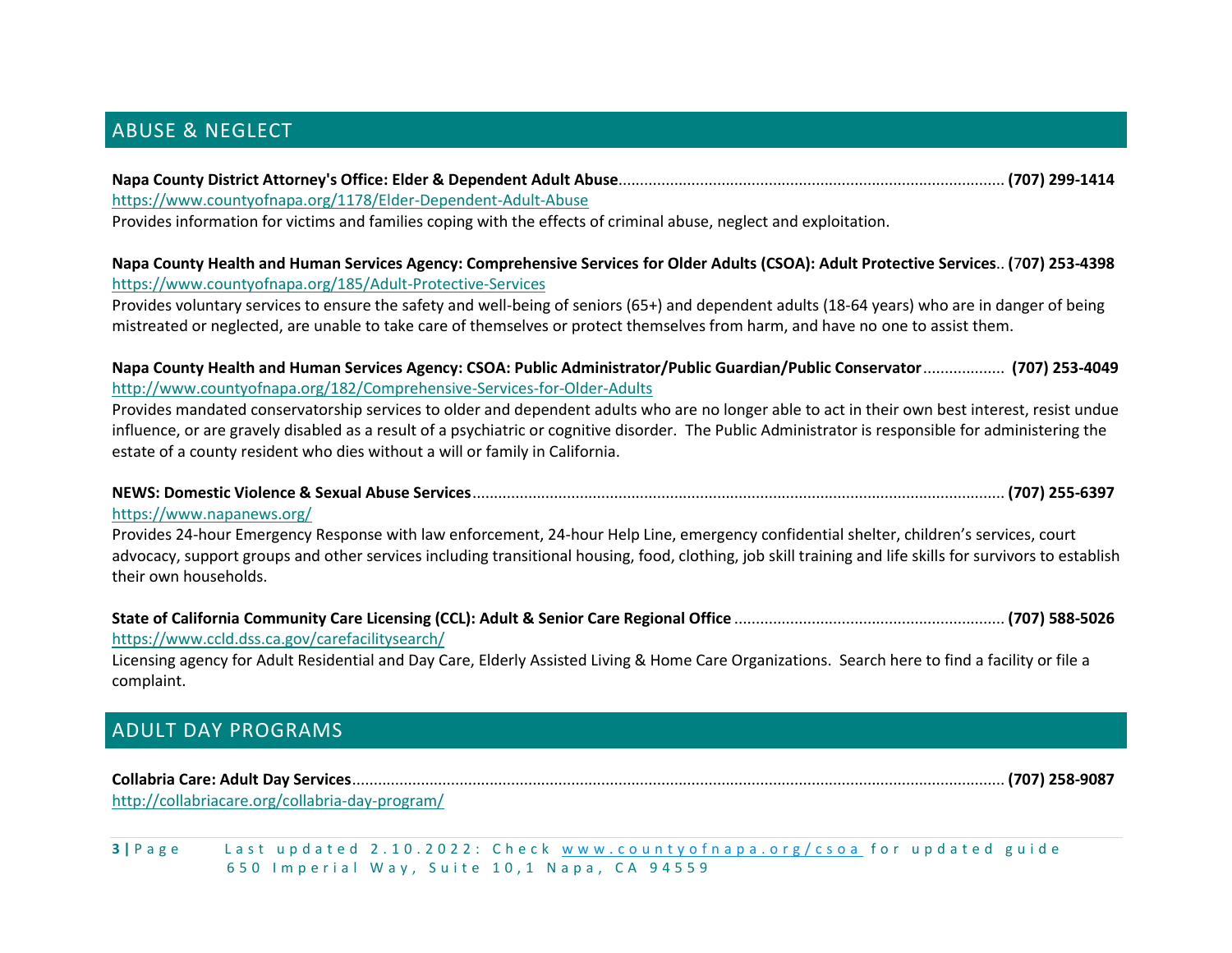# <span id="page-2-0"></span>ABUSE & NEGLECT

### **Napa County District Attorney's Office: Elder & Dependent Adult Abuse**.......................................................................................... **(707) 299-1414** <https://www.countyofnapa.org/1178/Elder-Dependent-Adult-Abuse>

Provides information for victims and families coping with the effects of criminal abuse, neglect and exploitation.

#### **Napa County Health and Human Services Agency: Comprehensive Services for Older Adults (CSOA): Adult Protective Services**.. **(**7**07) 253-4398** <https://www.countyofnapa.org/185/Adult-Protective-Services>

Provides voluntary services to ensure the safety and well-being of seniors (65+) and dependent adults (18-64 years) who are in danger of being mistreated or neglected, are unable to take care of themselves or protect themselves from harm, and have no one to assist them.

#### **Napa County Health and Human Services Agency: CSOA: Public Administrator/Public Guardian/Public Conservator**................... **(707) 253-4049** <http://www.countyofnapa.org/182/Comprehensive-Services-for-Older-Adults>

Provides mandated conservatorship services to older and dependent adults who are no longer able to act in their own best interest, resist undue influence, or are gravely disabled as a result of a psychiatric or cognitive disorder. The Public Administrator is responsible for administering the estate of a county resident who dies without a will or family in California.

# **NEWS: Domestic Violence & Sexual Abuse Services**............................................................................................................................ **(707) 255-6397**

#### <https://www.napanews.org/>

Provides 24-hour Emergency Response with law enforcement, 24-hour Help Line, emergency confidential shelter, children's services, court advocacy, support groups and other services including transitional housing, food, clothing, job skill training and life skills for survivors to establish their own households.

#### **State of California Community Care Licensing (CCL): Adult & Senior Care Regional Office** ............................................................... **(707) 588-5026** <https://www.ccld.dss.ca.gov/carefacilitysearch/>

Licensing agency for Adult Residential and Day Care, Elderly Assisted Living & Home Care Organizations. Search here to find a facility or file a complaint.

# <span id="page-2-1"></span>ADULT DAY PROGRAMS

**Collabria Care: Adult Day Services**........................................................................................................................................................ **(707) 258-9087** <http://collabriacare.org/collabria-day-program/>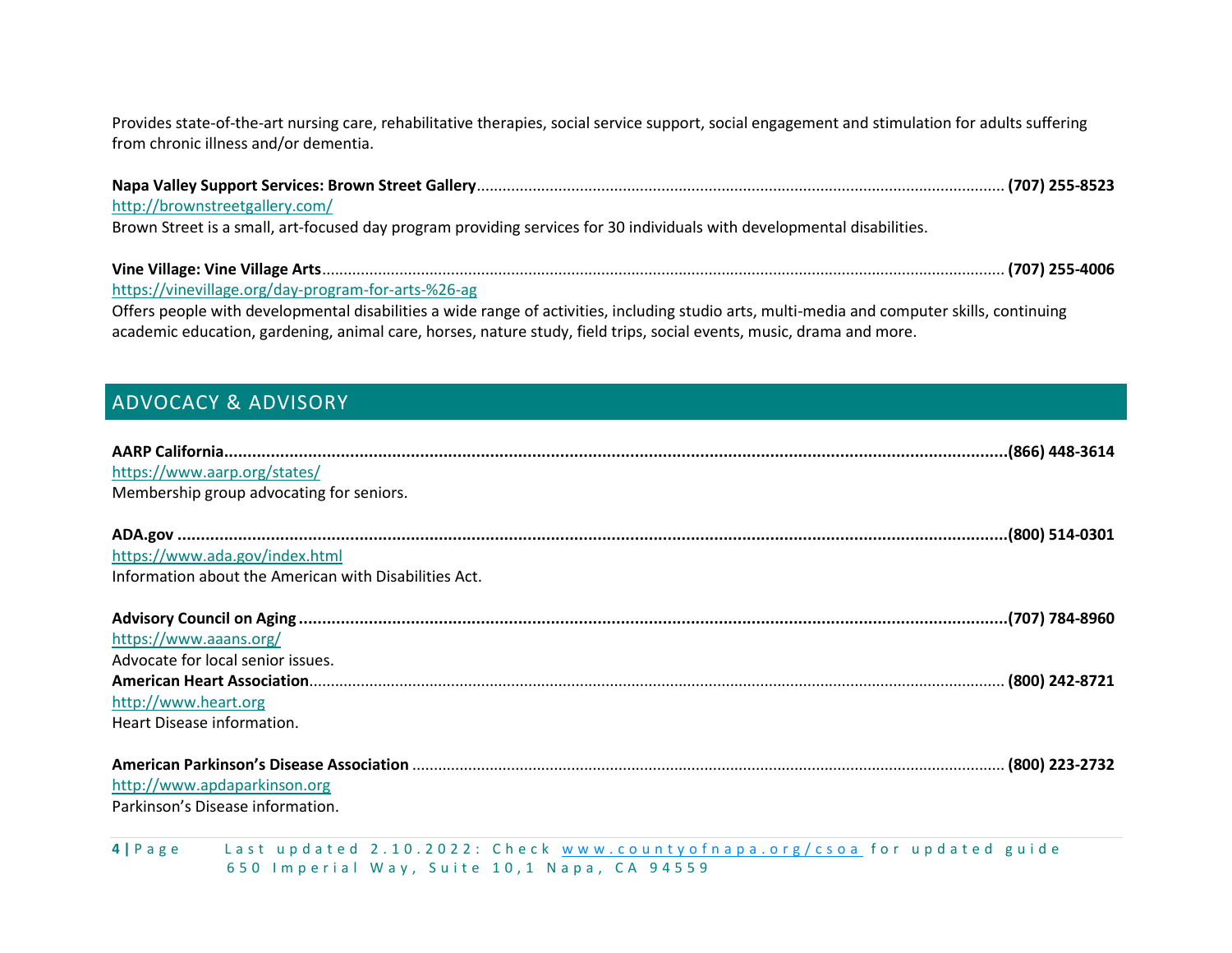Provides state-of-the-art nursing care, rehabilitative therapies, social service support, social engagement and stimulation for adults suffering from chronic illness and/or dementia.

| http://brownstreetgallery.com/                                                                                                               |  |
|----------------------------------------------------------------------------------------------------------------------------------------------|--|
| Brown Street is a small, art-focused day program providing services for 30 individuals with developmental disabilities.                      |  |
|                                                                                                                                              |  |
|                                                                                                                                              |  |
| https://vinevillage.org/day-program-for-arts-%26-ag                                                                                          |  |
| Offers people with developmental disabilities a wide range of activities, including studio arts, multi-media and computer skills, continuing |  |
| academic education, gardening, animal care, horses, nature study, field trips, social events, music, drama and more.                         |  |

# <span id="page-3-0"></span>ADVOCACY & ADVISORY

| https://www.aarp.org/states/<br>Membership group advocating for seniors. |
|--------------------------------------------------------------------------|
|                                                                          |
| https://www.ada.gov/index.html                                           |
| Information about the American with Disabilities Act.                    |
|                                                                          |
| https://www.aaans.org/                                                   |
| Advocate for local senior issues.                                        |
|                                                                          |
| http://www.heart.org                                                     |
| Heart Disease information.                                               |
| http://www.apdaparkinson.org<br>Parkinson's Disease information.         |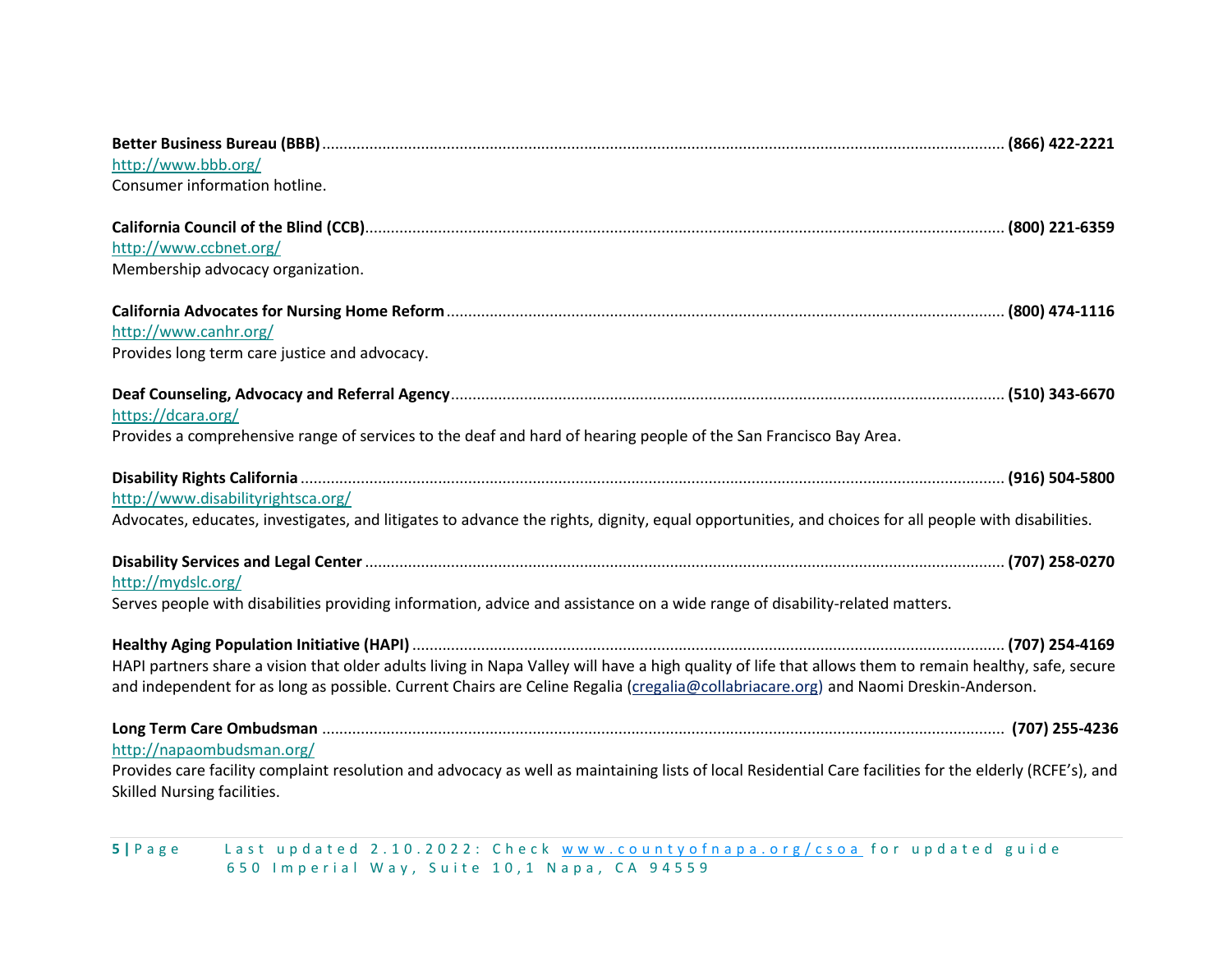| http://www.bbb.org/                                                                                                                                      |
|----------------------------------------------------------------------------------------------------------------------------------------------------------|
| Consumer information hotline.                                                                                                                            |
|                                                                                                                                                          |
|                                                                                                                                                          |
| http://www.ccbnet.org/                                                                                                                                   |
| Membership advocacy organization.                                                                                                                        |
|                                                                                                                                                          |
| http://www.canhr.org/                                                                                                                                    |
|                                                                                                                                                          |
| Provides long term care justice and advocacy.                                                                                                            |
|                                                                                                                                                          |
| https://dcara.org/                                                                                                                                       |
| Provides a comprehensive range of services to the deaf and hard of hearing people of the San Francisco Bay Area.                                         |
|                                                                                                                                                          |
|                                                                                                                                                          |
| http://www.disabilityrightsca.org/                                                                                                                       |
| Advocates, educates, investigates, and litigates to advance the rights, dignity, equal opportunities, and choices for all people with disabilities.      |
|                                                                                                                                                          |
|                                                                                                                                                          |
| http://mydslc.org/                                                                                                                                       |
| Serves people with disabilities providing information, advice and assistance on a wide range of disability-related matters.                              |
|                                                                                                                                                          |
|                                                                                                                                                          |
| HAPI partners share a vision that older adults living in Napa Valley will have a high quality of life that allows them to remain healthy, safe, secure   |
| and independent for as long as possible. Current Chairs are Celine Regalia (cregalia@collabriacare.org) and Naomi Dreskin-Anderson.                      |
|                                                                                                                                                          |
|                                                                                                                                                          |
| http://napaombudsman.org/                                                                                                                                |
| Provides care facility complaint resolution and advocacy as well as maintaining lists of local Residential Care facilities for the elderly (RCFE's), and |
| Skilled Nursing facilities.                                                                                                                              |

**5 |** Page Last updated 2.10.2022:Check <u>www.countyofnapa.org/csoa</u> for updated guide 6 5 0 I m p e r i a l W a y , S u i t e 1 0 , 1 N a p a , C A 9 4 5 5 9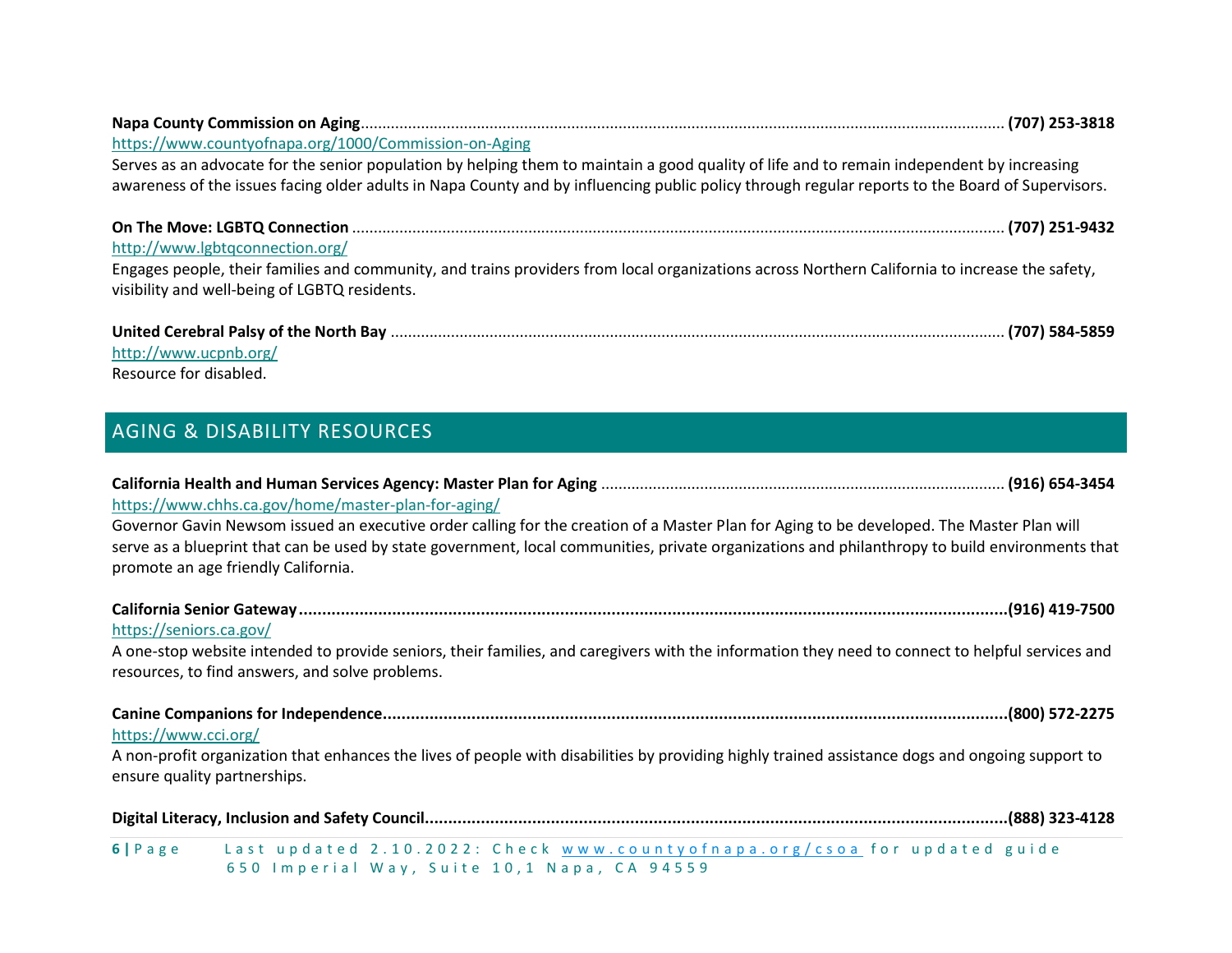| https://www.countyofnapa.org/1000/Commission-on-Aging                                                                                            |
|--------------------------------------------------------------------------------------------------------------------------------------------------|
| Serves as an advocate for the senior population by helping them to maintain a good quality of life and to remain independent by increasing       |
| awareness of the issues facing older adults in Napa County and by influencing public policy through regular reports to the Board of Supervisors. |
|                                                                                                                                                  |
| http://www.lgbtgconnection.org/                                                                                                                  |
| Engages people, their families and community, and trains providers from local organizations across Northern California to increase the safety,   |
| visibility and well-being of LGBTQ residents.                                                                                                    |
|                                                                                                                                                  |
| http://www.ucpnb.org/                                                                                                                            |

Resource for disabled.

# <span id="page-5-0"></span>AGING & DISABILITY RESOURCES

| https://www.chhs.ca.gov/home/master-plan-for-aging/<br>Governor Gavin Newsom issued an executive order calling for the creation of a Master Plan for Aging to be developed. The Master Plan will<br>serve as a blueprint that can be used by state government, local communities, private organizations and philanthropy to build environments that<br>promote an age friendly California. |
|--------------------------------------------------------------------------------------------------------------------------------------------------------------------------------------------------------------------------------------------------------------------------------------------------------------------------------------------------------------------------------------------|
| https://seniors.ca.gov/<br>A one-stop website intended to provide seniors, their families, and caregivers with the information they need to connect to helpful services and<br>resources, to find answers, and solve problems.                                                                                                                                                             |
| https://www.cci.org/<br>A non-profit organization that enhances the lives of people with disabilities by providing highly trained assistance dogs and ongoing support to<br>ensure quality partnerships.                                                                                                                                                                                   |
| 6   Page Last updated 2.10.2022: Check www.countyofnapa.org/csoa for updated guide                                                                                                                                                                                                                                                                                                         |

650 Imperial Way, Suite 10,1 Napa, CA 94559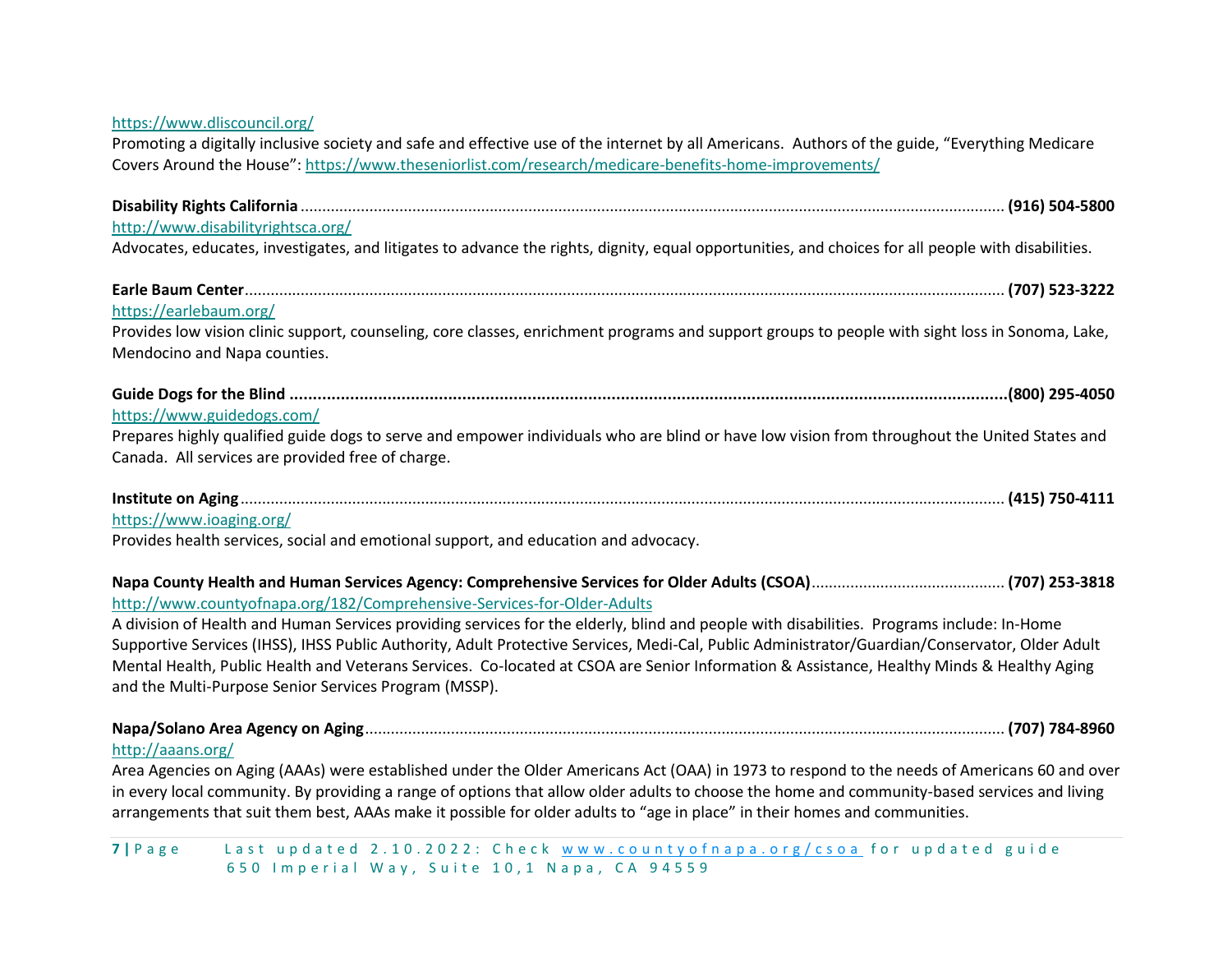| https://www.dliscouncil.org/                                                                                                                        |
|-----------------------------------------------------------------------------------------------------------------------------------------------------|
| Promoting a digitally inclusive society and safe and effective use of the internet by all Americans. Authors of the guide, "Everything Medicare     |
| Covers Around the House": https://www.theseniorlist.com/research/medicare-benefits-home-improvements/                                               |
|                                                                                                                                                     |
|                                                                                                                                                     |
| http://www.disabilityrightsca.org/                                                                                                                  |
| Advocates, educates, investigates, and litigates to advance the rights, dignity, equal opportunities, and choices for all people with disabilities. |
|                                                                                                                                                     |
| https://earlebaum.org/                                                                                                                              |
| Provides low vision clinic support, counseling, core classes, enrichment programs and support groups to people with sight loss in Sonoma, Lake,     |
| Mendocino and Napa counties.                                                                                                                        |
|                                                                                                                                                     |
| https://www.guidedogs.com/                                                                                                                          |
| Prepares highly qualified guide dogs to serve and empower individuals who are blind or have low vision from throughout the United States and        |
| Canada. All services are provided free of charge.                                                                                                   |
|                                                                                                                                                     |
| https://www.ioaging.org/                                                                                                                            |
| Provides health services, social and emotional support, and education and advocacy.                                                                 |
|                                                                                                                                                     |
|                                                                                                                                                     |
| http://www.countyofnapa.org/182/Comprehensive-Services-for-Older-Adults                                                                             |
| A division of Health and Human Services providing services for the elderly, blind and people with disabilities. Programs include: In-Home           |
| Supportive Services (IHSS), IHSS Public Authority, Adult Protective Services, Medi-Cal, Public Administrator/Guardian/Conservator, Older Adult      |
| Mental Health, Public Health and Veterans Services. Co-located at CSOA are Senior Information & Assistance, Healthy Minds & Healthy Aging           |
| and the Multi-Purpose Senior Services Program (MSSP).                                                                                               |
|                                                                                                                                                     |
| http://aaans.org/                                                                                                                                   |
| Area Agencies on Aging (AAAs) were established under the Older Americans Act (OAA) in 1973 to respond to the needs of Americans 60 and over         |
| in every local community. By providing a range of options that allow older adults to choose the home and community-based services and living        |

7 | Page Last updated 2.10.2022: Check www.countyofnapa.org/csoa for updated guide 650 Imperial Way, Suite 10,1 Napa, CA 94559

arrangements that suit them best, AAAs make it possible for older adults to "age in place" in their homes and communities.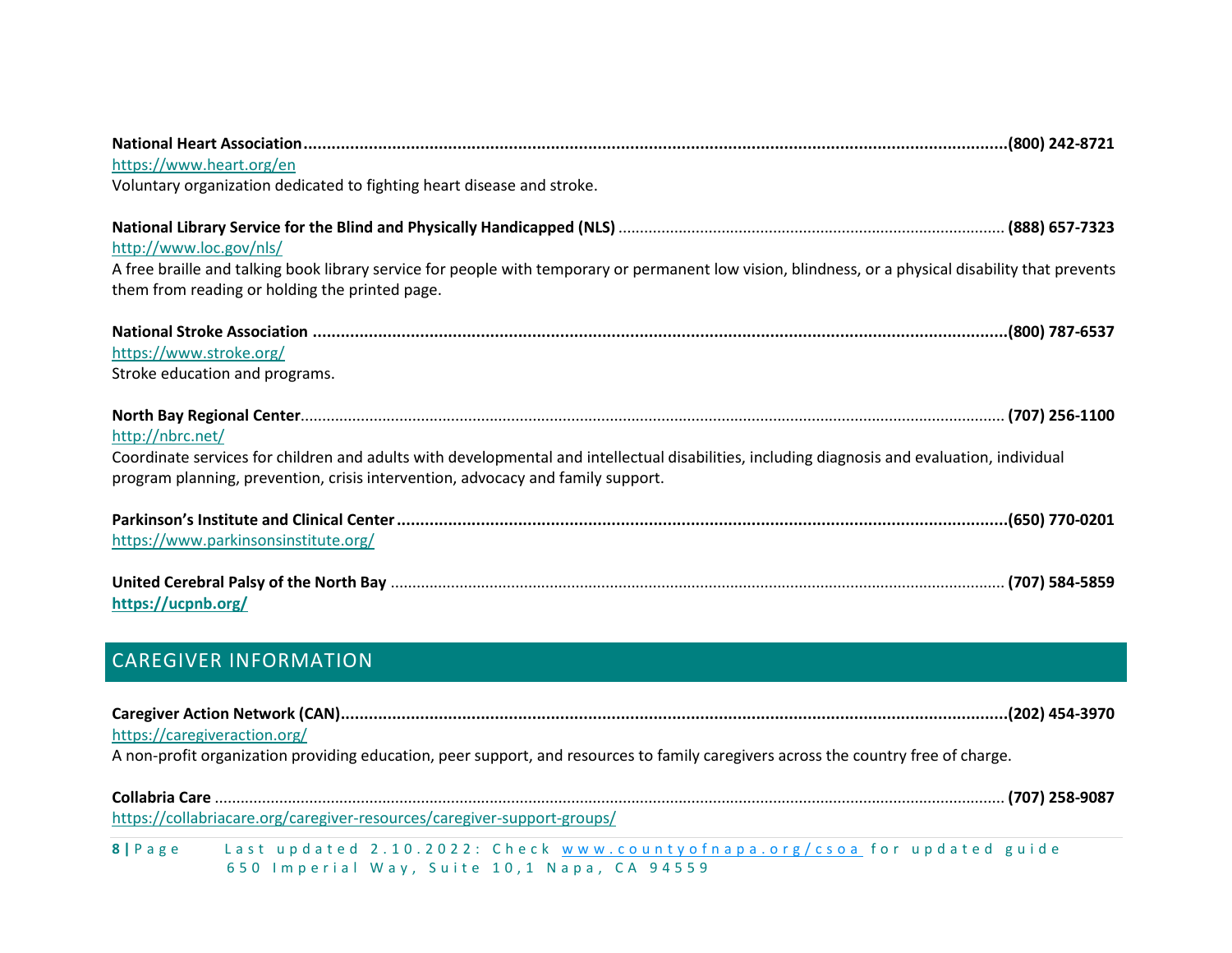| https://www.heart.org/en                                                                                                                                                                                                                            |
|-----------------------------------------------------------------------------------------------------------------------------------------------------------------------------------------------------------------------------------------------------|
| Voluntary organization dedicated to fighting heart disease and stroke.                                                                                                                                                                              |
| http://www.loc.gov/nls/                                                                                                                                                                                                                             |
| A free braille and talking book library service for people with temporary or permanent low vision, blindness, or a physical disability that prevents<br>them from reading or holding the printed page.                                              |
| https://www.stroke.org/<br>Stroke education and programs.                                                                                                                                                                                           |
| http://nbrc.net/<br>Coordinate services for children and adults with developmental and intellectual disabilities, including diagnosis and evaluation, individual<br>program planning, prevention, crisis intervention, advocacy and family support. |
| https://www.parkinsonsinstitute.org/                                                                                                                                                                                                                |
| https://ucpnb.org/                                                                                                                                                                                                                                  |
| <b>CAREGIVER INFORMATION</b>                                                                                                                                                                                                                        |
| https://caregiveraction.org/<br>A non-profit organization providing education, peer support, and resources to family caregivers across the country free of charge.                                                                                  |

<span id="page-7-0"></span>

|        | https://collabriacare.org/caregiver-resources/caregiver-support-groups/      |
|--------|------------------------------------------------------------------------------|
| 8 Page | Last updated $2.10.2022$ : Check www.countyofnapa.org/csoa for updated guide |
|        | 650 Imperial Way, Suite 10,1 Napa, CA 94559                                  |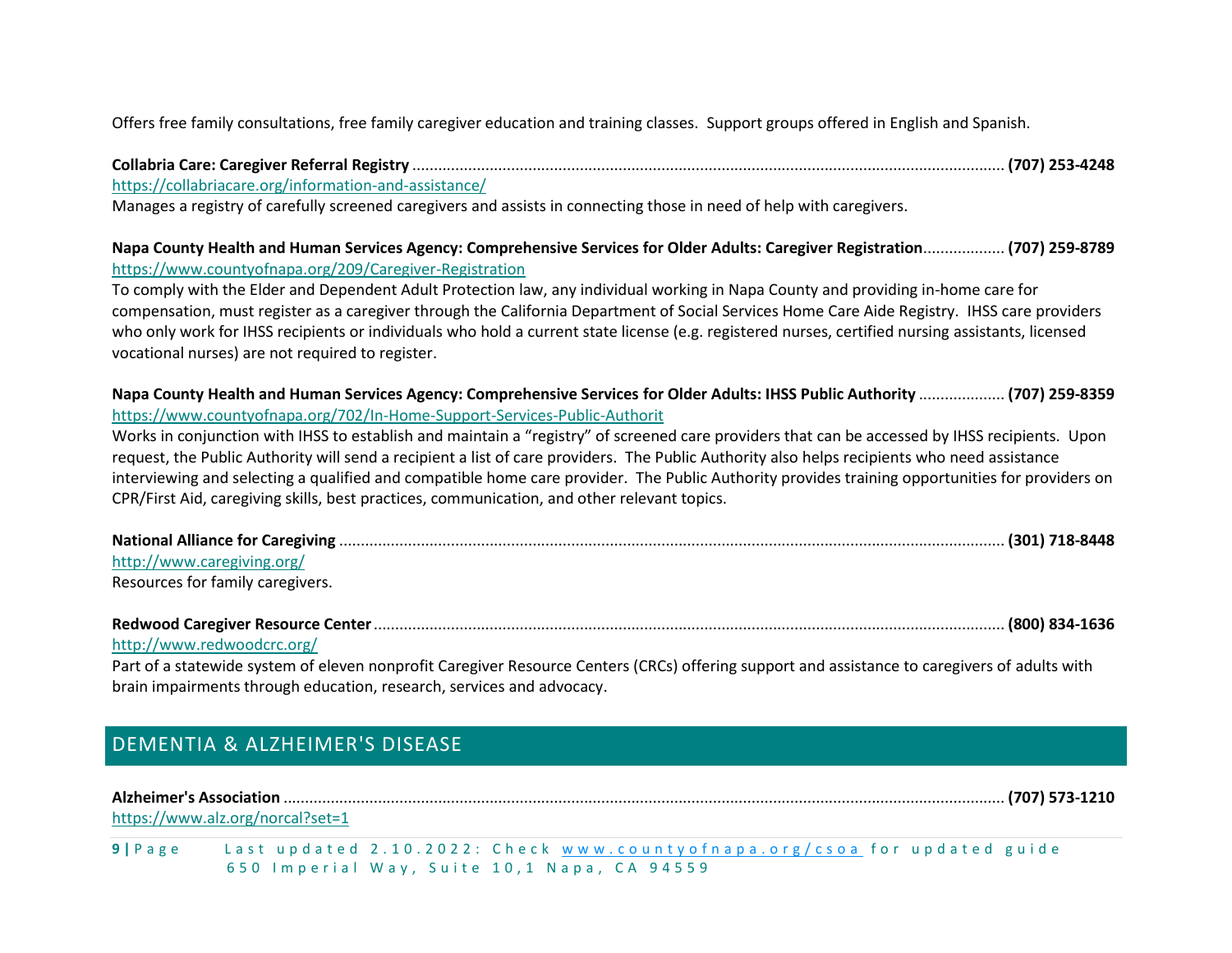Offers free family consultations, free family caregiver education and training classes. Support groups offered in English and Spanish.

**Collabria Care: Caregiver Referral Registry** .......................................................................................................................................... **(707) 253-4248**

<https://collabriacare.org/information-and-assistance/>

Manages a registry of carefully screened caregivers and assists in connecting those in need of help with caregivers.

#### **Napa County Health and Human Services Agency: Comprehensive Services for Older Adults: Caregiver Registration**................... **(707) 259-8789** <https://www.countyofnapa.org/209/Caregiver-Registration>

To comply with the Elder and Dependent Adult Protection law, any individual working in Napa County and providing in-home care for compensation, must register as a caregiver through the California Department of Social Services Home Care Aide Registry. IHSS care providers who only work for IHSS recipients or individuals who hold a current state license (e.g. registered nurses, certified nursing assistants, licensed vocational nurses) are not required to register.

**Napa County Health and Human Services Agency: Comprehensive Services for Older Adults: IHSS Public Authority** .................... **(707) 259-8359** <https://www.countyofnapa.org/702/In-Home-Support-Services-Public-Authorit>

Works in conjunction with IHSS to establish and maintain a "registry" of screened care providers that can be accessed by IHSS recipients. Upon request, the Public Authority will send a recipient a list of care providers. The Public Authority also helps recipients who need assistance interviewing and selecting a qualified and compatible home care provider. The Public Authority provides training opportunities for providers on CPR/First Aid, caregiving skills, best practices, communication, and other relevant topics.

| http://www.caregiving.org/       |  |
|----------------------------------|--|
| Resources for family caregivers. |  |

| http://www.redwoodcrc.org/ |  |
|----------------------------|--|

Part of a statewide system of eleven nonprofit Caregiver Resource Centers (CRCs) offering support and assistance to caregivers of adults with brain impairments through education, research, services and advocacy.

# <span id="page-8-0"></span>DEMENTIA & ALZHEIMER'S DISEASE

**Alzheimer's Association** ........................................................................................................................................................................ **(707) 573-1210**

<https://www.alz.org/norcal?set=1>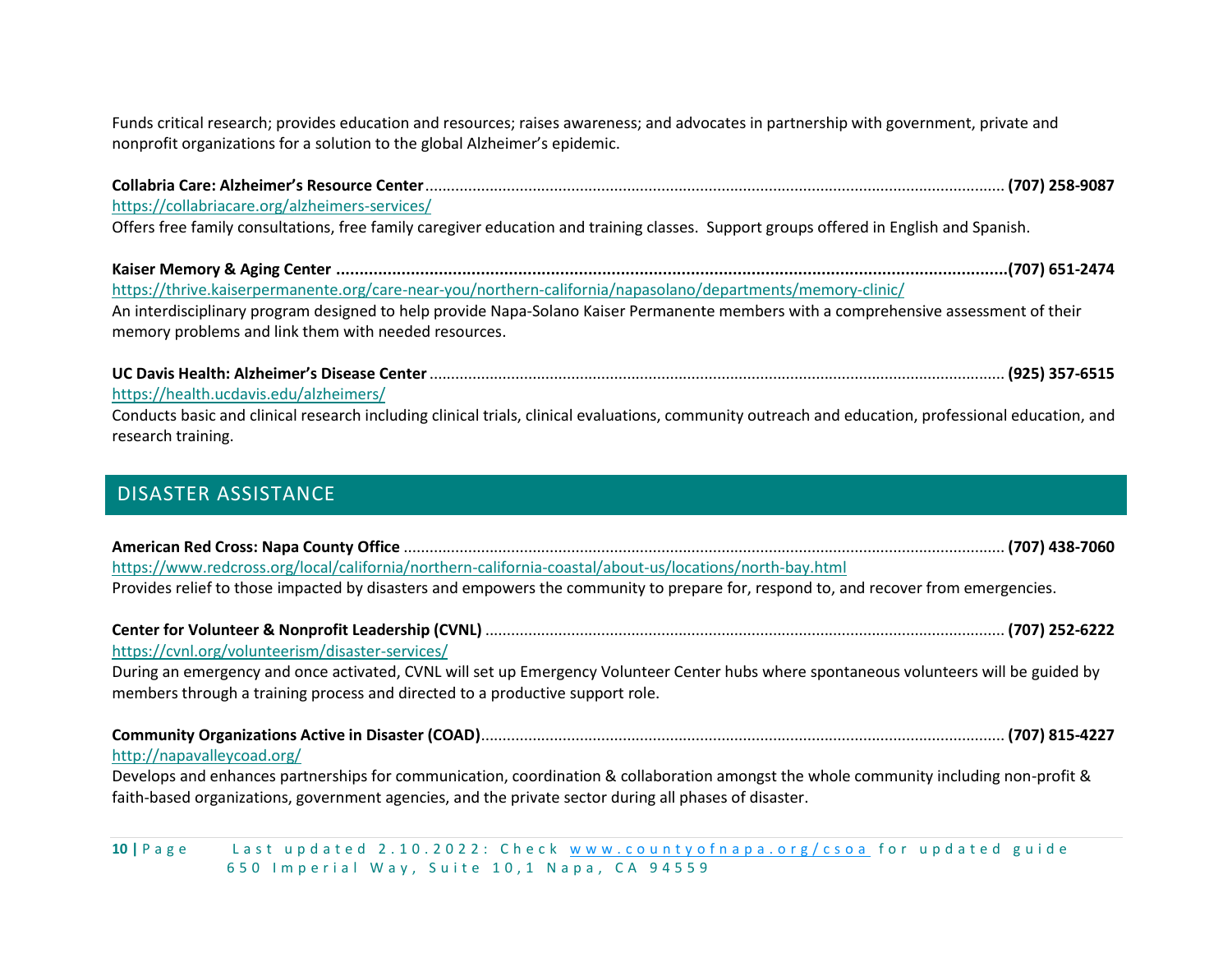Funds critical research; provides education and resources; raises awareness; and advocates in partnership with government, private and nonprofit organizations for a solution to the global Alzheimer's epidemic.

**Collabria Care: Alzheimer's Resource Center**....................................................................................................................................... **(707) 258-9087** <https://collabriacare.org/alzheimers-services/> Offers free family consultations, free family caregiver education and training classes. Support groups offered in English and Spanish. **Kaiser Memory & Aging Center ................................................................................................................................................(707) 651-2474** <https://thrive.kaiserpermanente.org/care-near-you/northern-california/napasolano/departments/memory-clinic/> An interdisciplinary program designed to help provide Napa-Solano Kaiser Permanente members with a comprehensive assessment of their memory problems and link them with needed resources.

**UC Davis Health: Alzheimer's Disease Center**...................................................................................................................................... **(925) 357-6515** <https://health.ucdavis.edu/alzheimers/> Conducts basic and clinical research including clinical trials, clinical evaluations, community outreach and education, professional education, and

# <span id="page-9-0"></span>DISASTER ASSISTANCE

research training.

| https://www.redcross.org/local/california/northern-california-coastal/about-us/locations/north-bay.html                             |  |
|-------------------------------------------------------------------------------------------------------------------------------------|--|
| Provides relief to those impacted by disasters and empowers the community to prepare for, respond to, and recover from emergencies. |  |
|                                                                                                                                     |  |

| https://cvnl.org/volunteerism/disaster-services/ |  |
|--------------------------------------------------|--|

During an emergency and once activated, CVNL will set up Emergency Volunteer Center hubs where spontaneous volunteers will be guided by members through a training process and directed to a productive support role.

| http://napavalleycoad.org/ |  |
|----------------------------|--|

Develops and enhances partnerships for communication, coordination & collaboration amongst the whole community including non-profit & faith-based organizations, government agencies, and the private sector during all phases of disaster.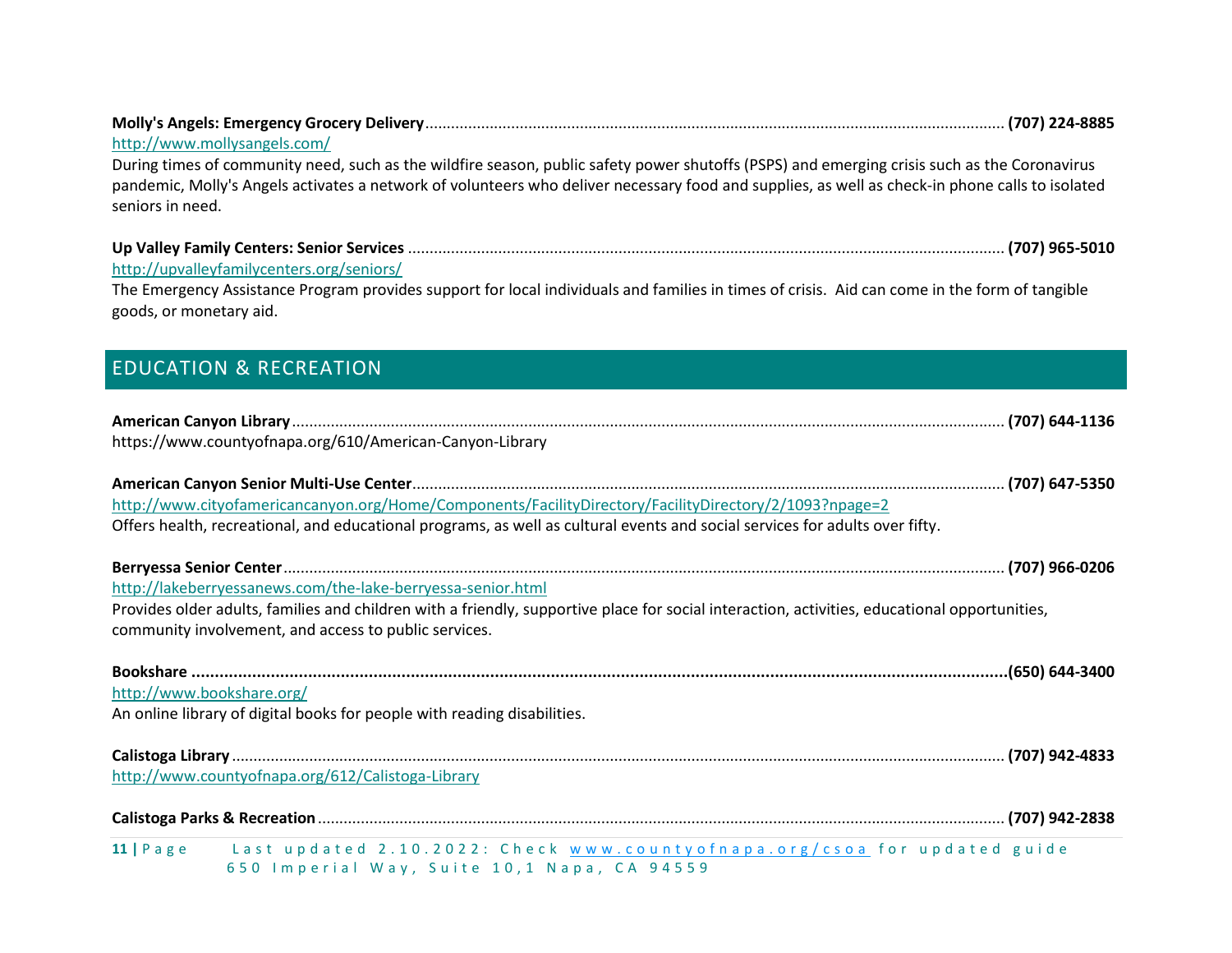<span id="page-10-0"></span>

| http://www.mollysangels.com/                                                                                                                                                                                                                                                                    |
|-------------------------------------------------------------------------------------------------------------------------------------------------------------------------------------------------------------------------------------------------------------------------------------------------|
| During times of community need, such as the wildfire season, public safety power shutoffs (PSPS) and emerging crisis such as the Coronavirus<br>pandemic, Molly's Angels activates a network of volunteers who deliver necessary food and supplies, as well as check-in phone calls to isolated |
| seniors in need.                                                                                                                                                                                                                                                                                |
|                                                                                                                                                                                                                                                                                                 |
| http://upvalleyfamilycenters.org/seniors/<br>The Emergency Assistance Program provides support for local individuals and families in times of crisis. Aid can come in the form of tangible                                                                                                      |
| goods, or monetary aid.                                                                                                                                                                                                                                                                         |
| <b>EDUCATION &amp; RECREATION</b>                                                                                                                                                                                                                                                               |
|                                                                                                                                                                                                                                                                                                 |
| https://www.countyofnapa.org/610/American-Canyon-Library                                                                                                                                                                                                                                        |
|                                                                                                                                                                                                                                                                                                 |
| http://www.cityofamericancanyon.org/Home/Components/FacilityDirectory/FacilityDirectory/2/1093?npage=2                                                                                                                                                                                          |
| Offers health, recreational, and educational programs, as well as cultural events and social services for adults over fifty.                                                                                                                                                                    |
|                                                                                                                                                                                                                                                                                                 |
| http://lakeberryessanews.com/the-lake-berryessa-senior.html                                                                                                                                                                                                                                     |
| Provides older adults, families and children with a friendly, supportive place for social interaction, activities, educational opportunities,<br>community involvement, and access to public services.                                                                                          |
|                                                                                                                                                                                                                                                                                                 |
| http://www.bookshare.org/                                                                                                                                                                                                                                                                       |
| An online library of digital books for people with reading disabilities.                                                                                                                                                                                                                        |
|                                                                                                                                                                                                                                                                                                 |
| http://www.countyofnapa.org/612/Calistoga-Library                                                                                                                                                                                                                                               |
|                                                                                                                                                                                                                                                                                                 |
| 11   Page Last updated 2.10.2022: Check www.countyofnapa.org/csoa for updated guide                                                                                                                                                                                                             |
| 650 Imperial Way, Suite 10,1 Napa, CA 94559                                                                                                                                                                                                                                                     |

**Molly's Angels: Emergency Grocery Delivery**....................................................................................................................................... **(707) 224-8885**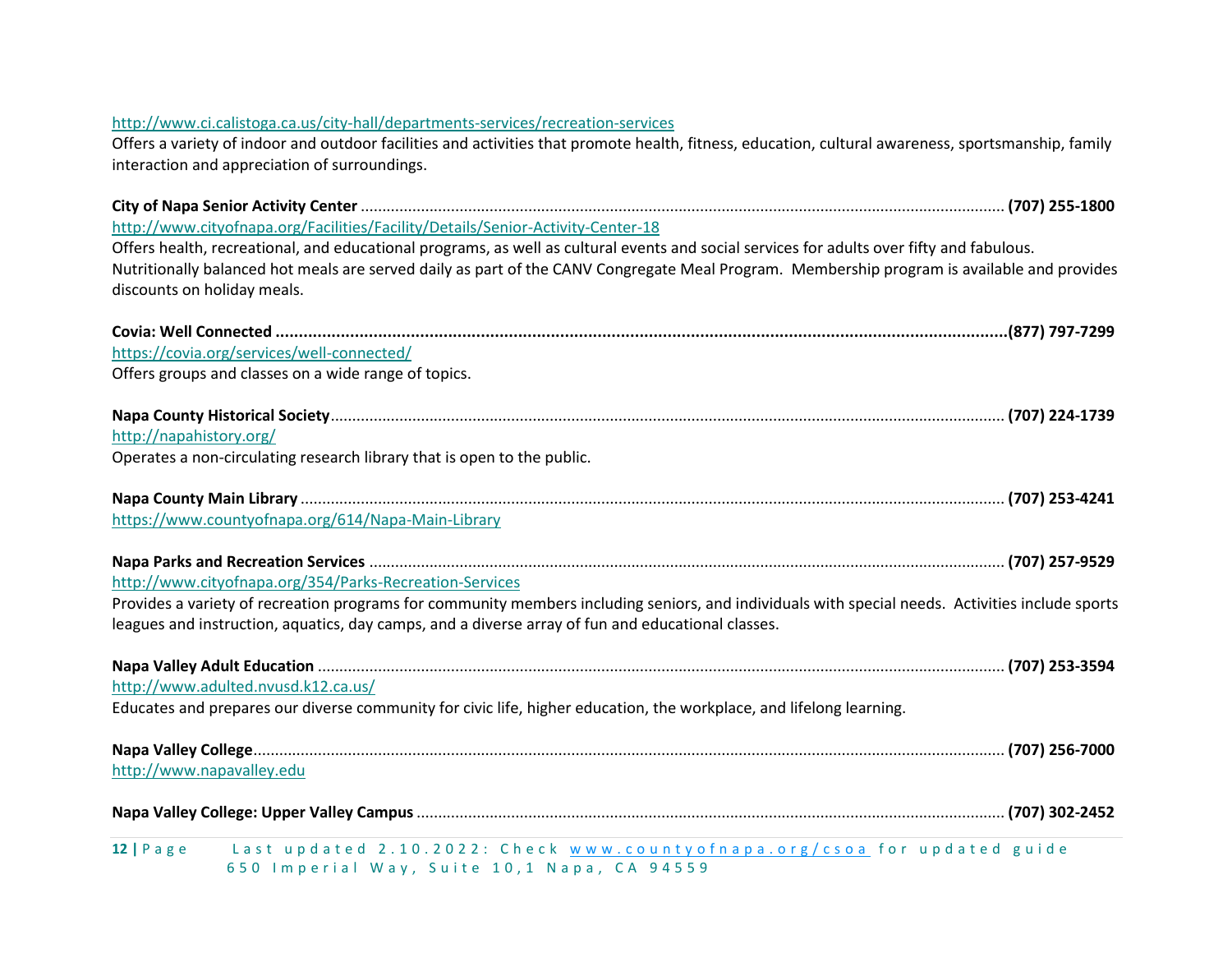| http://www.ci.calistoga.ca.us/city-hall/departments-services/recreation-services<br>Offers a variety of indoor and outdoor facilities and activities that promote health, fitness, education, cultural awareness, sportsmanship, family<br>interaction and appreciation of surroundings.                                |
|-------------------------------------------------------------------------------------------------------------------------------------------------------------------------------------------------------------------------------------------------------------------------------------------------------------------------|
|                                                                                                                                                                                                                                                                                                                         |
| http://www.cityofnapa.org/Facilities/Facility/Details/Senior-Activity-Center-18                                                                                                                                                                                                                                         |
| Offers health, recreational, and educational programs, as well as cultural events and social services for adults over fifty and fabulous.<br>Nutritionally balanced hot meals are served daily as part of the CANV Congregate Meal Program. Membership program is available and provides<br>discounts on holiday meals. |
|                                                                                                                                                                                                                                                                                                                         |
| https://covia.org/services/well-connected/                                                                                                                                                                                                                                                                              |
| Offers groups and classes on a wide range of topics.                                                                                                                                                                                                                                                                    |
|                                                                                                                                                                                                                                                                                                                         |
| http://napahistory.org/                                                                                                                                                                                                                                                                                                 |
| Operates a non-circulating research library that is open to the public.                                                                                                                                                                                                                                                 |
|                                                                                                                                                                                                                                                                                                                         |
| https://www.countyofnapa.org/614/Napa-Main-Library                                                                                                                                                                                                                                                                      |
|                                                                                                                                                                                                                                                                                                                         |
| http://www.cityofnapa.org/354/Parks-Recreation-Services                                                                                                                                                                                                                                                                 |
| Provides a variety of recreation programs for community members including seniors, and individuals with special needs. Activities include sports                                                                                                                                                                        |
| leagues and instruction, aquatics, day camps, and a diverse array of fun and educational classes.                                                                                                                                                                                                                       |
|                                                                                                                                                                                                                                                                                                                         |
| http://www.adulted.nvusd.k12.ca.us/                                                                                                                                                                                                                                                                                     |
| Educates and prepares our diverse community for civic life, higher education, the workplace, and lifelong learning.                                                                                                                                                                                                     |
|                                                                                                                                                                                                                                                                                                                         |
| http://www.napavalley.edu                                                                                                                                                                                                                                                                                               |
|                                                                                                                                                                                                                                                                                                                         |
| Last updated 2.10.2022: Check www.countyofnapa.org/csoa for updated guide<br>$12   P \text{ a } g \text{ e}$<br>650 Imperial Way, Suite 10,1 Napa, CA 94559                                                                                                                                                             |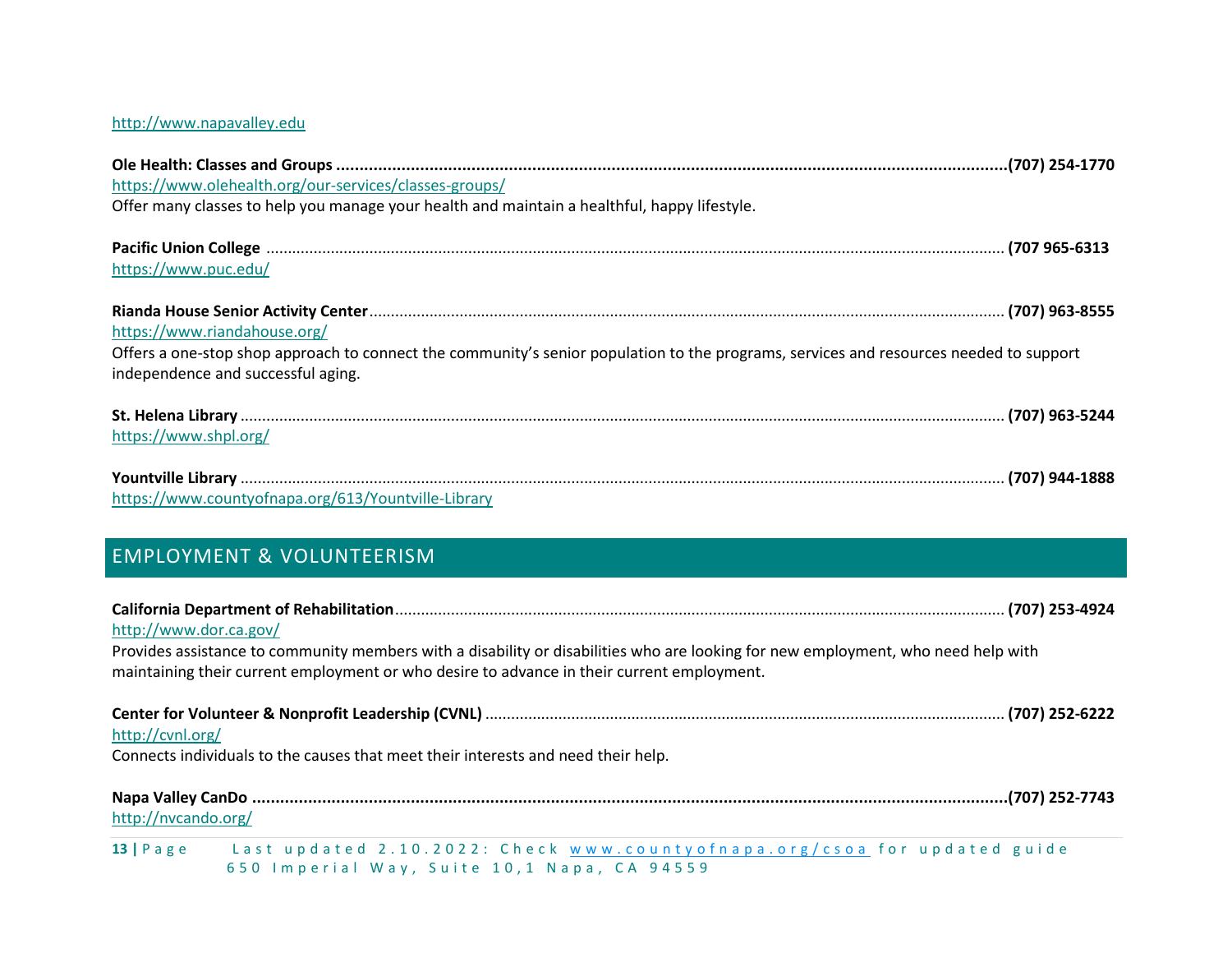### [http://www.napavalley.edu](http://www.napavalley.edu/)

| https://www.olehealth.org/our-services/classes-groups/                                                                                 |  |
|----------------------------------------------------------------------------------------------------------------------------------------|--|
| Offer many classes to help you manage your health and maintain a healthful, happy lifestyle.                                           |  |
|                                                                                                                                        |  |
| https://www.puc.edu/                                                                                                                   |  |
|                                                                                                                                        |  |
| https://www.riandahouse.org/                                                                                                           |  |
| Offers a one-stop shop approach to connect the community's senior population to the programs, services and resources needed to support |  |
| independence and successful aging.                                                                                                     |  |
|                                                                                                                                        |  |
| https://www.shpl.org/                                                                                                                  |  |
|                                                                                                                                        |  |
| https://www.countyofnapa.org/613/Yountville-Library                                                                                    |  |

# <span id="page-12-0"></span>EMPLOYMENT & VOLUNTEERISM

| http://www.dor.ca.gov/ | Provides assistance to community members with a disability or disabilities who are looking for new employment, who need help with<br>maintaining their current employment or who desire to advance in their current employment. |  |
|------------------------|---------------------------------------------------------------------------------------------------------------------------------------------------------------------------------------------------------------------------------|--|
| http://cvnl.org/       | Connects individuals to the causes that meet their interests and need their help.                                                                                                                                               |  |
| http://nvcando.org/    |                                                                                                                                                                                                                                 |  |
|                        | 13   Page Last updated 2.10.2022: Check www.countyofnapa.org/csoa for updated guide<br>650 Imperial Way, Suite 10,1 Napa, CA 94559                                                                                              |  |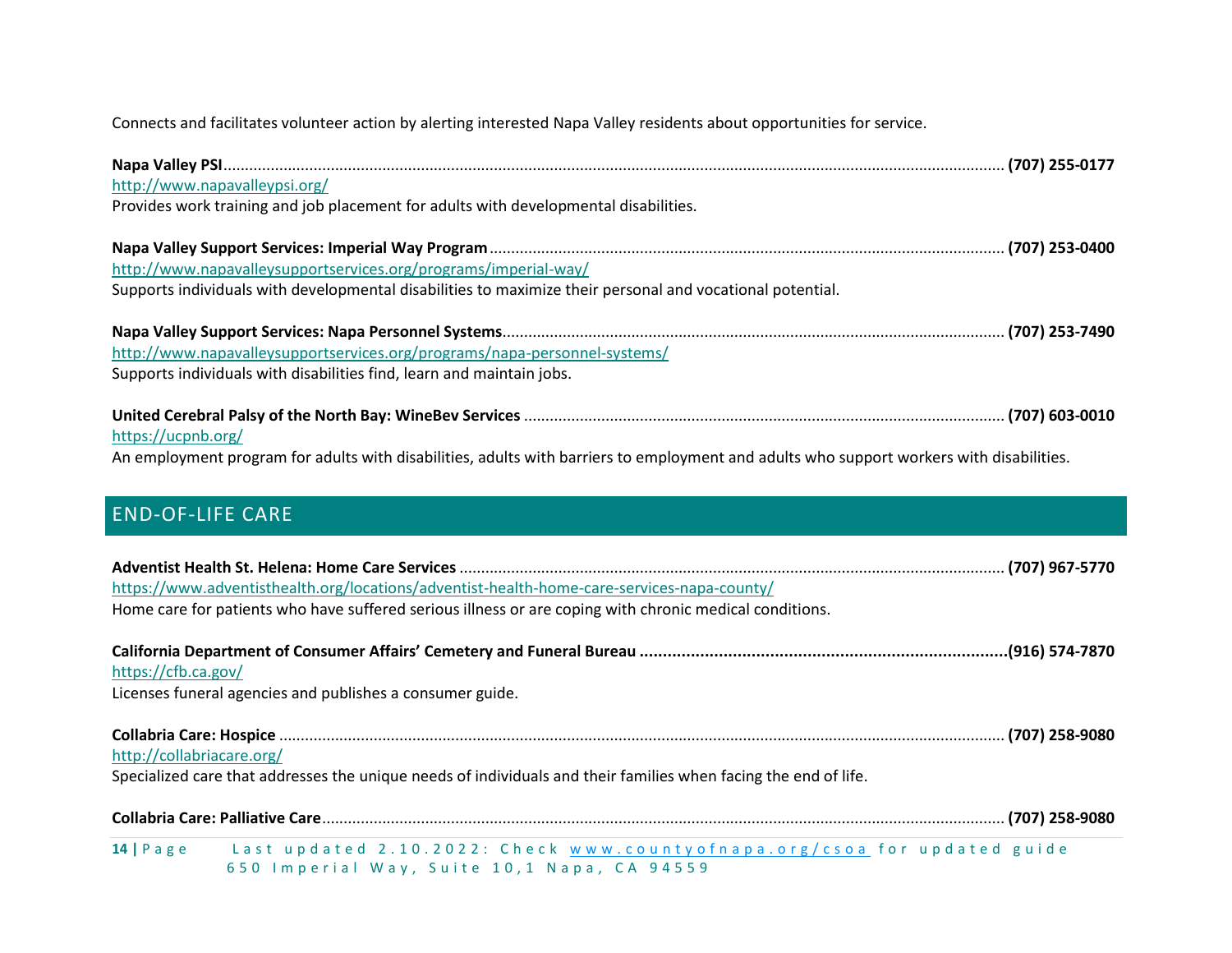Connects and facilitates volunteer action by alerting interested Napa Valley residents about opportunities for service.

<span id="page-13-0"></span>

| http://www.napavalleypsi.org/                                                                                                            |  |
|------------------------------------------------------------------------------------------------------------------------------------------|--|
| Provides work training and job placement for adults with developmental disabilities.                                                     |  |
|                                                                                                                                          |  |
| http://www.napavalleysupportservices.org/programs/imperial-way/                                                                          |  |
| Supports individuals with developmental disabilities to maximize their personal and vocational potential.                                |  |
|                                                                                                                                          |  |
| http://www.napavalleysupportservices.org/programs/napa-personnel-systems/                                                                |  |
| Supports individuals with disabilities find, learn and maintain jobs.                                                                    |  |
| https://ucpnb.org/                                                                                                                       |  |
| An employment program for adults with disabilities, adults with barriers to employment and adults who support workers with disabilities. |  |
| <b>END-OF-LIFE CARE</b>                                                                                                                  |  |
|                                                                                                                                          |  |
| https://www.adventisthealth.org/locations/adventist-health-home-care-services-napa-county/                                               |  |
| Home care for patients who have suffered serious illness or are coping with chronic medical conditions.                                  |  |
| https://cfb.ca.gov/                                                                                                                      |  |
| Licenses funeral agencies and publishes a consumer guide.                                                                                |  |
| http://collabriacare.org/                                                                                                                |  |
| Specialized care that addresses the unique needs of individuals and their families when facing the end of life.                          |  |
|                                                                                                                                          |  |
| 14   Page Last updated 2.10.2022: Check www.countyofnapa.org/csoa for updated guide<br>650 Imperial Way, Suite 10,1 Napa, CA 94559       |  |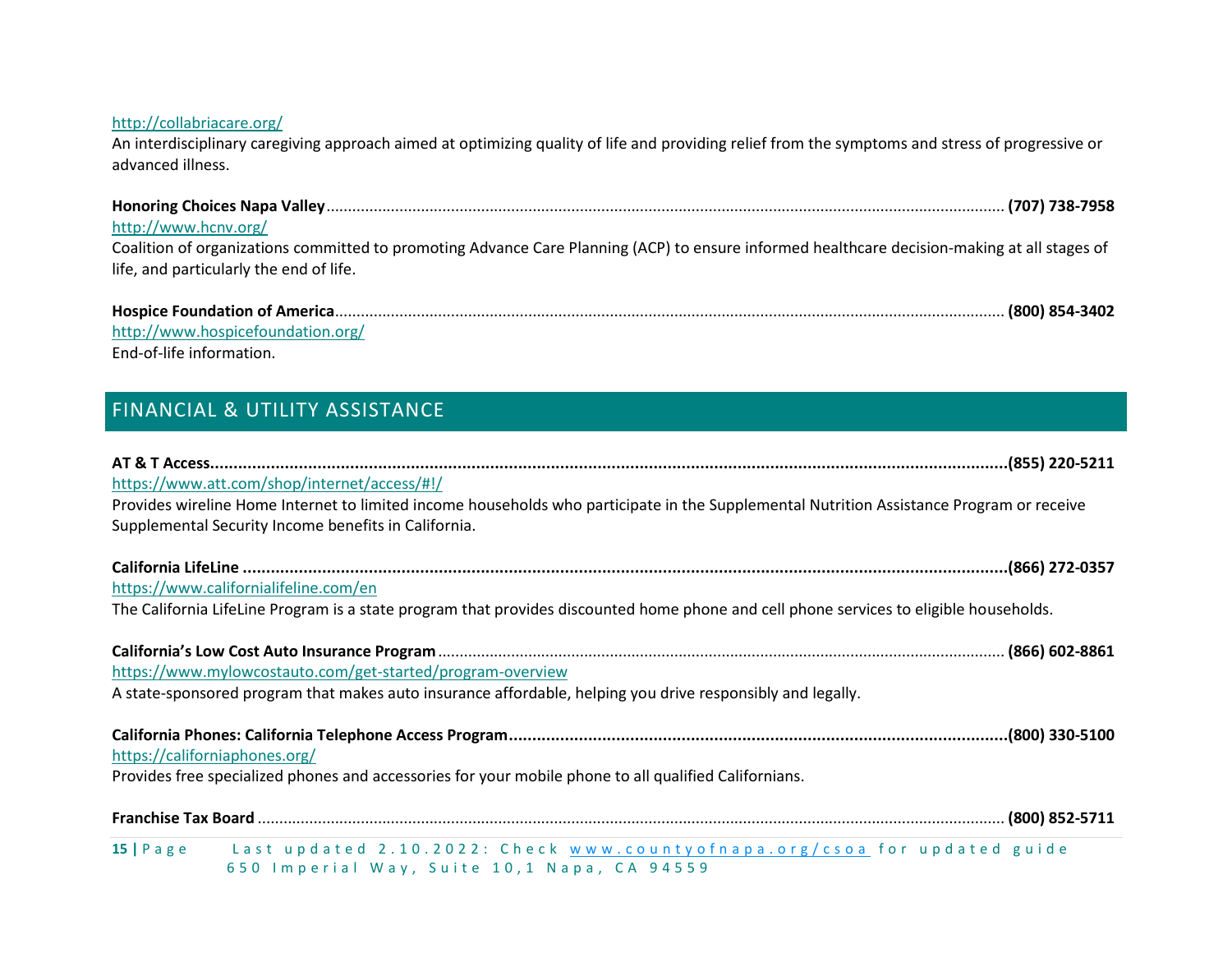#### <http://collabriacare.org/>

An interdisciplinary caregiving approach aimed at optimizing quality of life and providing relief from the symptoms and stress of progressive or advanced illness.

| http://www.hcnv.org/<br>Coalition of organizations committed to promoting Advance Care Planning (ACP) to ensure informed healthcare decision-making at all stages of<br>life, and particularly the end of life. |
|-----------------------------------------------------------------------------------------------------------------------------------------------------------------------------------------------------------------|
|                                                                                                                                                                                                                 |

<http://www.hospicefoundation.org/> End-of-life information.

# <span id="page-14-0"></span>FINANCIAL & UTILITY ASSISTANCE

| https://www.att.com/shop/internet/access/#!/                                                                                                                                                     |  |
|--------------------------------------------------------------------------------------------------------------------------------------------------------------------------------------------------|--|
| Provides wireline Home Internet to limited income households who participate in the Supplemental Nutrition Assistance Program or receive<br>Supplemental Security Income benefits in California. |  |
|                                                                                                                                                                                                  |  |
|                                                                                                                                                                                                  |  |
| https://www.californialifeline.com/en                                                                                                                                                            |  |
| The California LifeLine Program is a state program that provides discounted home phone and cell phone services to eligible households.                                                           |  |
|                                                                                                                                                                                                  |  |
| https://www.mylowcostauto.com/get-started/program-overview                                                                                                                                       |  |
| A state-sponsored program that makes auto insurance affordable, helping you drive responsibly and legally.                                                                                       |  |
| https://californiaphones.org/                                                                                                                                                                    |  |
| Provides free specialized phones and accessories for your mobile phone to all qualified Californians.                                                                                            |  |
|                                                                                                                                                                                                  |  |
| 15   Page Last updated 2.10.2022: Check www.countyofnapa.org/csoa for updated guide<br>650 Imperial Way, Suite 10,1 Napa, CA 94559                                                               |  |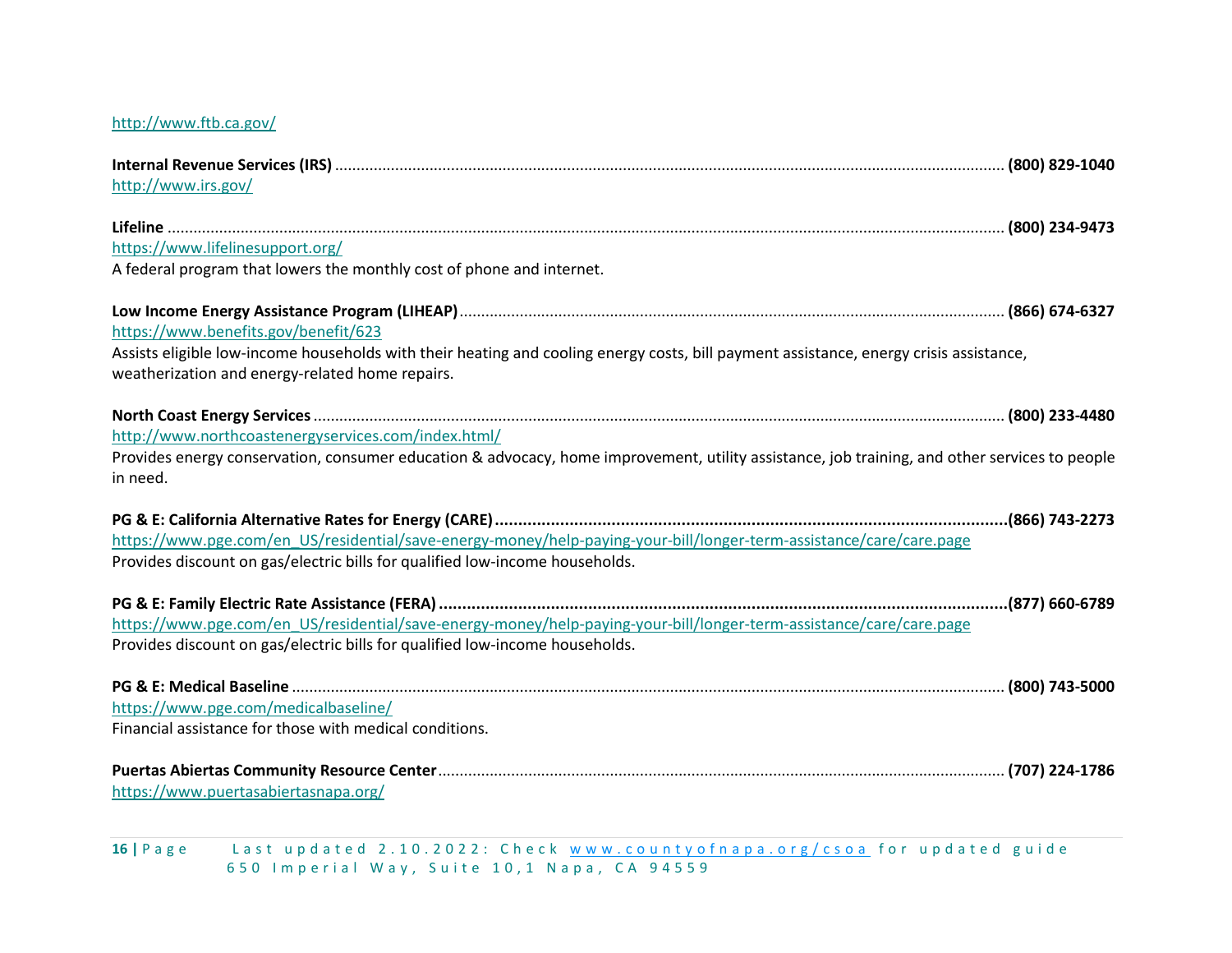#### <http://www.ftb.ca.gov/>

| http://www.irs.gov/                                                                                                                                                                       |  |
|-------------------------------------------------------------------------------------------------------------------------------------------------------------------------------------------|--|
|                                                                                                                                                                                           |  |
| https://www.lifelinesupport.org/                                                                                                                                                          |  |
| A federal program that lowers the monthly cost of phone and internet.                                                                                                                     |  |
|                                                                                                                                                                                           |  |
| https://www.benefits.gov/benefit/623                                                                                                                                                      |  |
| Assists eligible low-income households with their heating and cooling energy costs, bill payment assistance, energy crisis assistance,<br>weatherization and energy-related home repairs. |  |
|                                                                                                                                                                                           |  |
| http://www.northcoastenergyservices.com/index.html/                                                                                                                                       |  |
| Provides energy conservation, consumer education & advocacy, home improvement, utility assistance, job training, and other services to people                                             |  |
| in need.                                                                                                                                                                                  |  |
|                                                                                                                                                                                           |  |
| https://www.pge.com/en US/residential/save-energy-money/help-paying-your-bill/longer-term-assistance/care/care.page                                                                       |  |
| Provides discount on gas/electric bills for qualified low-income households.                                                                                                              |  |
|                                                                                                                                                                                           |  |
| https://www.pge.com/en US/residential/save-energy-money/help-paying-your-bill/longer-term-assistance/care/care.page                                                                       |  |
| Provides discount on gas/electric bills for qualified low-income households.                                                                                                              |  |
|                                                                                                                                                                                           |  |
| https://www.pge.com/medicalbaseline/                                                                                                                                                      |  |
| Financial assistance for those with medical conditions.                                                                                                                                   |  |
|                                                                                                                                                                                           |  |
| https://www.puertasabiertasnapa.org/                                                                                                                                                      |  |
|                                                                                                                                                                                           |  |

16 | P a g e Last up d a t e d 2.10.2022: Check www.county of n a p a . or g / c s o a for up d a t e d guide 6 5 0 Imperial Way, Suite 10, 1 Napa, CA 94559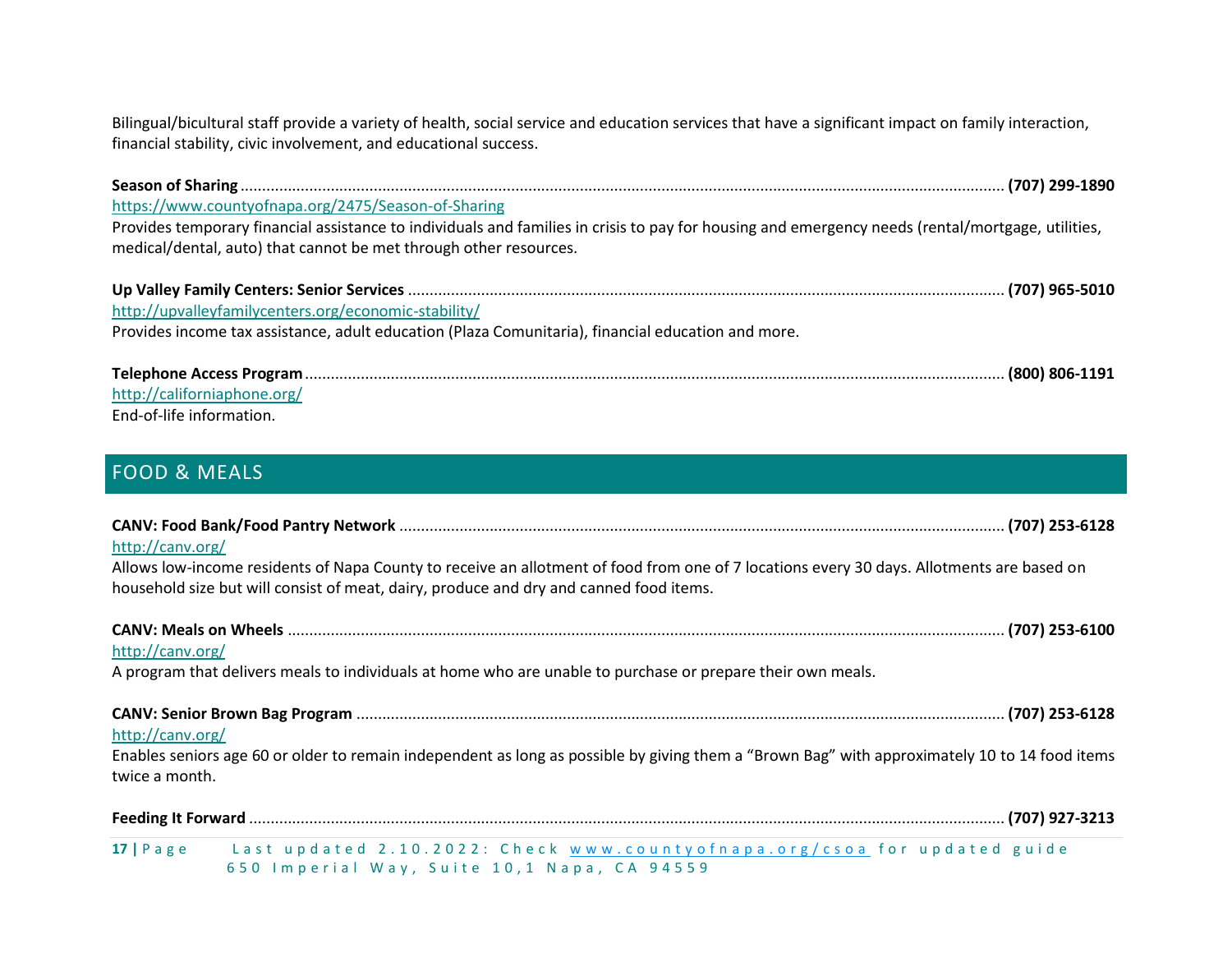Bilingual/bicultural staff provide a variety of health, social service and education services that have a significant impact on family interaction, financial stability, civic involvement, and educational success.

| https://www.countyofnapa.org/2475/Season-of-Sharing                                                                                                                                                                    |  |
|------------------------------------------------------------------------------------------------------------------------------------------------------------------------------------------------------------------------|--|
| Provides temporary financial assistance to individuals and families in crisis to pay for housing and emergency needs (rental/mortgage, utilities,<br>medical/dental, auto) that cannot be met through other resources. |  |
|                                                                                                                                                                                                                        |  |
| http://upvalleyfamilycenters.org/economic-stability/                                                                                                                                                                   |  |
| Provides income tax assistance, adult education (Plaza Comunitaria), financial education and more.                                                                                                                     |  |
|                                                                                                                                                                                                                        |  |
| http://californiaphone.org/                                                                                                                                                                                            |  |
| End-of-life information.                                                                                                                                                                                               |  |

# <span id="page-16-0"></span>FOOD & MEALS

| http://canv.org/                                                                                                                                                                                                                         |
|------------------------------------------------------------------------------------------------------------------------------------------------------------------------------------------------------------------------------------------|
| Allows low-income residents of Napa County to receive an allotment of food from one of 7 locations every 30 days. Allotments are based on<br>household size but will consist of meat, dairy, produce and dry and canned food items.      |
|                                                                                                                                                                                                                                          |
| http://canv.org/                                                                                                                                                                                                                         |
| A program that delivers meals to individuals at home who are unable to purchase or prepare their own meals.                                                                                                                              |
|                                                                                                                                                                                                                                          |
| http://canv.org/                                                                                                                                                                                                                         |
| Enables seniors age 60 or older to remain independent as long as possible by giving them a "Brown Bag" with approximately 10 to 14 food items<br>twice a month.                                                                          |
| $\mathcal{A} = \mathcal{A}$ , and a subset of the set of the set of the set of the set of the set of the set of the set of the set of the set of the set of the set of the set of the set of the set of the set of the set of the set of |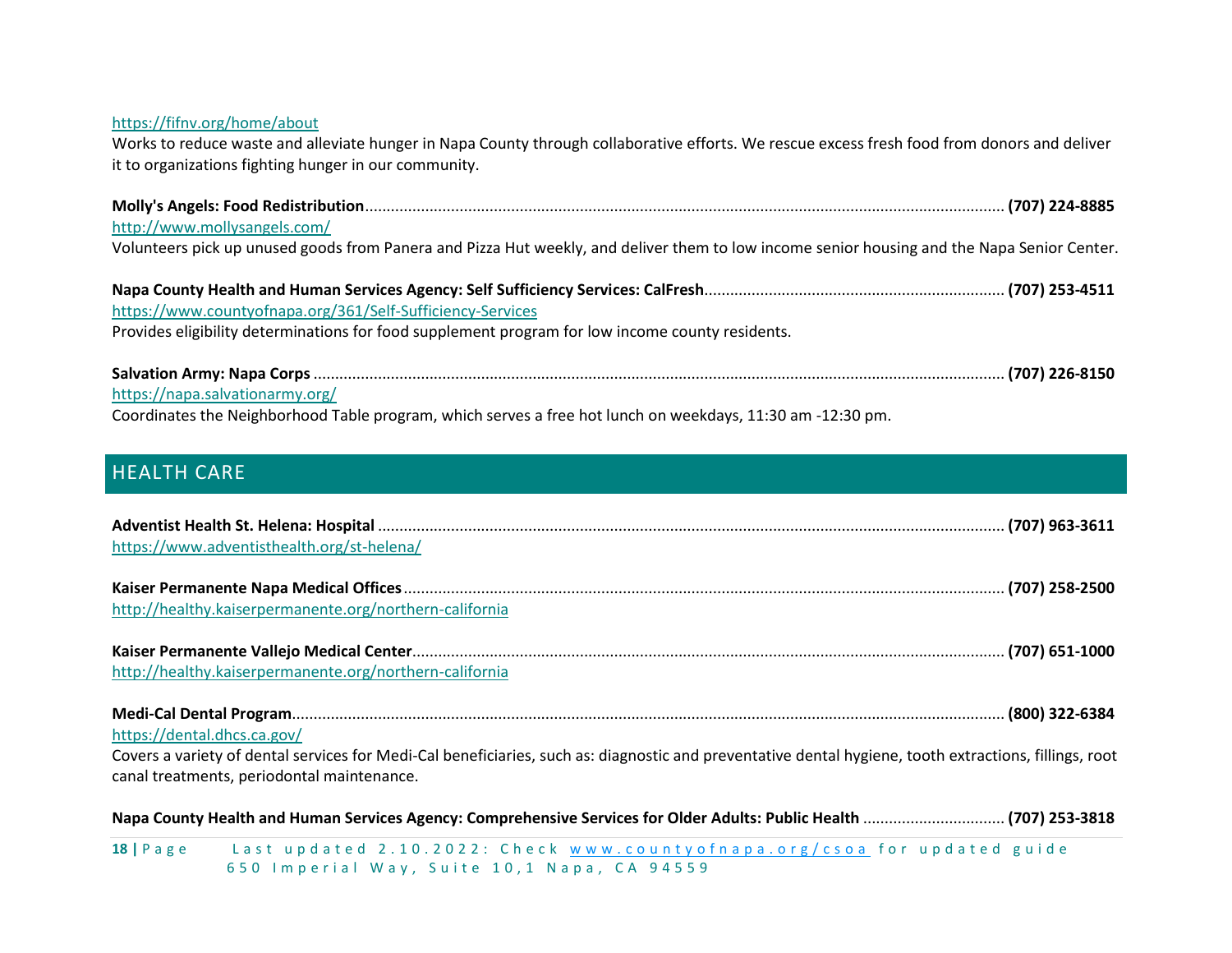| https://fifnv.org/home/about<br>Works to reduce waste and alleviate hunger in Napa County through collaborative efforts. We rescue excess fresh food from donors and deliver<br>it to organizations fighting hunger in our community. |
|---------------------------------------------------------------------------------------------------------------------------------------------------------------------------------------------------------------------------------------|
|                                                                                                                                                                                                                                       |
| http://www.mollysangels.com/                                                                                                                                                                                                          |
| Volunteers pick up unused goods from Panera and Pizza Hut weekly, and deliver them to low income senior housing and the Napa Senior Center.                                                                                           |
|                                                                                                                                                                                                                                       |
| https://www.countyofnapa.org/361/Self-Sufficiency-Services                                                                                                                                                                            |
| Provides eligibility determinations for food supplement program for low income county residents.                                                                                                                                      |
|                                                                                                                                                                                                                                       |
| https://napa.salvationarmy.org/                                                                                                                                                                                                       |
| Coordinates the Neighborhood Table program, which serves a free hot lunch on weekdays, 11:30 am -12:30 pm.                                                                                                                            |

# <span id="page-17-0"></span>HEALTH CARE

| https://www.adventisthealth.org/st-helena/                                                                                                             |  |
|--------------------------------------------------------------------------------------------------------------------------------------------------------|--|
|                                                                                                                                                        |  |
| http://healthy.kaiserpermanente.org/northern-california                                                                                                |  |
| http://healthy.kaiserpermanente.org/northern-california                                                                                                |  |
|                                                                                                                                                        |  |
| https://dental.dhcs.ca.gov/                                                                                                                            |  |
| Covers a variety of dental services for Medi-Cal beneficiaries, such as: diagnostic and preventative dental hygiene, tooth extractions, fillings, root |  |
| canal treatments, periodontal maintenance.                                                                                                             |  |
|                                                                                                                                                        |  |
| 18   Page Last updated 2.10.2022: Check www.countyofnapa.org/csoa for updated guide                                                                    |  |

650 Imperial Way, Suite 10,1 Napa, CA 94559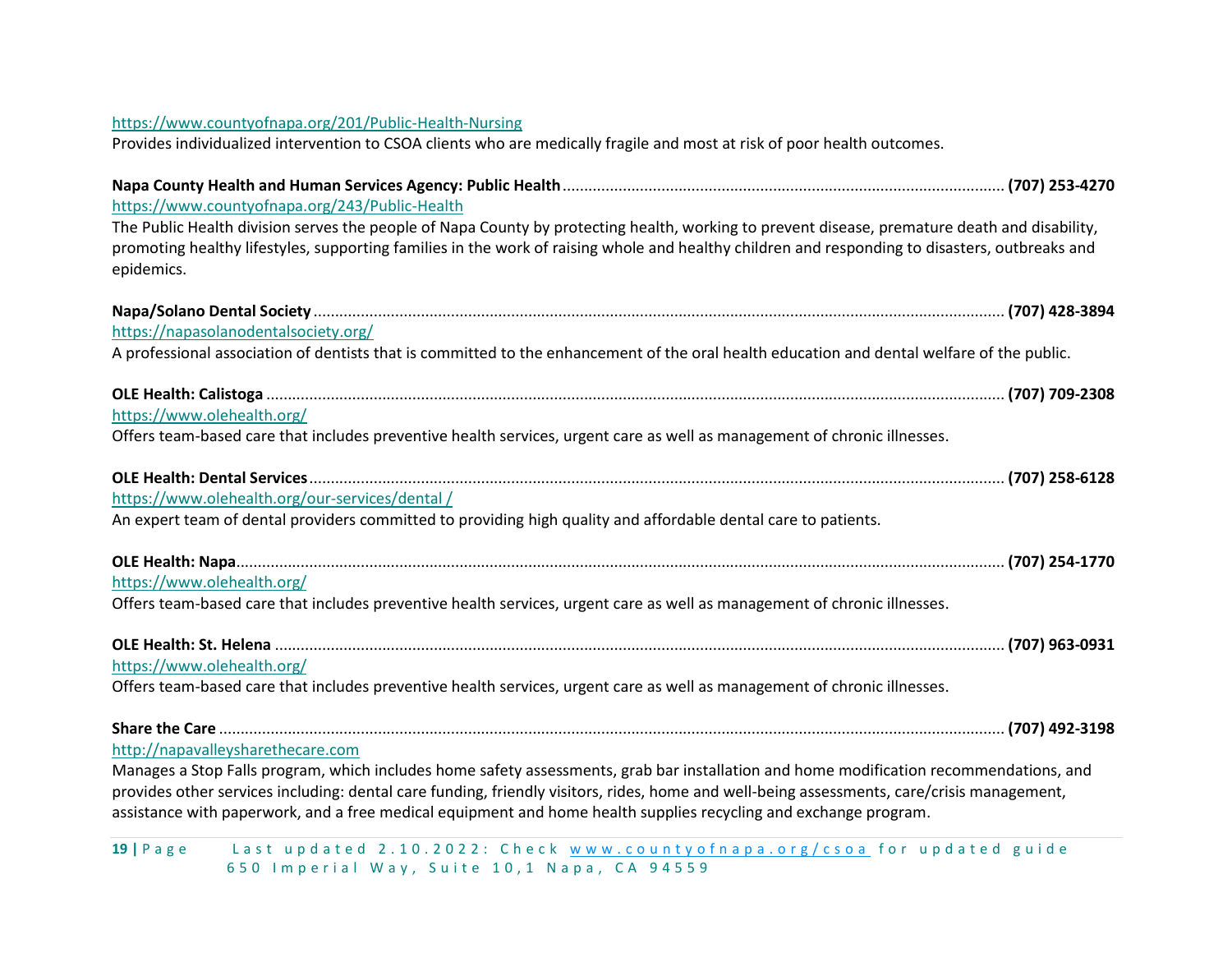#### <https://www.countyofnapa.org/201/Public-Health-Nursing>

Provides individualized intervention to CSOA clients who are medically fragile and most at risk of poor health outcomes.

| https://www.countyofnapa.org/243/Public-Health                                                                                                                                                                                                                                                                |  |
|---------------------------------------------------------------------------------------------------------------------------------------------------------------------------------------------------------------------------------------------------------------------------------------------------------------|--|
| The Public Health division serves the people of Napa County by protecting health, working to prevent disease, premature death and disability,<br>promoting healthy lifestyles, supporting families in the work of raising whole and healthy children and responding to disasters, outbreaks and<br>epidemics. |  |
|                                                                                                                                                                                                                                                                                                               |  |
| https://napasolanodentalsociety.org/                                                                                                                                                                                                                                                                          |  |
| A professional association of dentists that is committed to the enhancement of the oral health education and dental welfare of the public.                                                                                                                                                                    |  |
|                                                                                                                                                                                                                                                                                                               |  |
| https://www.olehealth.org/                                                                                                                                                                                                                                                                                    |  |
| Offers team-based care that includes preventive health services, urgent care as well as management of chronic illnesses.                                                                                                                                                                                      |  |
|                                                                                                                                                                                                                                                                                                               |  |
| https://www.olehealth.org/our-services/dental/                                                                                                                                                                                                                                                                |  |
| An expert team of dental providers committed to providing high quality and affordable dental care to patients.                                                                                                                                                                                                |  |
|                                                                                                                                                                                                                                                                                                               |  |
| https://www.olehealth.org/                                                                                                                                                                                                                                                                                    |  |
| Offers team-based care that includes preventive health services, urgent care as well as management of chronic illnesses.                                                                                                                                                                                      |  |
|                                                                                                                                                                                                                                                                                                               |  |
| https://www.olehealth.org/                                                                                                                                                                                                                                                                                    |  |
| Offers team-based care that includes preventive health services, urgent care as well as management of chronic illnesses.                                                                                                                                                                                      |  |
|                                                                                                                                                                                                                                                                                                               |  |
| http://napavalleysharethecare.com                                                                                                                                                                                                                                                                             |  |
| Manages a Stop Falls program, which includes home safety assessments, grab bar installation and home modification recommendations, and                                                                                                                                                                        |  |
| provides other services including: dental care funding, friendly visitors, rides, home and well-being assessments, care/crisis management,<br>assistance with paperwork, and a free medical equipment and home health supplies recycling and exchange program.                                                |  |
|                                                                                                                                                                                                                                                                                                               |  |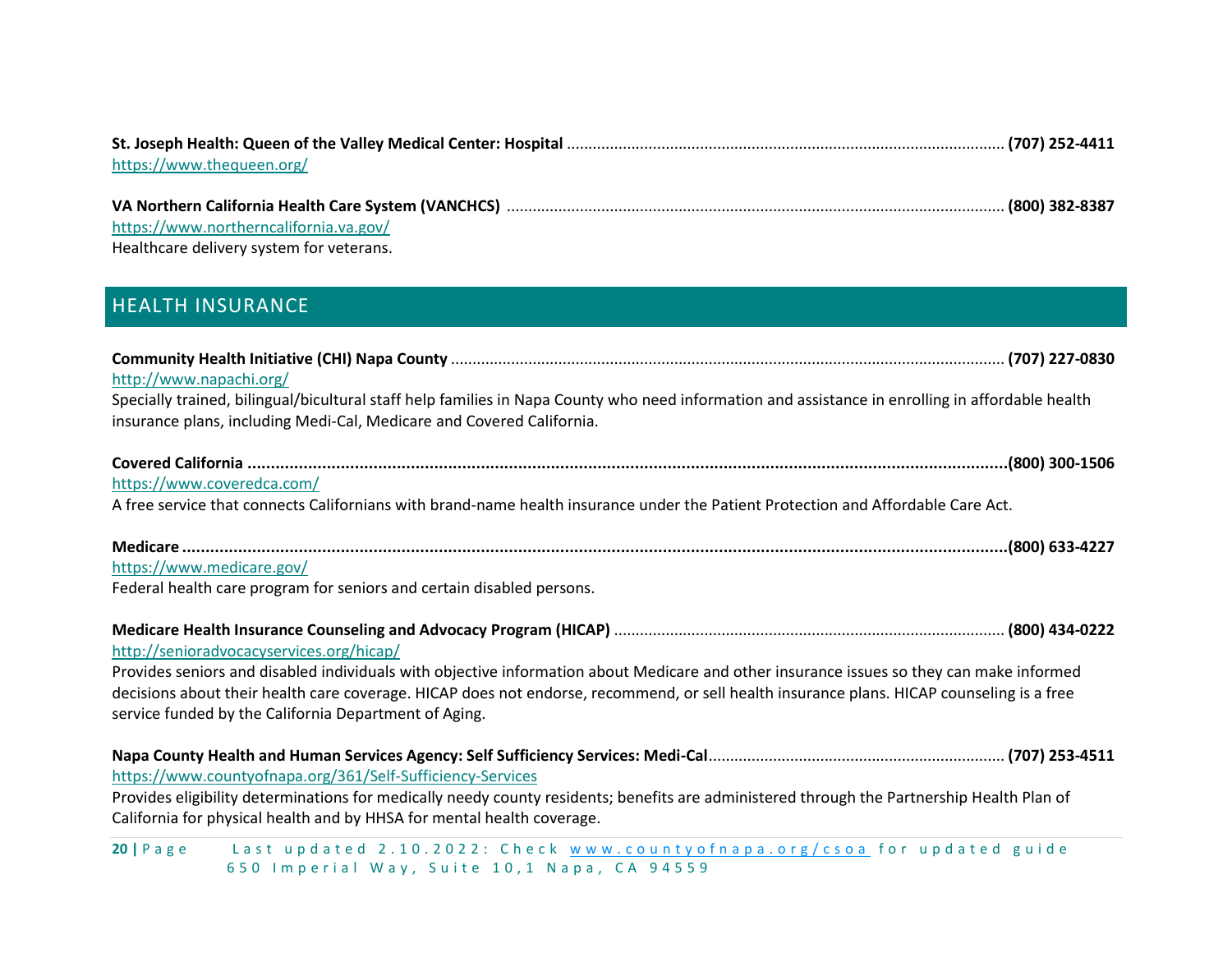| https://www.thequeen.org/                |  |
|------------------------------------------|--|
|                                          |  |
|                                          |  |
| https://www.northerncalifornia.va.gov/   |  |
| Healthcare delivery system for veterans. |  |

# <span id="page-19-0"></span>HEALTH INSURANCE

| http://www.napachi.org/                                                                                                                                                                                                                                                                                                                        |
|------------------------------------------------------------------------------------------------------------------------------------------------------------------------------------------------------------------------------------------------------------------------------------------------------------------------------------------------|
| Specially trained, bilingual/bicultural staff help families in Napa County who need information and assistance in enrolling in affordable health<br>insurance plans, including Medi-Cal, Medicare and Covered California.                                                                                                                      |
| https://www.coveredca.com/                                                                                                                                                                                                                                                                                                                     |
| A free service that connects Californians with brand-name health insurance under the Patient Protection and Affordable Care Act.                                                                                                                                                                                                               |
| https://www.medicare.gov/<br>Federal health care program for seniors and certain disabled persons.                                                                                                                                                                                                                                             |
| http://senioradvocacyservices.org/hicap/                                                                                                                                                                                                                                                                                                       |
| Provides seniors and disabled individuals with objective information about Medicare and other insurance issues so they can make informed<br>decisions about their health care coverage. HICAP does not endorse, recommend, or sell health insurance plans. HICAP counseling is a free<br>service funded by the California Department of Aging. |
| https://www.countyofnapa.org/361/Self-Sufficiency-Services<br>Provides eligibility determinations for medically needy county residents; benefits are administered through the Partnership Health Plan of                                                                                                                                       |
| California for physical health and by HHSA for mental health coverage.<br>$\bullet$ and a set of the second contract of the set of the set of the set of the set of the set of the set of the set of the set of the set of the set of the set of the set of the set of the set of the set of the set of the                                    |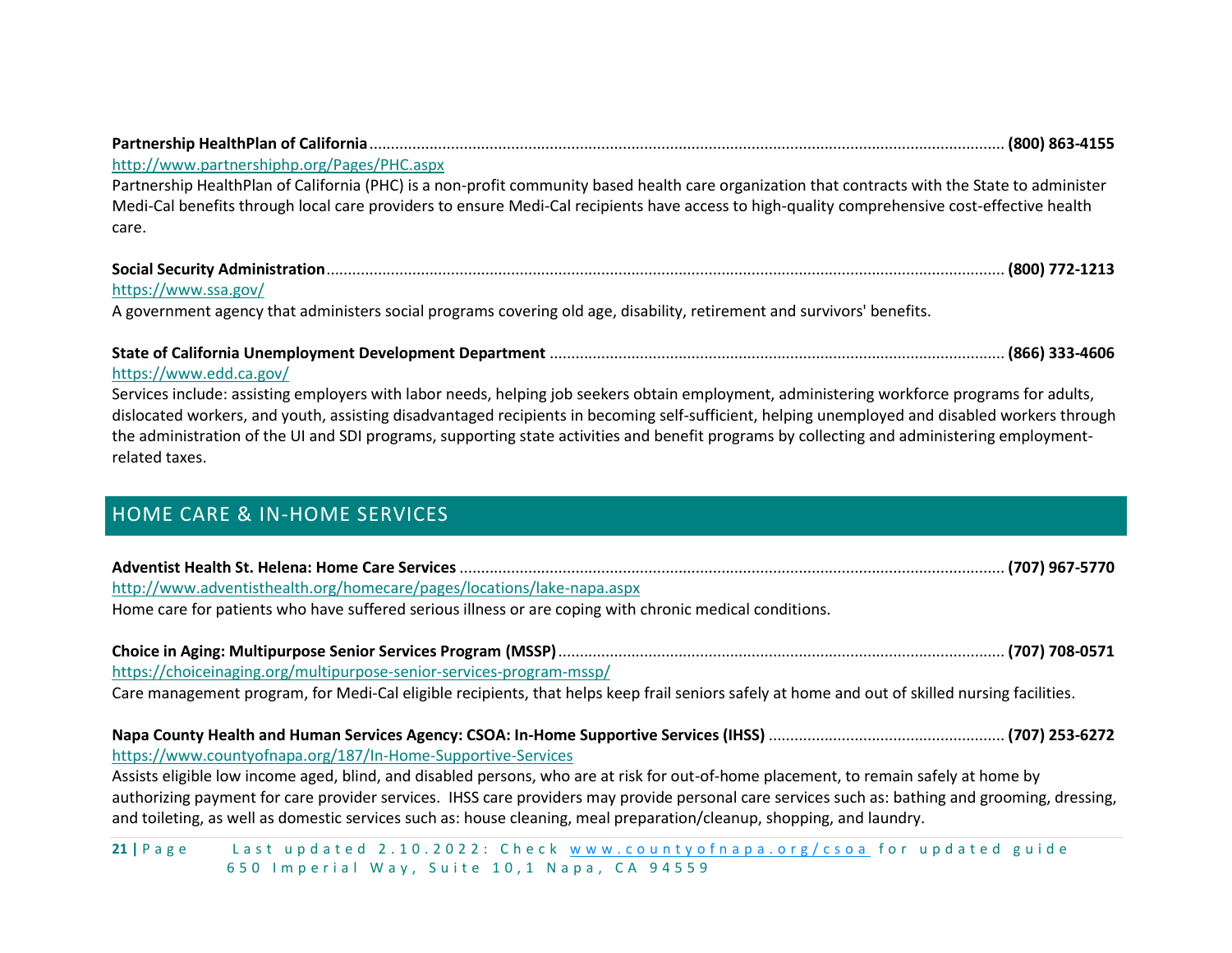| http://www.partnershiphp.org/Pages/PHC.aspx                                                                                                     |  |
|-------------------------------------------------------------------------------------------------------------------------------------------------|--|
| Partnership HealthPlan of California (PHC) is a non-profit community based health care organization that contracts with the State to administer |  |
| Medi-Cal benefits through local care providers to ensure Medi-Cal recipients have access to high-quality comprehensive cost-effective health    |  |
| care.                                                                                                                                           |  |
|                                                                                                                                                 |  |
| https://www.ssa.gov/                                                                                                                            |  |

A government agency that administers social programs covering old age, disability, retirement and survivors' benefits.

| https://www.edd.ca.gov/ |  |
|-------------------------|--|

Services include: assisting employers with labor needs, helping job seekers obtain employment, administering workforce programs for adults, dislocated workers, and youth, assisting disadvantaged recipients in becoming self-sufficient, helping unemployed and disabled workers through the administration of the UI and SDI programs, supporting state activities and benefit programs by collecting and administering employmentrelated taxes.

# <span id="page-20-0"></span>HOME CARE & IN-HOME SERVICES

| http://www.adventisthealth.org/homecare/pages/locations/lake-napa.aspx                                                                                                                                                                                                   |  |
|--------------------------------------------------------------------------------------------------------------------------------------------------------------------------------------------------------------------------------------------------------------------------|--|
| Home care for patients who have suffered serious illness or are coping with chronic medical conditions.                                                                                                                                                                  |  |
|                                                                                                                                                                                                                                                                          |  |
| https://choiceinaging.org/multipurpose-senior-services-program-mssp/                                                                                                                                                                                                     |  |
| Care management program, for Medi-Cal eligible recipients, that helps keep frail seniors safely at home and out of skilled nursing facilities.                                                                                                                           |  |
|                                                                                                                                                                                                                                                                          |  |
| https://www.countyofnapa.org/187/In-Home-Supportive-Services                                                                                                                                                                                                             |  |
| Assists eligible low income aged, blind, and disabled persons, who are at risk for out-of-home placement, to remain safely at home by                                                                                                                                    |  |
| authorizing payment for care provider services. IHSS care providers may provide personal care services such as: bathing and grooming, dressing,<br>and toileting, as well as domestic services such as: house cleaning, meal preparation/cleanup, shopping, and laundry. |  |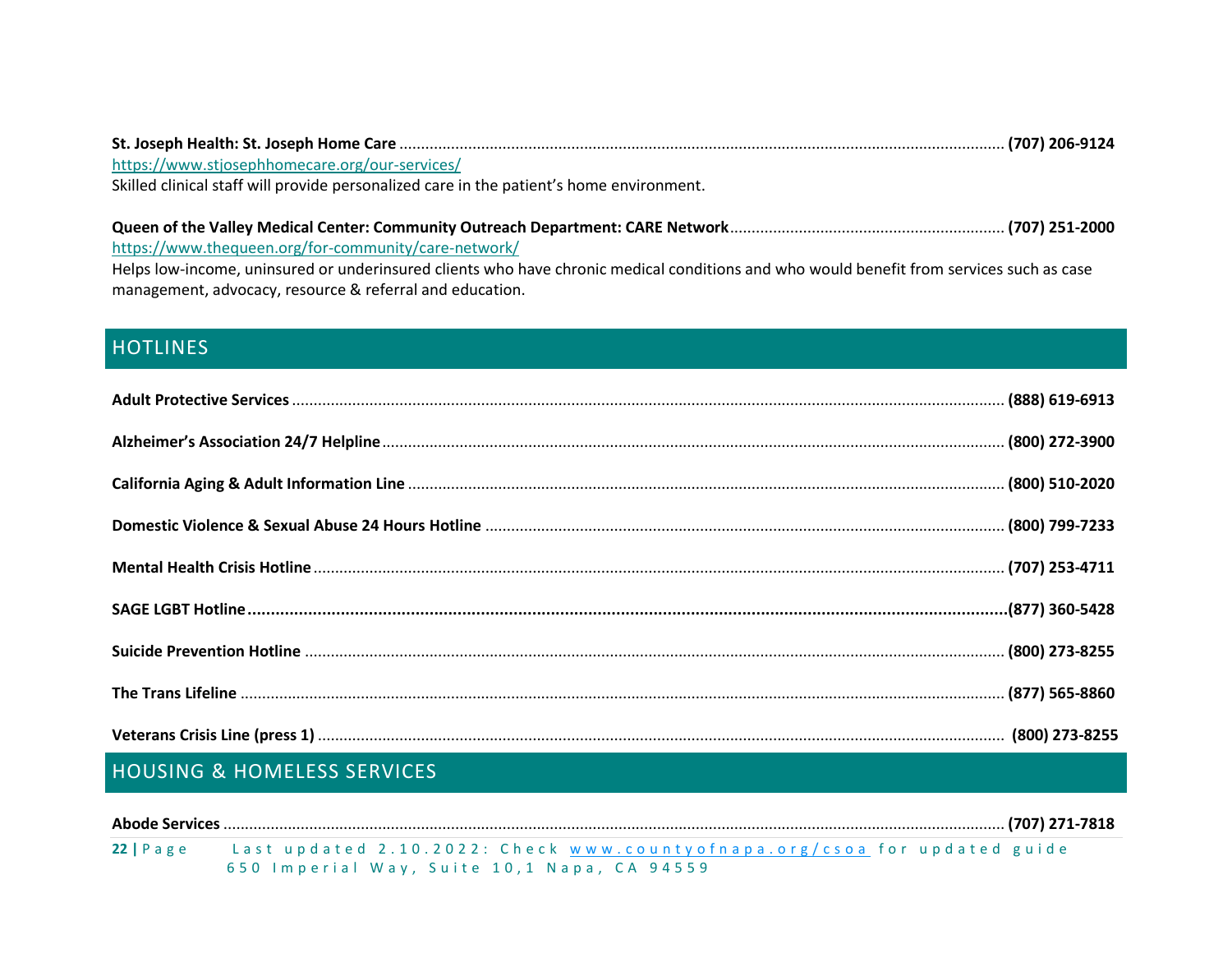| https://www.stjosephhomecare.org/our-services/                                           |  |
|------------------------------------------------------------------------------------------|--|
| Skilled clinical staff will provide personalized care in the patient's home environment. |  |
|                                                                                          |  |
|                                                                                          |  |

<https://www.thequeen.org/for-community/care-network/>

Helps low-income, uninsured or underinsured clients who have chronic medical conditions and who would benefit from services such as case management, advocacy, resource & referral and education.

# <span id="page-21-0"></span>**HOTLINES**

# <span id="page-21-1"></span>HOUSING & HOMELESS SERVICES

| $22$   Page | Last updated 2.10.2022: Check www.countyofnapa.org/csoa for updated guide |
|-------------|---------------------------------------------------------------------------|
|             | 650 Imperial Way, Suite 10,1 Napa, CA 94559                               |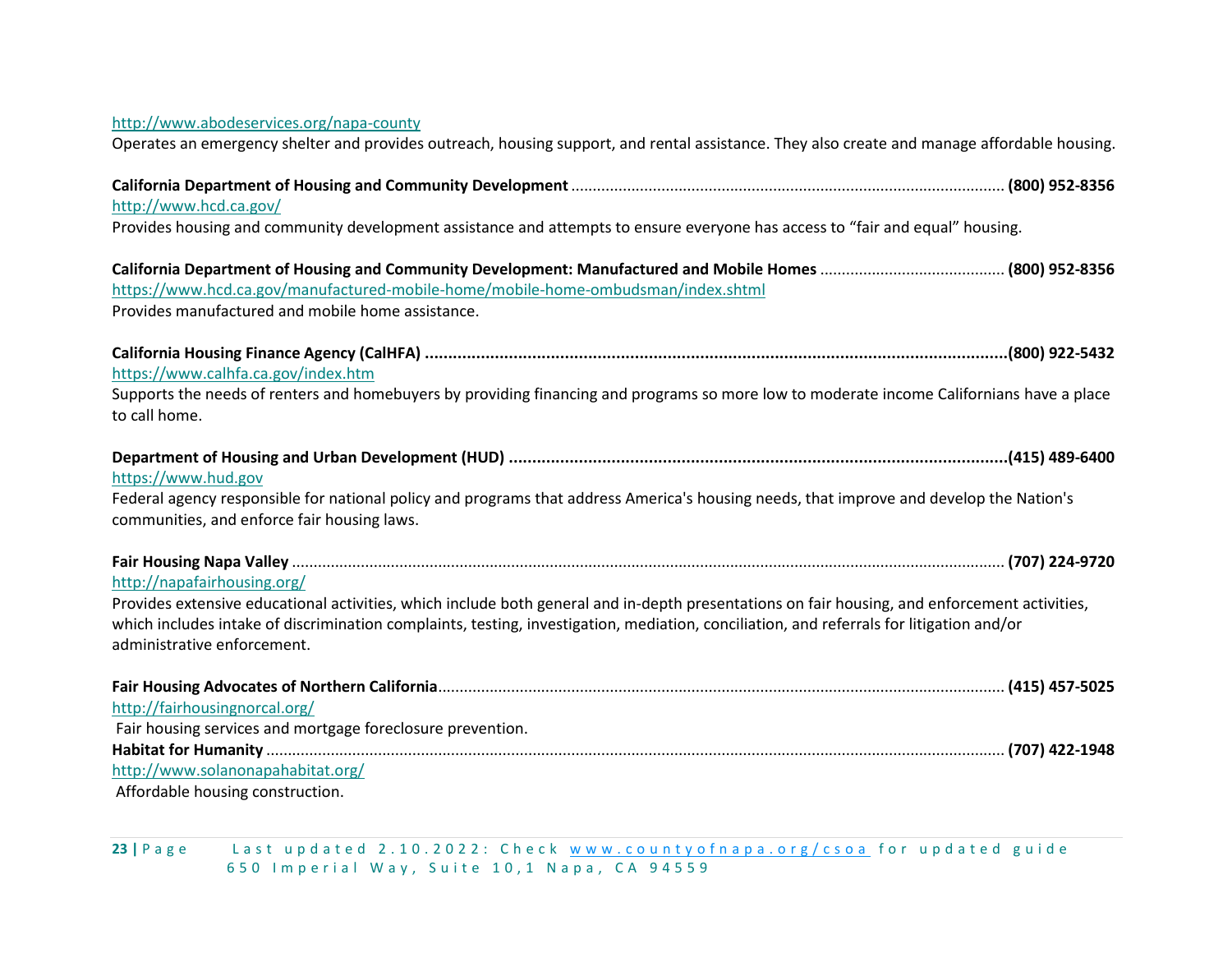#### <http://www.abodeservices.org/napa-county>

Operates an emergency shelter and provides outreach, housing support, and rental assistance. They also create and manage affordable housing.

| http://www.hcd.ca.gov/                                                                                                                                                                                                                                                                                                   |  |
|--------------------------------------------------------------------------------------------------------------------------------------------------------------------------------------------------------------------------------------------------------------------------------------------------------------------------|--|
| Provides housing and community development assistance and attempts to ensure everyone has access to "fair and equal" housing.                                                                                                                                                                                            |  |
| https://www.hcd.ca.gov/manufactured-mobile-home/mobile-home-ombudsman/index.shtml<br>Provides manufactured and mobile home assistance.                                                                                                                                                                                   |  |
| https://www.calhfa.ca.gov/index.htm                                                                                                                                                                                                                                                                                      |  |
| Supports the needs of renters and homebuyers by providing financing and programs so more low to moderate income Californians have a place<br>to call home.                                                                                                                                                               |  |
| https://www.hud.gov                                                                                                                                                                                                                                                                                                      |  |
| Federal agency responsible for national policy and programs that address America's housing needs, that improve and develop the Nation's<br>communities, and enforce fair housing laws.                                                                                                                                   |  |
| http://napafairhousing.org/                                                                                                                                                                                                                                                                                              |  |
| Provides extensive educational activities, which include both general and in-depth presentations on fair housing, and enforcement activities,<br>which includes intake of discrimination complaints, testing, investigation, mediation, conciliation, and referrals for litigation and/or<br>administrative enforcement. |  |
| http://fairhousingnorcal.org/                                                                                                                                                                                                                                                                                            |  |
| Fair housing services and mortgage foreclosure prevention.<br>http://www.solanonapahabitat.org/                                                                                                                                                                                                                          |  |
| Affordable housing construction.                                                                                                                                                                                                                                                                                         |  |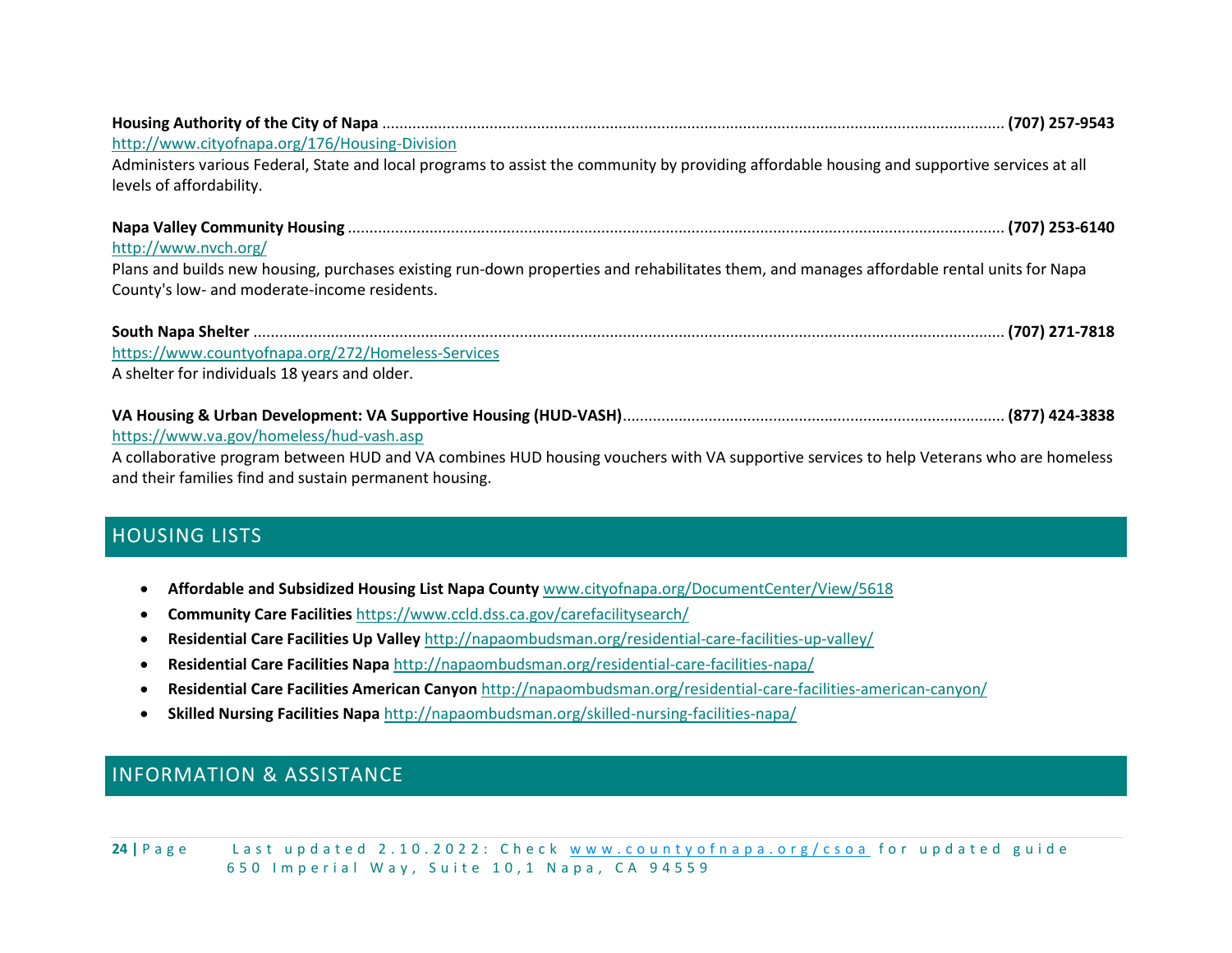| http://www.cityofnapa.org/176/Housing-Division<br>Administers various Federal, State and local programs to assist the community by providing affordable housing and supportive services at all<br>levels of affordability. |  |
|----------------------------------------------------------------------------------------------------------------------------------------------------------------------------------------------------------------------------|--|
|                                                                                                                                                                                                                            |  |
| http://www.nvch.org/                                                                                                                                                                                                       |  |
| Plans and builds new housing, purchases existing run-down properties and rehabilitates them, and manages affordable rental units for Napa                                                                                  |  |
| County's low- and moderate-income residents.                                                                                                                                                                               |  |
|                                                                                                                                                                                                                            |  |
| https://www.countyofnapa.org/272/Homeless-Services                                                                                                                                                                         |  |
| A shelter for individuals 18 years and older.                                                                                                                                                                              |  |
|                                                                                                                                                                                                                            |  |
| https://www.va.gov/homeless/hud-vash.asp                                                                                                                                                                                   |  |
| A collaborative program between HUD and VA combines HUD housing vouchers with VA supportive services to help Veterans who are homeless                                                                                     |  |
| and their families find and sustain permanent housing.                                                                                                                                                                     |  |

# <span id="page-23-0"></span>HOUSING LISTS

- **Affordable and Subsidized Housing List Napa County** [www.cityofnapa.org/DocumentCenter/View/5618](http://www.cityofnapa.org/DocumentCenter/View/5618)
- **Community Care Facilities** <https://www.ccld.dss.ca.gov/carefacilitysearch/>
- **Residential Care Facilities Up Valley** <http://napaombudsman.org/residential-care-facilities-up-valley/>
- **Residential Care Facilities Napa** <http://napaombudsman.org/residential-care-facilities-napa/>
- **Residential Care Facilities American Canyon** <http://napaombudsman.org/residential-care-facilities-american-canyon/>
- **Skilled Nursing Facilities Napa** <http://napaombudsman.org/skilled-nursing-facilities-napa/>

# <span id="page-23-1"></span>INFORMATION & ASSISTANCE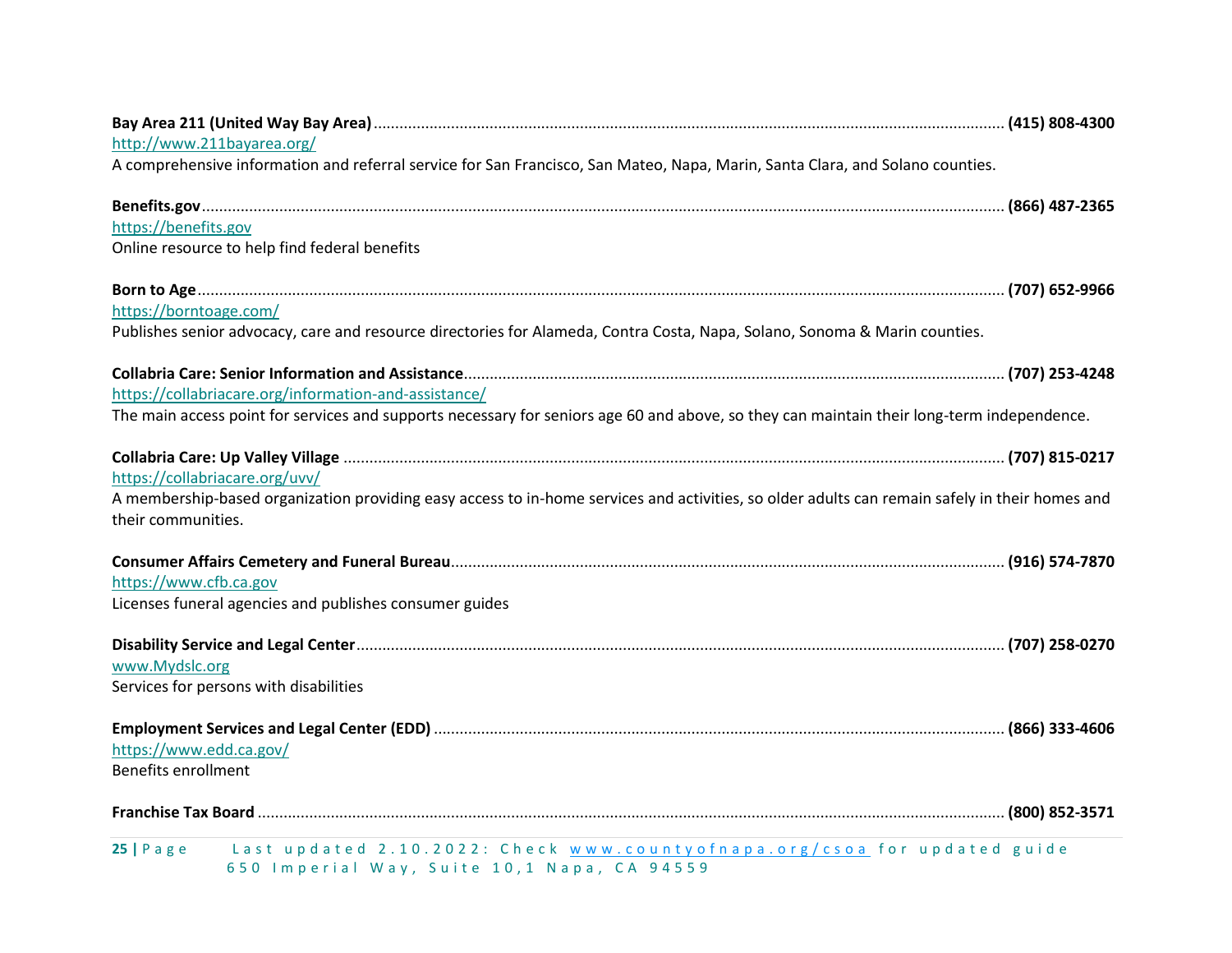| http://www.211bayarea.org/                                                                                                                                                                                                     |  |
|--------------------------------------------------------------------------------------------------------------------------------------------------------------------------------------------------------------------------------|--|
| A comprehensive information and referral service for San Francisco, San Mateo, Napa, Marin, Santa Clara, and Solano counties.                                                                                                  |  |
| 866) 487-2365 (866) 487-2365. يست مستقدم المستقدم المستقدم المستقدم المستقدم المستقدم المستقدم المستقدم المستقدم المستقدم المستقدم المستقدم المستقدم المستقدم المستقدم المستقدم المستقدم المستقدم المستقدم المستقدم المستقدم ا |  |
| https://benefits.gov                                                                                                                                                                                                           |  |
| Online resource to help find federal benefits                                                                                                                                                                                  |  |
|                                                                                                                                                                                                                                |  |
| https://borntoage.com/                                                                                                                                                                                                         |  |
| Publishes senior advocacy, care and resource directories for Alameda, Contra Costa, Napa, Solano, Sonoma & Marin counties.                                                                                                     |  |
|                                                                                                                                                                                                                                |  |
| https://collabriacare.org/information-and-assistance/                                                                                                                                                                          |  |
| The main access point for services and supports necessary for seniors age 60 and above, so they can maintain their long-term independence.                                                                                     |  |
|                                                                                                                                                                                                                                |  |
| https://collabriacare.org/uvv/                                                                                                                                                                                                 |  |
| A membership-based organization providing easy access to in-home services and activities, so older adults can remain safely in their homes and                                                                                 |  |
| their communities.                                                                                                                                                                                                             |  |
|                                                                                                                                                                                                                                |  |
| https://www.cfb.ca.gov                                                                                                                                                                                                         |  |
| Licenses funeral agencies and publishes consumer guides                                                                                                                                                                        |  |
|                                                                                                                                                                                                                                |  |
| www.Mydslc.org                                                                                                                                                                                                                 |  |
| Services for persons with disabilities                                                                                                                                                                                         |  |
|                                                                                                                                                                                                                                |  |
| https://www.edd.ca.gov/                                                                                                                                                                                                        |  |
| <b>Benefits enrollment</b>                                                                                                                                                                                                     |  |
|                                                                                                                                                                                                                                |  |
| Last updated 2.10.2022: Check www.countyofnapa.org/csoa for updated guide<br>$25$   Page<br>650 Imperial Way, Suite 10,1 Napa, CA 94559                                                                                        |  |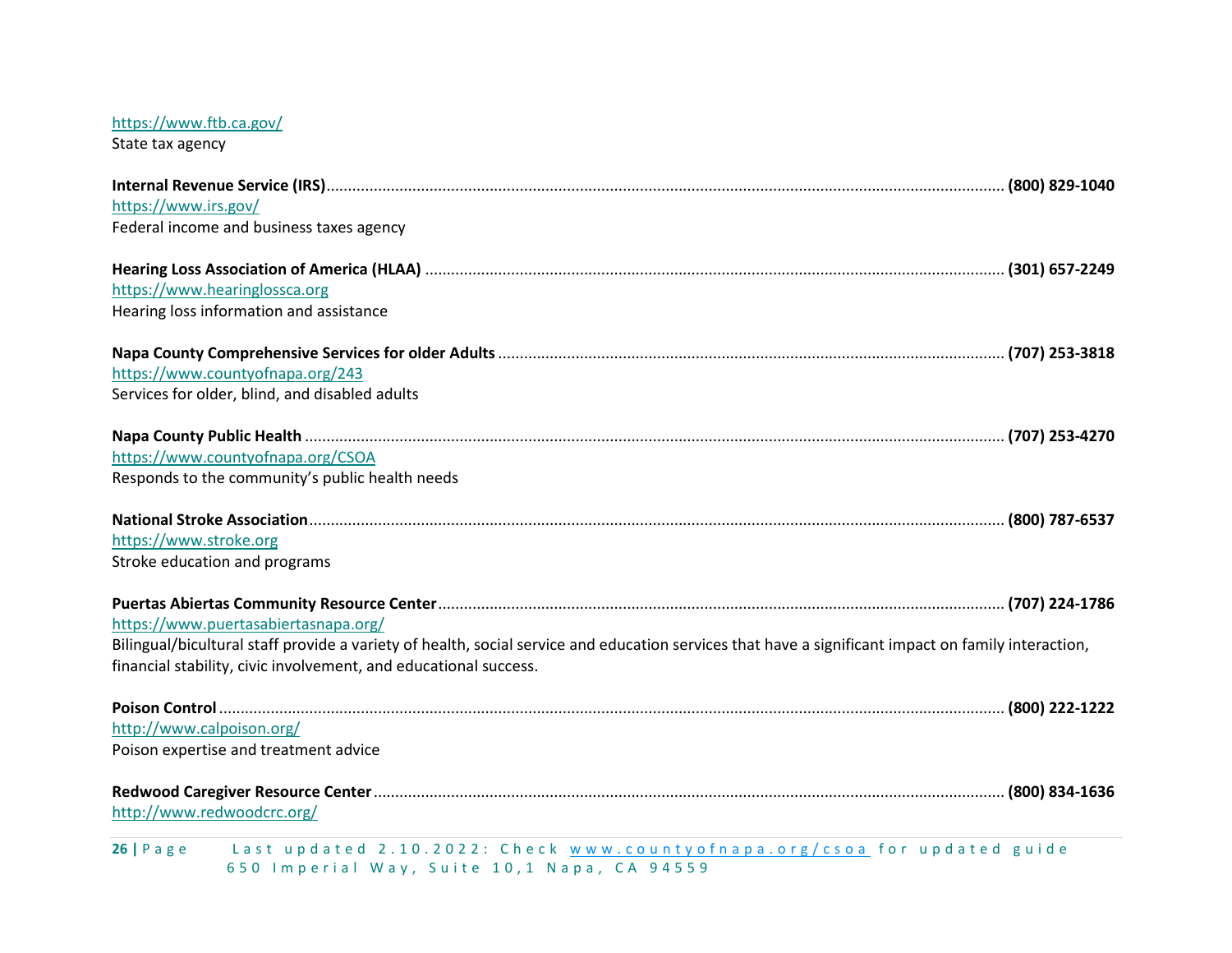# <https://www.ftb.ca.gov/>

State tax agency

| https://www.irs.gov/                                                                                                                                |  |
|-----------------------------------------------------------------------------------------------------------------------------------------------------|--|
| Federal income and business taxes agency                                                                                                            |  |
|                                                                                                                                                     |  |
| https://www.hearinglossca.org                                                                                                                       |  |
| Hearing loss information and assistance                                                                                                             |  |
|                                                                                                                                                     |  |
| https://www.countyofnapa.org/243                                                                                                                    |  |
| Services for older, blind, and disabled adults                                                                                                      |  |
|                                                                                                                                                     |  |
| https://www.countyofnapa.org/CSOA                                                                                                                   |  |
| Responds to the community's public health needs                                                                                                     |  |
|                                                                                                                                                     |  |
| https://www.stroke.org                                                                                                                              |  |
| Stroke education and programs                                                                                                                       |  |
|                                                                                                                                                     |  |
| https://www.puertasabiertasnapa.org/                                                                                                                |  |
| Bilingual/bicultural staff provide a variety of health, social service and education services that have a significant impact on family interaction, |  |
| financial stability, civic involvement, and educational success.                                                                                    |  |
|                                                                                                                                                     |  |
| http://www.calpoison.org/                                                                                                                           |  |
| Poison expertise and treatment advice                                                                                                               |  |
|                                                                                                                                                     |  |
| http://www.redwoodcrc.org/                                                                                                                          |  |
| 26   Page Last updated 2.10.2022: Check www.countyofnapa.org/csoa for updated guide                                                                 |  |

6 5 0 Imperial Way, Suite 10, 1 Napa, CA 94559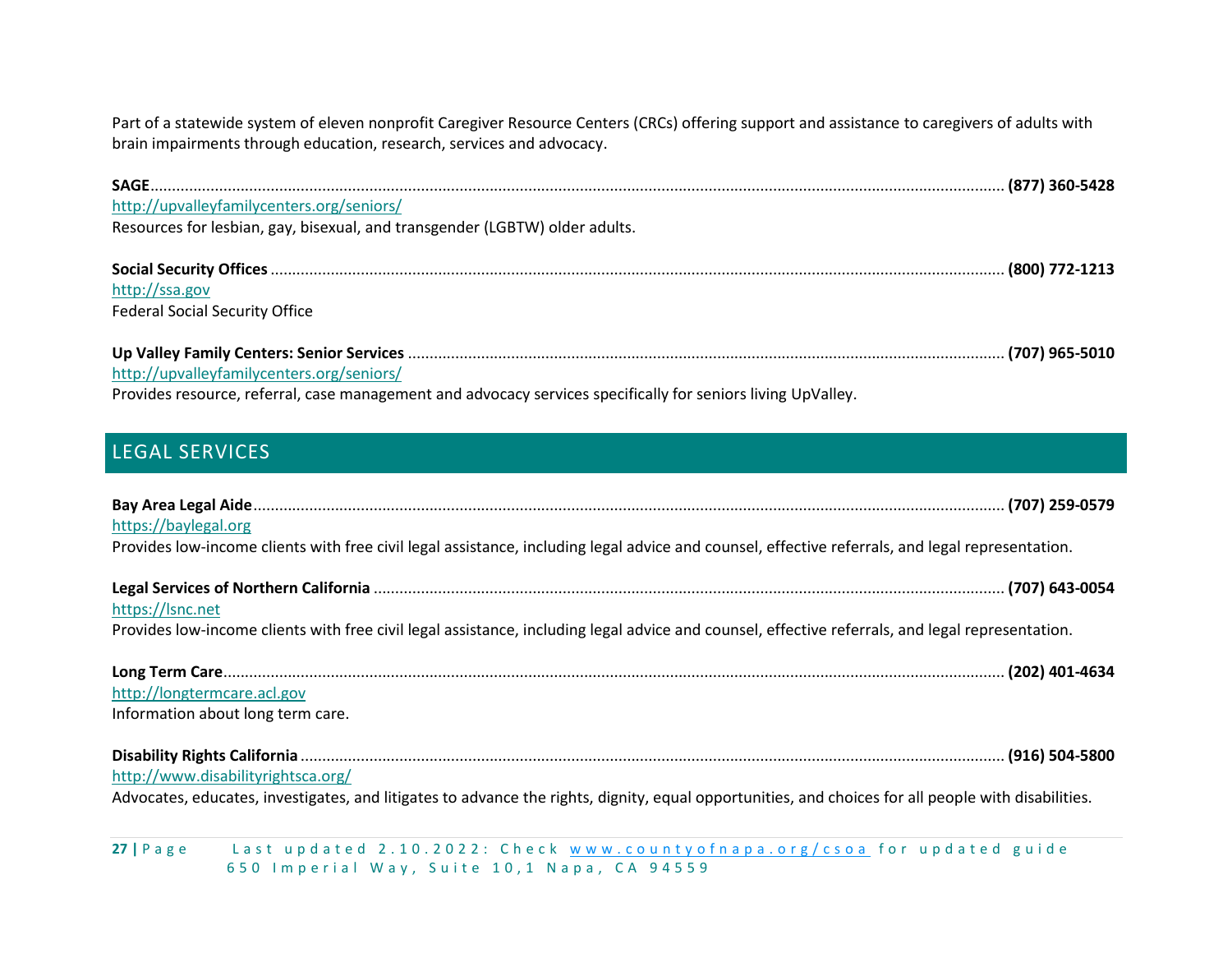Part of a statewide system of eleven nonprofit Caregiver Resource Centers (CRCs) offering support and assistance to caregivers of adults with brain impairments through education, research, services and advocacy.

| http://upvalleyfamilycenters.org/seniors/                                                                    |  |
|--------------------------------------------------------------------------------------------------------------|--|
| Resources for lesbian, gay, bisexual, and transgender (LGBTW) older adults.                                  |  |
|                                                                                                              |  |
| http://ssa.gov                                                                                               |  |
| <b>Federal Social Security Office</b>                                                                        |  |
|                                                                                                              |  |
| http://upvalleyfamilycenters.org/seniors/                                                                    |  |
| Provides resource, referral, case management and advocacy services specifically for seniors living UpValley. |  |

# <span id="page-26-0"></span>LEGAL SERVICES

| https://baylegal.org<br>Provides low-income clients with free civil legal assistance, including legal advice and counsel, effective referrals, and legal representation.                  |
|-------------------------------------------------------------------------------------------------------------------------------------------------------------------------------------------|
| https://lsnc.net<br>Provides low-income clients with free civil legal assistance, including legal advice and counsel, effective referrals, and legal representation.                      |
| http://longtermcare.acl.gov<br>Information about long term care.                                                                                                                          |
| http://www.disabilityrightsca.org/<br>Advocates, educates, investigates, and litigates to advance the rights, dignity, equal opportunities, and choices for all people with disabilities. |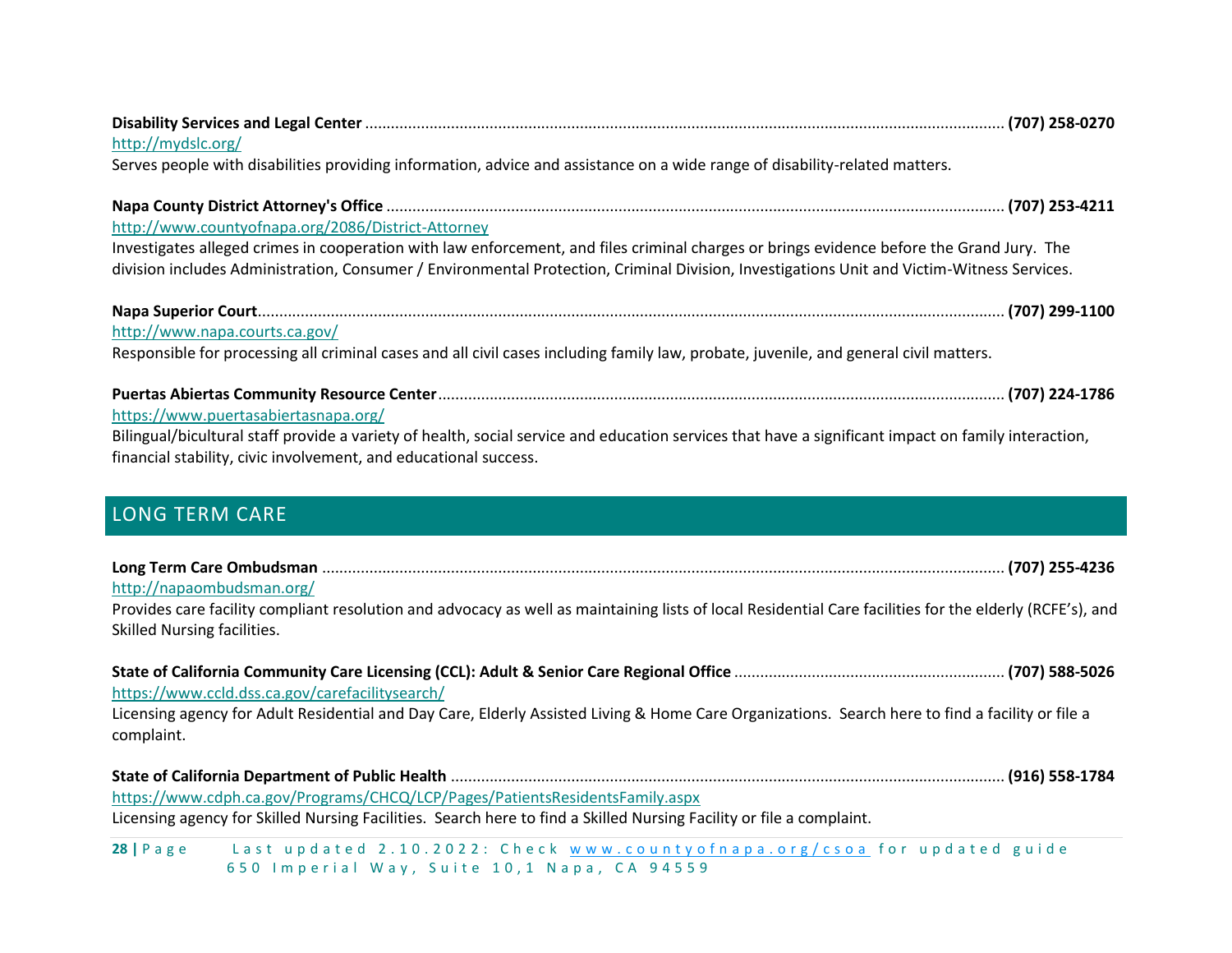<span id="page-27-0"></span>

| http://www.countyofnapa.org/2086/District-Attorney<br>Investigates alleged crimes in cooperation with law enforcement, and files criminal charges or brings evidence before the Grand Jury. The<br>division includes Administration, Consumer / Environmental Protection, Criminal Division, Investigations Unit and Victim-Witness Services.<br>http://www.napa.courts.ca.gov/<br>Responsible for processing all criminal cases and all civil cases including family law, probate, juvenile, and general civil matters.<br>https://www.puertasabiertasnapa.org/<br>Bilingual/bicultural staff provide a variety of health, social service and education services that have a significant impact on family interaction,<br>financial stability, civic involvement, and educational success.<br><b>LONG TERM CARE</b><br>http://napaombudsman.org/<br>Provides care facility compliant resolution and advocacy as well as maintaining lists of local Residential Care facilities for the elderly (RCFE's), and<br>Skilled Nursing facilities.<br>https://www.ccld.dss.ca.gov/carefacilitysearch/<br>Licensing agency for Adult Residential and Day Care, Elderly Assisted Living & Home Care Organizations. Search here to find a facility or file a<br>complaint. | http://mydslc.org/                                                                                                          |
|-------------------------------------------------------------------------------------------------------------------------------------------------------------------------------------------------------------------------------------------------------------------------------------------------------------------------------------------------------------------------------------------------------------------------------------------------------------------------------------------------------------------------------------------------------------------------------------------------------------------------------------------------------------------------------------------------------------------------------------------------------------------------------------------------------------------------------------------------------------------------------------------------------------------------------------------------------------------------------------------------------------------------------------------------------------------------------------------------------------------------------------------------------------------------------------------------------------------------------------------------------------------|-----------------------------------------------------------------------------------------------------------------------------|
|                                                                                                                                                                                                                                                                                                                                                                                                                                                                                                                                                                                                                                                                                                                                                                                                                                                                                                                                                                                                                                                                                                                                                                                                                                                                   | Serves people with disabilities providing information, advice and assistance on a wide range of disability-related matters. |
|                                                                                                                                                                                                                                                                                                                                                                                                                                                                                                                                                                                                                                                                                                                                                                                                                                                                                                                                                                                                                                                                                                                                                                                                                                                                   |                                                                                                                             |
|                                                                                                                                                                                                                                                                                                                                                                                                                                                                                                                                                                                                                                                                                                                                                                                                                                                                                                                                                                                                                                                                                                                                                                                                                                                                   |                                                                                                                             |
|                                                                                                                                                                                                                                                                                                                                                                                                                                                                                                                                                                                                                                                                                                                                                                                                                                                                                                                                                                                                                                                                                                                                                                                                                                                                   |                                                                                                                             |
|                                                                                                                                                                                                                                                                                                                                                                                                                                                                                                                                                                                                                                                                                                                                                                                                                                                                                                                                                                                                                                                                                                                                                                                                                                                                   |                                                                                                                             |
|                                                                                                                                                                                                                                                                                                                                                                                                                                                                                                                                                                                                                                                                                                                                                                                                                                                                                                                                                                                                                                                                                                                                                                                                                                                                   |                                                                                                                             |
|                                                                                                                                                                                                                                                                                                                                                                                                                                                                                                                                                                                                                                                                                                                                                                                                                                                                                                                                                                                                                                                                                                                                                                                                                                                                   |                                                                                                                             |
|                                                                                                                                                                                                                                                                                                                                                                                                                                                                                                                                                                                                                                                                                                                                                                                                                                                                                                                                                                                                                                                                                                                                                                                                                                                                   |                                                                                                                             |
| https://www.cdph.ca.gov/Programs/CHCQ/LCP/Pages/PatientsResidentsFamily.aspx<br>Licensing agency for Skilled Nursing Facilities. Search here to find a Skilled Nursing Facility or file a complaint.<br>Last updated 2.10.2022: Check www.countyofnapa.org/csoa for updated guide<br>$28$   Page                                                                                                                                                                                                                                                                                                                                                                                                                                                                                                                                                                                                                                                                                                                                                                                                                                                                                                                                                                  |                                                                                                                             |

650 Imperial Way, Suite 10,1 Napa, CA 94559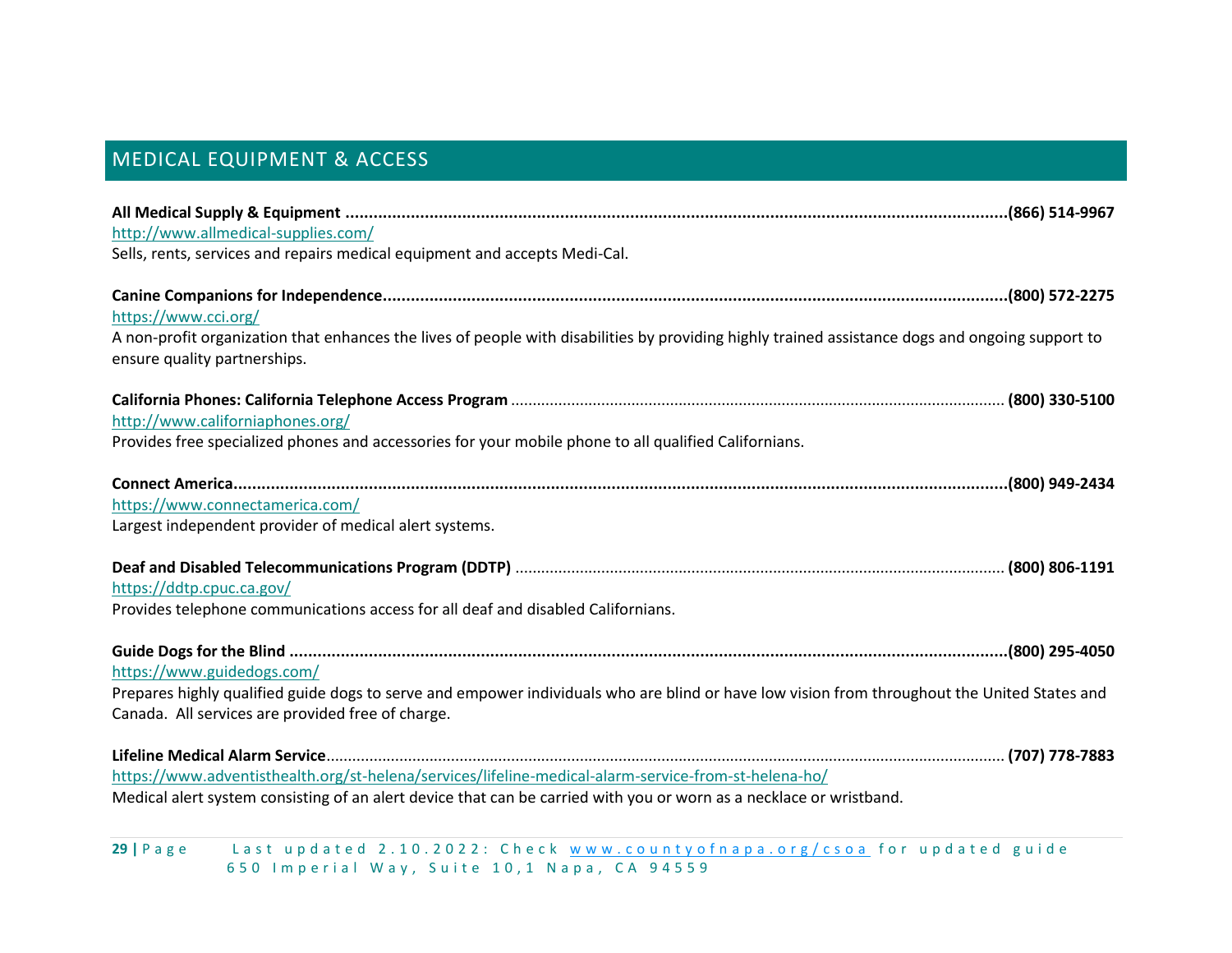# <span id="page-28-0"></span>MEDICAL EQUIPMENT & ACCESS

| http://www.allmedical-supplies.com/                                                                                                              |  |
|--------------------------------------------------------------------------------------------------------------------------------------------------|--|
| Sells, rents, services and repairs medical equipment and accepts Medi-Cal.                                                                       |  |
|                                                                                                                                                  |  |
| https://www.cci.org/                                                                                                                             |  |
| A non-profit organization that enhances the lives of people with disabilities by providing highly trained assistance dogs and ongoing support to |  |
| ensure quality partnerships.                                                                                                                     |  |
|                                                                                                                                                  |  |
| http://www.californiaphones.org/                                                                                                                 |  |
| Provides free specialized phones and accessories for your mobile phone to all qualified Californians.                                            |  |
|                                                                                                                                                  |  |
| https://www.connectamerica.com/                                                                                                                  |  |
| Largest independent provider of medical alert systems.                                                                                           |  |
|                                                                                                                                                  |  |
| https://ddtp.cpuc.ca.gov/                                                                                                                        |  |
| Provides telephone communications access for all deaf and disabled Californians.                                                                 |  |
|                                                                                                                                                  |  |
| https://www.guidedogs.com/                                                                                                                       |  |
| Prepares highly qualified guide dogs to serve and empower individuals who are blind or have low vision from throughout the United States and     |  |
| Canada. All services are provided free of charge.                                                                                                |  |
|                                                                                                                                                  |  |
| https://www.adventisthealth.org/st-helena/services/lifeline-medical-alarm-service-from-st-helena-ho/                                             |  |
| Medical alert system consisting of an alert device that can be carried with you or worn as a necklace or wristband.                              |  |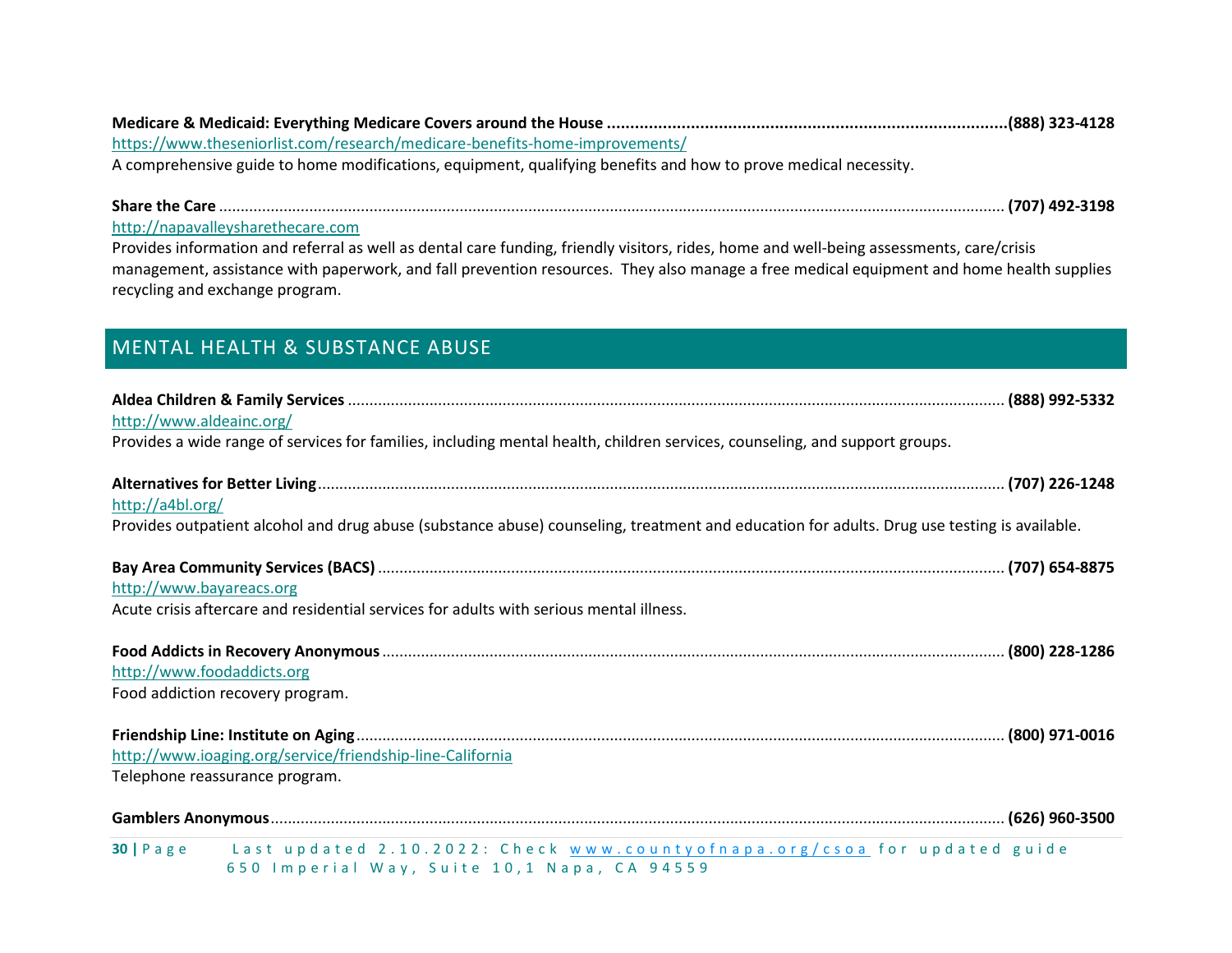**Medicare & Medicaid: Everything Medicare Covers around the House ......................................................................................(888) 323-4128** <https://www.theseniorlist.com/research/medicare-benefits-home-improvements/>

A comprehensive guide to home modifications, equipment, qualifying benefits and how to prove medical necessity.

**Share the Care** ....................................................................................................................................................................................... **(707) 492-3198**

[http://napavalleysharethecare.com](http://napavalleysharethecare.com/)

Provides information and referral as well as dental care funding, friendly visitors, rides, home and well-being assessments, care/crisis management, assistance with paperwork, and fall prevention resources. They also manage a free medical equipment and home health supplies recycling and exchange program.

# <span id="page-29-0"></span>MENTAL HEALTH & SUBSTANCE ABUSE

| http://www.aldeainc.org/         |                                                                                                                                             |  |
|----------------------------------|---------------------------------------------------------------------------------------------------------------------------------------------|--|
|                                  | Provides a wide range of services for families, including mental health, children services, counseling, and support groups.                 |  |
|                                  |                                                                                                                                             |  |
| http://a4bl.org/                 |                                                                                                                                             |  |
|                                  | Provides outpatient alcohol and drug abuse (substance abuse) counseling, treatment and education for adults. Drug use testing is available. |  |
|                                  |                                                                                                                                             |  |
| http://www.bayareacs.org         |                                                                                                                                             |  |
|                                  | Acute crisis aftercare and residential services for adults with serious mental illness.                                                     |  |
|                                  |                                                                                                                                             |  |
| http://www.foodaddicts.org       |                                                                                                                                             |  |
| Food addiction recovery program. |                                                                                                                                             |  |
|                                  |                                                                                                                                             |  |
|                                  | http://www.ioaging.org/service/friendship-line-California                                                                                   |  |
| Telephone reassurance program.   |                                                                                                                                             |  |
|                                  |                                                                                                                                             |  |
|                                  | 30   Page Last updated 2.10.2022: Check www.countyofnapa.org/csoa for updated guide                                                         |  |
|                                  | 650 Imperial Way, Suite 10,1 Napa, CA 94559                                                                                                 |  |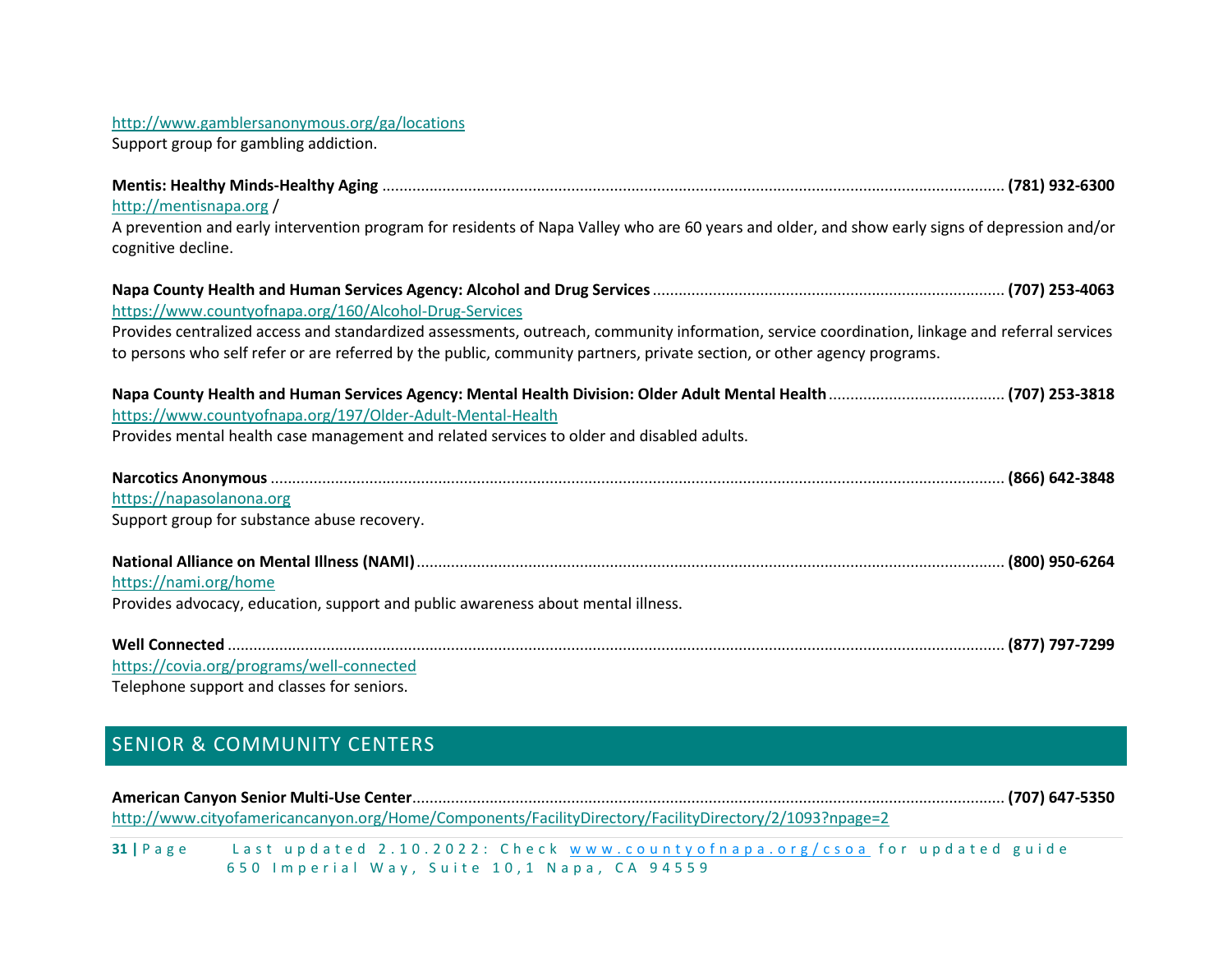#### <http://www.gamblersanonymous.org/ga/locations>

Support group for gambling addiction.

| http://mentisnapa.org/                                                                                                                                                                                                                                                    |
|---------------------------------------------------------------------------------------------------------------------------------------------------------------------------------------------------------------------------------------------------------------------------|
| A prevention and early intervention program for residents of Napa Valley who are 60 years and older, and show early signs of depression and/or<br>cognitive decline.                                                                                                      |
|                                                                                                                                                                                                                                                                           |
| https://www.countyofnapa.org/160/Alcohol-Drug-Services                                                                                                                                                                                                                    |
| Provides centralized access and standardized assessments, outreach, community information, service coordination, linkage and referral services<br>to persons who self refer or are referred by the public, community partners, private section, or other agency programs. |
|                                                                                                                                                                                                                                                                           |
| https://www.countyofnapa.org/197/Older-Adult-Mental-Health                                                                                                                                                                                                                |
| Provides mental health case management and related services to older and disabled adults.                                                                                                                                                                                 |
|                                                                                                                                                                                                                                                                           |
|                                                                                                                                                                                                                                                                           |
| https://napasolanona.org                                                                                                                                                                                                                                                  |
| Support group for substance abuse recovery.                                                                                                                                                                                                                               |
|                                                                                                                                                                                                                                                                           |
| https://nami.org/home                                                                                                                                                                                                                                                     |
| Provides advocacy, education, support and public awareness about mental illness.                                                                                                                                                                                          |
|                                                                                                                                                                                                                                                                           |
|                                                                                                                                                                                                                                                                           |
| https://covia.org/programs/well-connected                                                                                                                                                                                                                                 |
| Telephone support and classes for seniors.                                                                                                                                                                                                                                |

# <span id="page-30-0"></span>SENIOR & COMMUNITY CENTERS

|             | http://www.cityofamericancanyon.org/Home/Components/FacilityDirectory/FacilityDirectory/2/1093?npage=2 |  |
|-------------|--------------------------------------------------------------------------------------------------------|--|
| $31$   Page | Last updated 2.10.2022: Check www.countyofnapa.org/csoa for updated guide                              |  |
|             | 650 Imperial Way, Suite 10,1 Napa, CA 94559                                                            |  |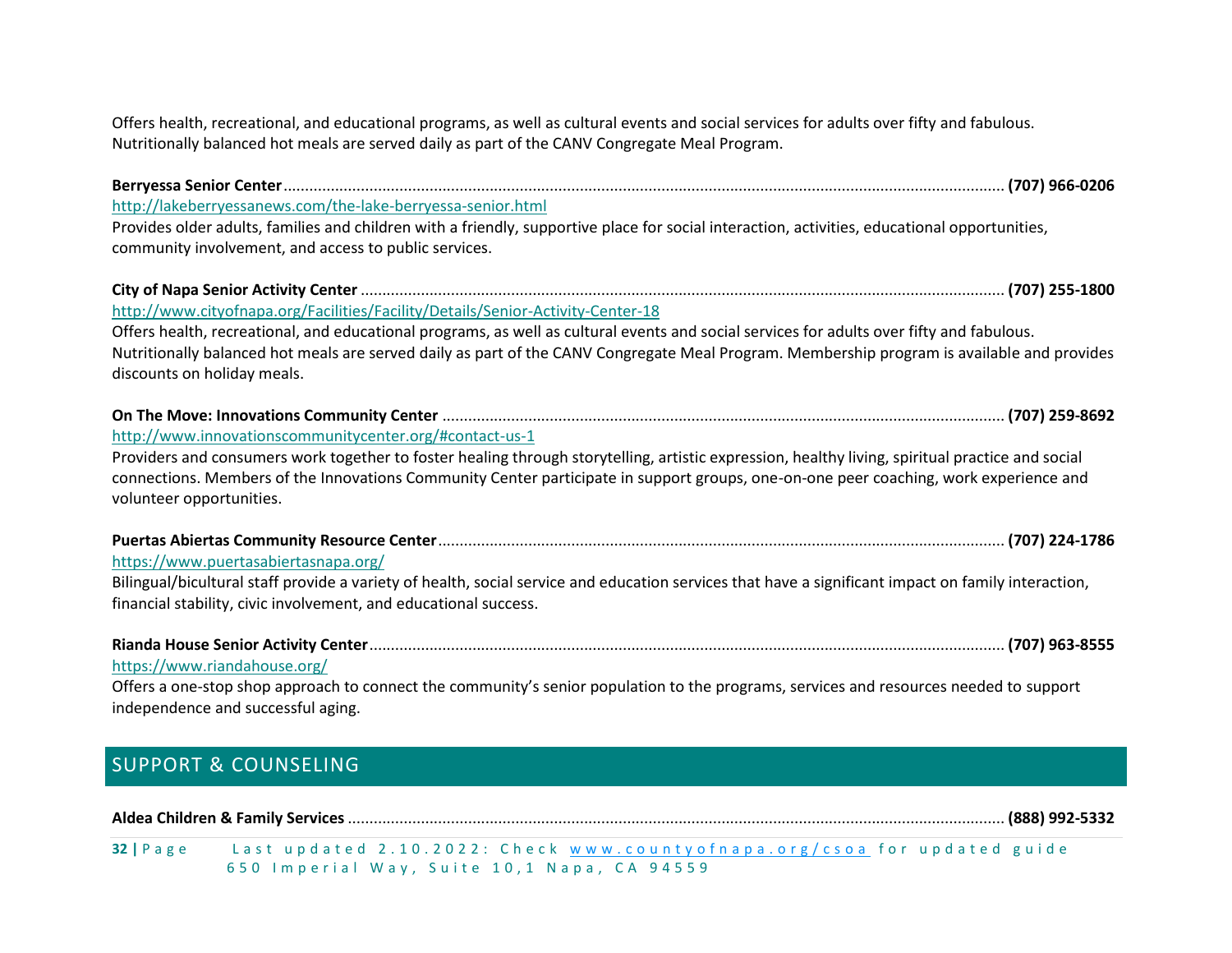Offers health, recreational, and educational programs, as well as cultural events and social services for adults over fifty and fabulous. Nutritionally balanced hot meals are served daily as part of the CANV Congregate Meal Program.

| http://lakeberryessanews.com/the-lake-berryessa-senior.html                                                                                                                                                                                                                                                           |
|-----------------------------------------------------------------------------------------------------------------------------------------------------------------------------------------------------------------------------------------------------------------------------------------------------------------------|
| Provides older adults, families and children with a friendly, supportive place for social interaction, activities, educational opportunities,                                                                                                                                                                         |
| community involvement, and access to public services.                                                                                                                                                                                                                                                                 |
|                                                                                                                                                                                                                                                                                                                       |
| http://www.cityofnapa.org/Facilities/Facility/Details/Senior-Activity-Center-18                                                                                                                                                                                                                                       |
| Offers health, recreational, and educational programs, as well as cultural events and social services for adults over fifty and fabulous.<br>Nutritionally balanced hot meals are served daily as part of the CANV Congregate Meal Program. Membership program is available and provides                              |
| discounts on holiday meals.                                                                                                                                                                                                                                                                                           |
|                                                                                                                                                                                                                                                                                                                       |
| http://www.innovationscommunitycenter.org/#contact-us-1                                                                                                                                                                                                                                                               |
| Providers and consumers work together to foster healing through storytelling, artistic expression, healthy living, spiritual practice and social<br>connections. Members of the Innovations Community Center participate in support groups, one-on-one peer coaching, work experience and<br>volunteer opportunities. |
|                                                                                                                                                                                                                                                                                                                       |
| https://www.puertasabiertasnapa.org/                                                                                                                                                                                                                                                                                  |
| Bilingual/bicultural staff provide a variety of health, social service and education services that have a significant impact on family interaction,                                                                                                                                                                   |
| financial stability, civic involvement, and educational success.                                                                                                                                                                                                                                                      |
|                                                                                                                                                                                                                                                                                                                       |
| https://www.riandahouse.org/                                                                                                                                                                                                                                                                                          |
| Offers a one-stop shop approach to connect the community's senior population to the programs, services and resources needed to support                                                                                                                                                                                |
| independence and successful aging.                                                                                                                                                                                                                                                                                    |

# <span id="page-31-0"></span>SUPPORT & COUNSELING

#### **Aldea Children & Family Services**......................................................................................................................................................... **(888) 992-5332**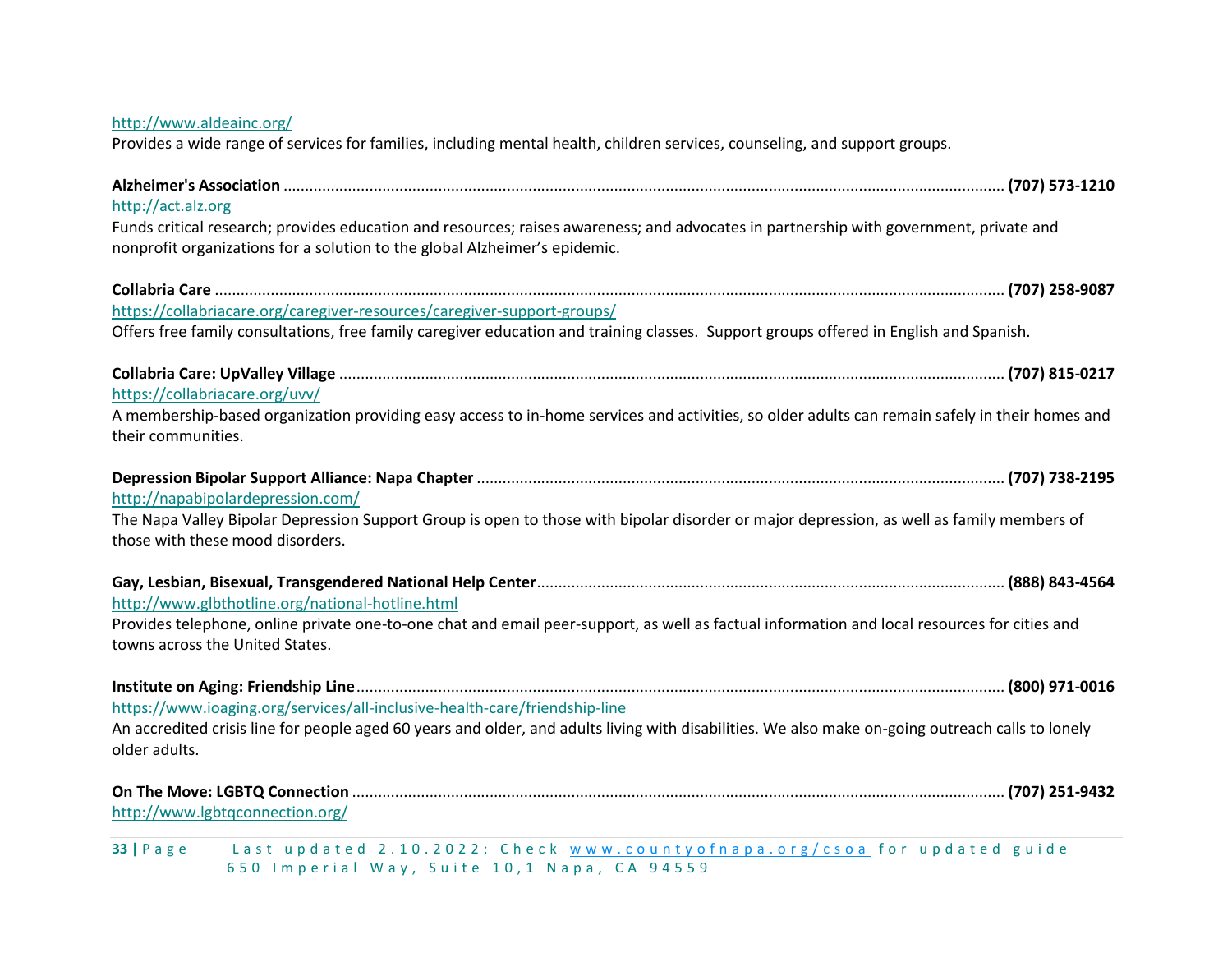#### <http://www.aldeainc.org/>

Provides a wide range of services for families, including mental health, children services, counseling, and support groups.

| http://act.alz.org                                                                                                                                                 |  |
|--------------------------------------------------------------------------------------------------------------------------------------------------------------------|--|
| Funds critical research; provides education and resources; raises awareness; and advocates in partnership with government, private and                             |  |
| nonprofit organizations for a solution to the global Alzheimer's epidemic.                                                                                         |  |
|                                                                                                                                                                    |  |
| https://collabriacare.org/caregiver-resources/caregiver-support-groups/                                                                                            |  |
| Offers free family consultations, free family caregiver education and training classes. Support groups offered in English and Spanish.                             |  |
|                                                                                                                                                                    |  |
| https://collabriacare.org/uvv/                                                                                                                                     |  |
| A membership-based organization providing easy access to in-home services and activities, so older adults can remain safely in their homes and                     |  |
| their communities.                                                                                                                                                 |  |
|                                                                                                                                                                    |  |
| http://napabipolardepression.com/                                                                                                                                  |  |
| The Napa Valley Bipolar Depression Support Group is open to those with bipolar disorder or major depression, as well as family members of                          |  |
| those with these mood disorders.                                                                                                                                   |  |
|                                                                                                                                                                    |  |
| http://www.glbthotline.org/national-hotline.html                                                                                                                   |  |
| Provides telephone, online private one-to-one chat and email peer-support, as well as factual information and local resources for cities and                       |  |
| towns across the United States.                                                                                                                                    |  |
|                                                                                                                                                                    |  |
| https://www.ioaging.org/services/all-inclusive-health-care/friendship-line                                                                                         |  |
| An accredited crisis line for people aged 60 years and older, and adults living with disabilities. We also make on-going outreach calls to lonely<br>older adults. |  |
|                                                                                                                                                                    |  |
| http://www.lgbtqconnection.org/                                                                                                                                    |  |
| Last updated 2.10.2022: Check www.countyofnapa.org/csoa for updated guide<br>$33   P \text{ a } g \text{ e}$                                                       |  |
| 650 Imperial Way, Suite 10,1 Napa, CA 94559                                                                                                                        |  |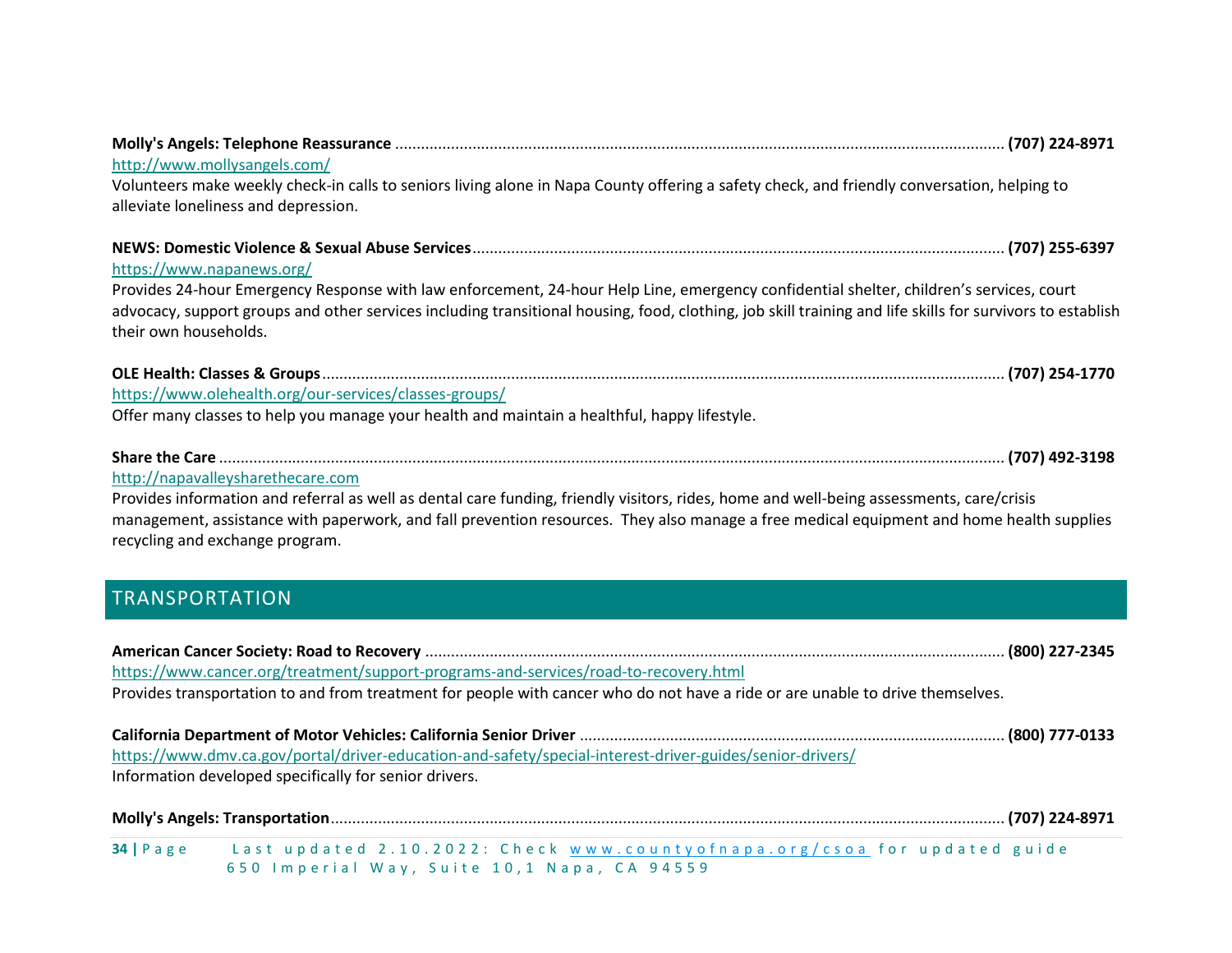| http://www.mollysangels.com/                                                                                                                              |  |
|-----------------------------------------------------------------------------------------------------------------------------------------------------------|--|
| Volunteers make weekly check-in calls to seniors living alone in Napa County offering a safety check, and friendly conversation, helping to               |  |
| alleviate loneliness and depression.                                                                                                                      |  |
|                                                                                                                                                           |  |
|                                                                                                                                                           |  |
| https://www.napanews.org/                                                                                                                                 |  |
| Provides 24-hour Emergency Response with law enforcement, 24-hour Help Line, emergency confidential shelter, children's services, court                   |  |
| advocacy, support groups and other services including transitional housing, food, clothing, job skill training and life skills for survivors to establish |  |
| their own households.                                                                                                                                     |  |
|                                                                                                                                                           |  |
|                                                                                                                                                           |  |
| https://www.olehealth.org/our-services/classes-groups/                                                                                                    |  |
| Offer many classes to help you manage your health and maintain a healthful, happy lifestyle.                                                              |  |
|                                                                                                                                                           |  |
| http://napavalleysharethecare.com                                                                                                                         |  |
| Provides information and referral as well as dental care funding, friendly visitors, rides, home and well-being assessments, care/crisis                  |  |
| management, assistance with paperwork, and fall prevention resources. They also manage a free medical equipment and home health supplies                  |  |
| recycling and exchange program.                                                                                                                           |  |
|                                                                                                                                                           |  |
| <b>TRANSPORTATION</b>                                                                                                                                     |  |
|                                                                                                                                                           |  |
|                                                                                                                                                           |  |
|                                                                                                                                                           |  |
| https://www.cancer.org/treatment/support-programs-and-services/road-to-recovery.html                                                                      |  |
| Provides transportation to and from treatment for people with cancer who do not have a ride or are unable to drive themselves.                            |  |
|                                                                                                                                                           |  |
| https://www.dmv.ca.gov/portal/driver-education-and-safety/special-interest-driver-guides/senior-drivers/                                                  |  |
| Information developed specifically for senior drivers.                                                                                                    |  |
|                                                                                                                                                           |  |
|                                                                                                                                                           |  |
| Last updated 2.10.2022: Check www.countyofnapa.org/csoa for updated guide<br>$34$   Page                                                                  |  |

<span id="page-33-0"></span>6 5 0 Imperial Way, Suite 10, 1 Napa, CA 94559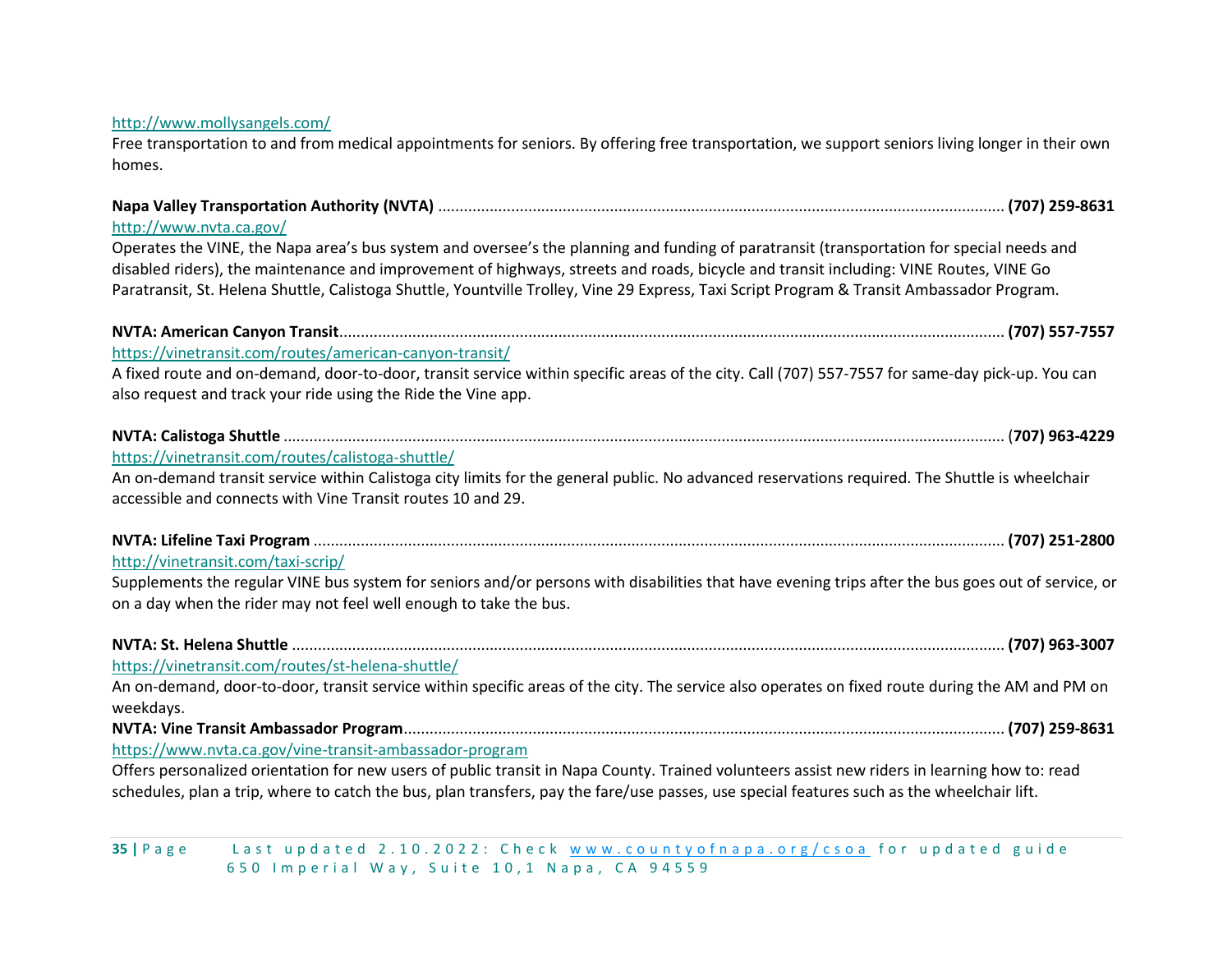#### <http://www.mollysangels.com/>

Free transportation to and from medical appointments for seniors. By offering free transportation, we support seniors living longer in their own homes.

| http://www.nvta.ca.gov/                                                                                                                                                                                                 |  |
|-------------------------------------------------------------------------------------------------------------------------------------------------------------------------------------------------------------------------|--|
| Operates the VINE, the Napa area's bus system and oversee's the planning and funding of paratransit (transportation for special needs and                                                                               |  |
| disabled riders), the maintenance and improvement of highways, streets and roads, bicycle and transit including: VINE Routes, VINE Go                                                                                   |  |
| Paratransit, St. Helena Shuttle, Calistoga Shuttle, Yountville Trolley, Vine 29 Express, Taxi Script Program & Transit Ambassador Program.                                                                              |  |
|                                                                                                                                                                                                                         |  |
| https://vinetransit.com/routes/american-canyon-transit/                                                                                                                                                                 |  |
| A fixed route and on-demand, door-to-door, transit service within specific areas of the city. Call (707) 557-7557 for same-day pick-up. You can                                                                         |  |
| also request and track your ride using the Ride the Vine app.                                                                                                                                                           |  |
|                                                                                                                                                                                                                         |  |
| https://vinetransit.com/routes/calistoga-shuttle/                                                                                                                                                                       |  |
| An on-demand transit service within Calistoga city limits for the general public. No advanced reservations required. The Shuttle is wheelchair<br>accessible and connects with Vine Transit routes 10 and 29.           |  |
|                                                                                                                                                                                                                         |  |
|                                                                                                                                                                                                                         |  |
| http://vinetransit.com/taxi-scrip/                                                                                                                                                                                      |  |
| Supplements the regular VINE bus system for seniors and/or persons with disabilities that have evening trips after the bus goes out of service, or<br>on a day when the rider may not feel well enough to take the bus. |  |
|                                                                                                                                                                                                                         |  |
| https://vinetransit.com/routes/st-helena-shuttle/                                                                                                                                                                       |  |
| An on-demand, door-to-door, transit service within specific areas of the city. The service also operates on fixed route during the AM and PM on                                                                         |  |
| weekdays.                                                                                                                                                                                                               |  |
|                                                                                                                                                                                                                         |  |
| https://www.nvta.ca.gov/vine-transit-ambassador-program                                                                                                                                                                 |  |
| Offers personalized orientation for new users of public transit in Napa County. Trained volunteers assist new riders in learning how to: read                                                                           |  |
| schedules, plan a trip, where to catch the bus, plan transfers, pay the fare/use passes, use special features such as the wheelchair lift.                                                                              |  |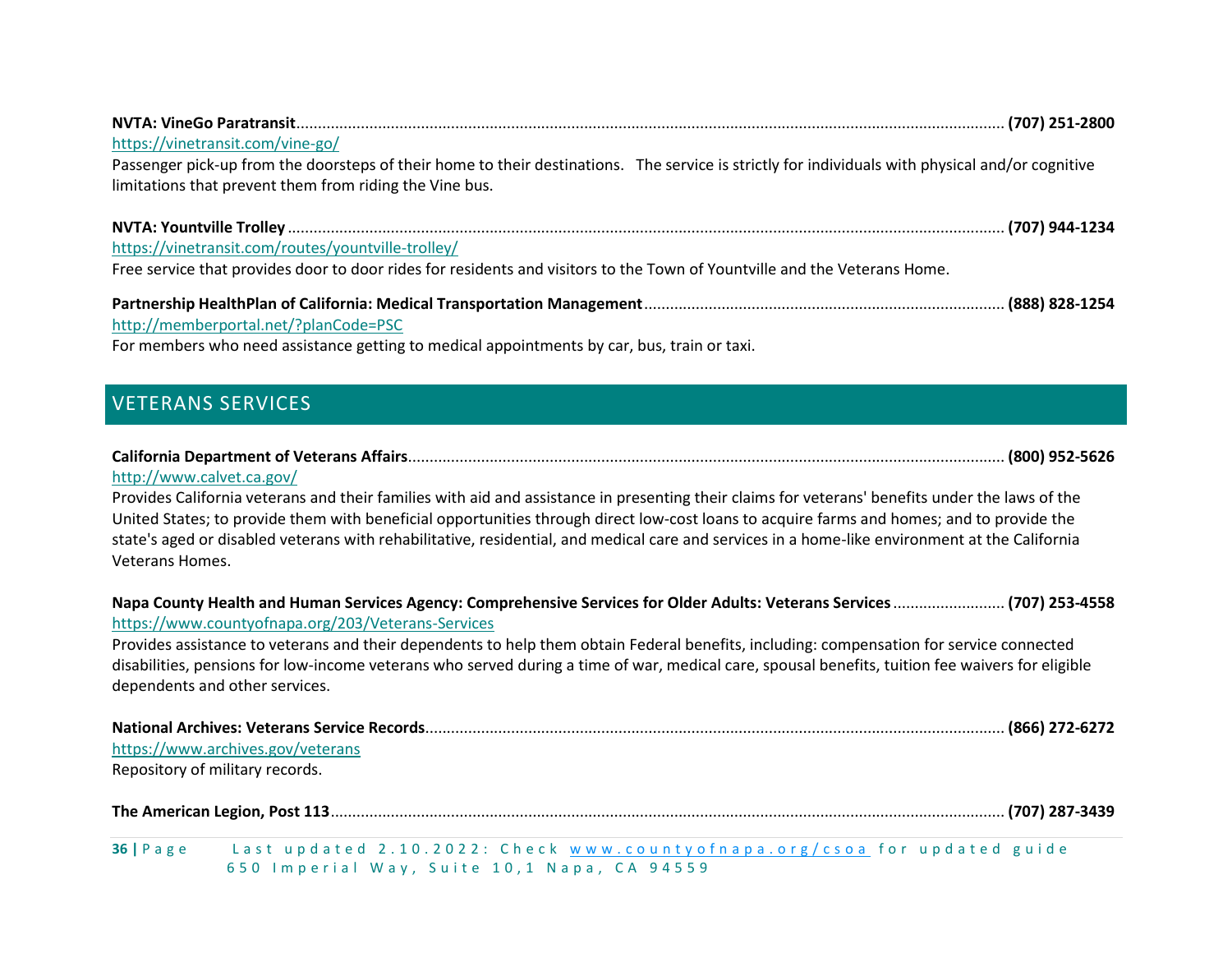| https://vinetransit.com/vine-go/                                                                                                                 |  |
|--------------------------------------------------------------------------------------------------------------------------------------------------|--|
| Passenger pick-up from the doorsteps of their home to their destinations. The service is strictly for individuals with physical and/or cognitive |  |
| limitations that prevent them from riding the Vine bus.                                                                                          |  |
|                                                                                                                                                  |  |
| https://vinetransit.com/routes/yountville-trolley/                                                                                               |  |
| Free service that provides door to door rides for residents and visitors to the Town of Yountville and the Veterans Home.                        |  |
|                                                                                                                                                  |  |
| http://memberportal.net/?planCode=PSC                                                                                                            |  |

For members who need assistance getting to medical appointments by car, bus, train or taxi.

# <span id="page-35-0"></span>VETERANS SERVICES

|  | $\sim$ . The contract of the contract of the contract of the contract of the contract of the contract of the contract of the contract of the contract of the contract of the contract of the contract of the contract of the co |  |
|--|---------------------------------------------------------------------------------------------------------------------------------------------------------------------------------------------------------------------------------|--|

#### <http://www.calvet.ca.gov/>

Provides California veterans and their families with aid and assistance in presenting their claims for veterans' benefits under the laws of the United States; to provide them with beneficial opportunities through direct low-cost loans to acquire farms and homes; and to provide the state's aged or disabled veterans with rehabilitative, residential, and medical care and services in a home-like environment at the California Veterans Homes.

| Napa County Health and Human Services Agency: Comprehensive Services for Older Adults: Veterans Services  (707) 253-4558<br>https://www.countyofnapa.org/203/Veterans-Services                                                                                                                                                 |
|--------------------------------------------------------------------------------------------------------------------------------------------------------------------------------------------------------------------------------------------------------------------------------------------------------------------------------|
| Provides assistance to veterans and their dependents to help them obtain Federal benefits, including: compensation for service connected<br>disabilities, pensions for low-income veterans who served during a time of war, medical care, spousal benefits, tuition fee waivers for eligible<br>dependents and other services. |
| https://www.archives.gov/veterans<br>Repository of military records.                                                                                                                                                                                                                                                           |
|                                                                                                                                                                                                                                                                                                                                |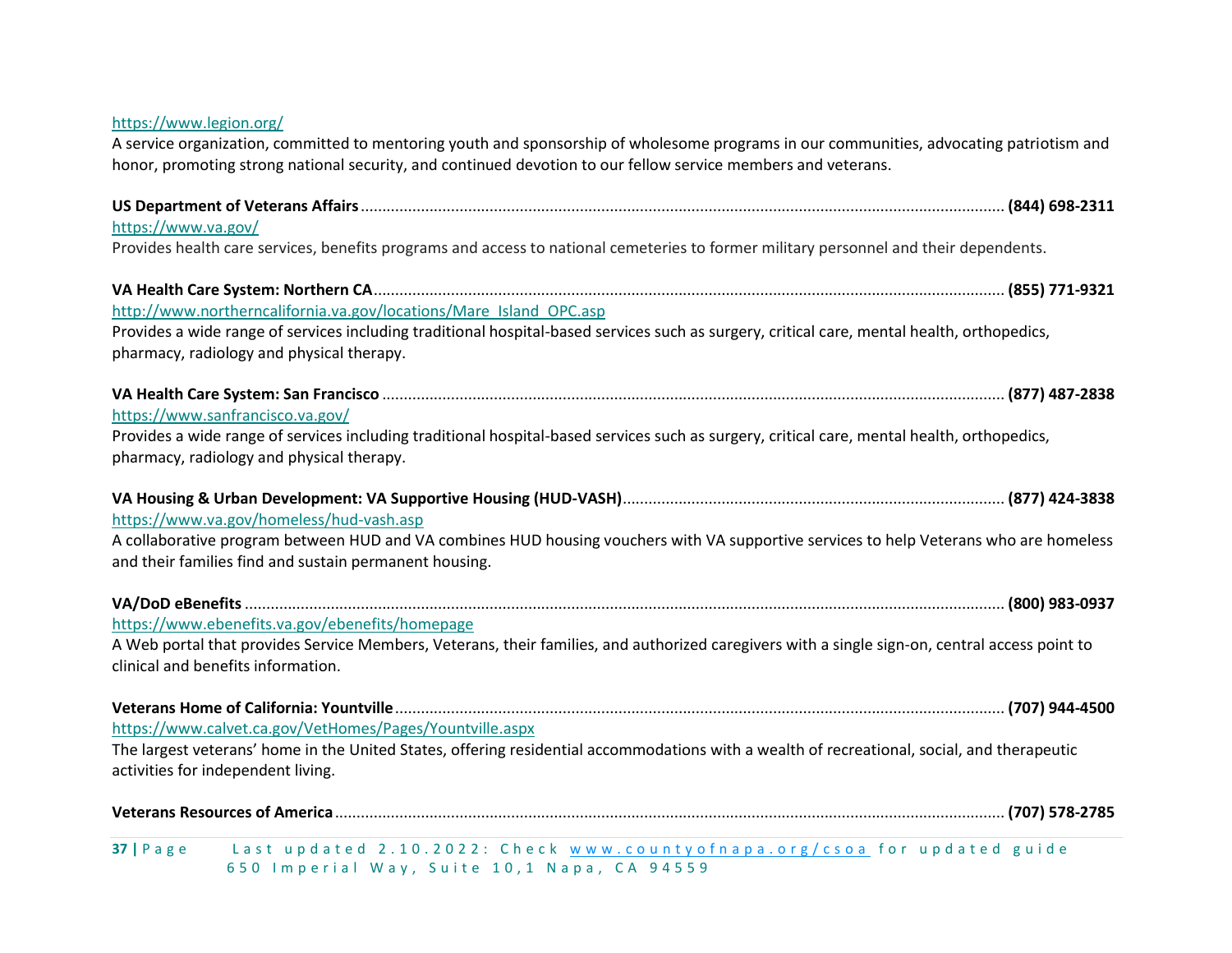| https://www.legion.org/<br>A service organization, committed to mentoring youth and sponsorship of wholesome programs in our communities, advocating patriotism and<br>honor, promoting strong national security, and continued devotion to our fellow service members and veterans. |
|--------------------------------------------------------------------------------------------------------------------------------------------------------------------------------------------------------------------------------------------------------------------------------------|
| https://www.va.gov/                                                                                                                                                                                                                                                                  |
| Provides health care services, benefits programs and access to national cemeteries to former military personnel and their dependents.                                                                                                                                                |
| http://www.northerncalifornia.va.gov/locations/Mare Island OPC.asp<br>Provides a wide range of services including traditional hospital-based services such as surgery, critical care, mental health, orthopedics,<br>pharmacy, radiology and physical therapy.                       |
| https://www.sanfrancisco.va.gov/<br>Provides a wide range of services including traditional hospital-based services such as surgery, critical care, mental health, orthopedics,<br>pharmacy, radiology and physical therapy.                                                         |
|                                                                                                                                                                                                                                                                                      |
| https://www.va.gov/homeless/hud-vash.asp<br>A collaborative program between HUD and VA combines HUD housing vouchers with VA supportive services to help Veterans who are homeless<br>and their families find and sustain permanent housing.                                         |
|                                                                                                                                                                                                                                                                                      |
| https://www.ebenefits.va.gov/ebenefits/homepage<br>A Web portal that provides Service Members, Veterans, their families, and authorized caregivers with a single sign-on, central access point to<br>clinical and benefits information.                                              |
| https://www.calvet.ca.gov/VetHomes/Pages/Yountville.aspx                                                                                                                                                                                                                             |
| The largest veterans' home in the United States, offering residential accommodations with a wealth of recreational, social, and therapeutic<br>activities for independent living.                                                                                                    |
|                                                                                                                                                                                                                                                                                      |

6 5 0 I m p e r i a l W a y , S u i t e 1 0 , 1 N a p a , C A 9 4 5 5 9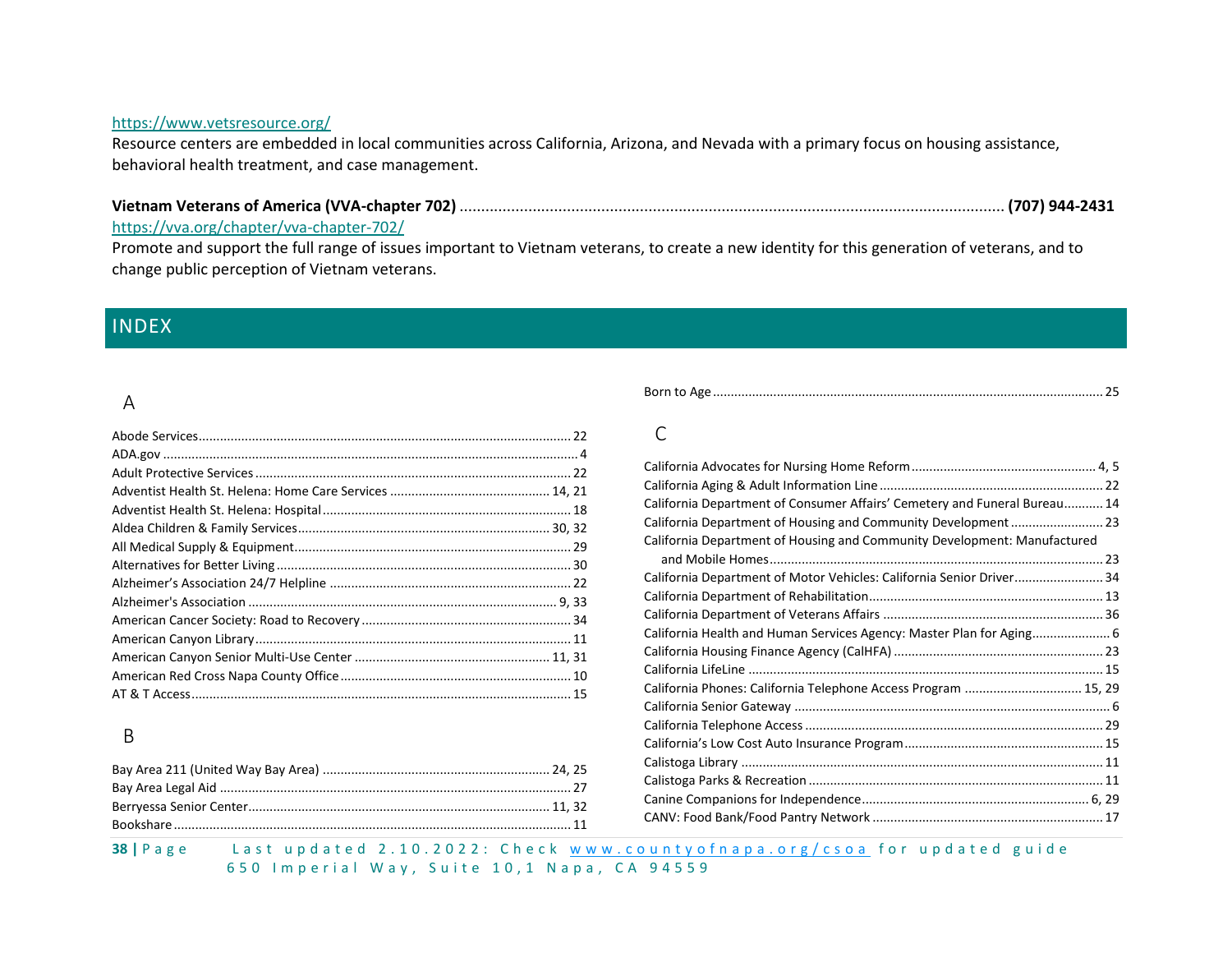#### <https://www.vetsresource.org/>

Resource centers are embedded in local communities across California, Arizona, and Nevada with a primary focus on housing assistance, behavioral health treatment, and case management.

#### **Vietnam Veterans of America (VVA-chapter 702)** ............................................................................................................................... **(707) 944-2431**

#### <https://vva.org/chapter/vva-chapter-702/>

Promote and support the full range of issues important to Vietnam veterans, to create a new identity for this generation of veterans, and to change public perception of Vietnam veterans.

### <span id="page-37-0"></span>INDEX

#### A

#### B

|--|

#### $\mathcal{C}$

| California Department of Consumer Affairs' Cemetery and Funeral Bureau 14 |  |
|---------------------------------------------------------------------------|--|
|                                                                           |  |
| California Department of Housing and Community Development: Manufactured  |  |
|                                                                           |  |
| California Department of Motor Vehicles: California Senior Driver 34      |  |
|                                                                           |  |
|                                                                           |  |
| California Health and Human Services Agency: Master Plan for Aging 6      |  |
|                                                                           |  |
|                                                                           |  |
| California Phones: California Telephone Access Program  15, 29            |  |
|                                                                           |  |
|                                                                           |  |
|                                                                           |  |
|                                                                           |  |
|                                                                           |  |
|                                                                           |  |
|                                                                           |  |
|                                                                           |  |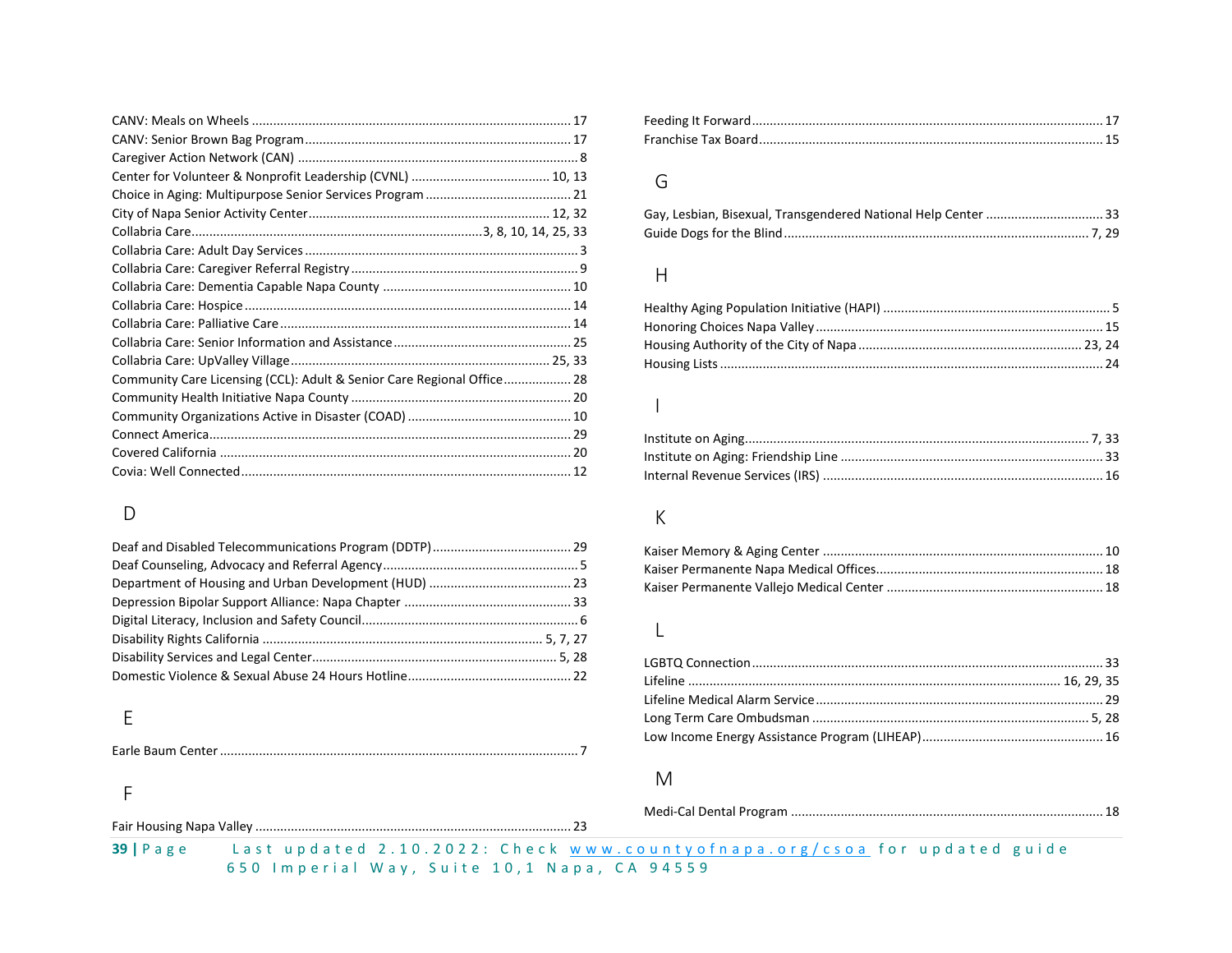| Community Care Licensing (CCL): Adult & Senior Care Regional Office 28 |  |
|------------------------------------------------------------------------|--|
|                                                                        |  |
|                                                                        |  |
|                                                                        |  |
|                                                                        |  |
|                                                                        |  |

### D

### E

Earle Baum Center..................................................................................................... 7

#### F

### G

#### H

#### I

# K

#### L

#### M

| $39$   Page | Last updated 2.10.2022: Check www.countyofnapa.org/csoa for updated guide |  |  |  |  |  |  |  |  |  |
|-------------|---------------------------------------------------------------------------|--|--|--|--|--|--|--|--|--|

6 5 0 I m p e r i a l W a y , S u i t e 1 0 , 1 N a p a , C A 9 4 5 5 9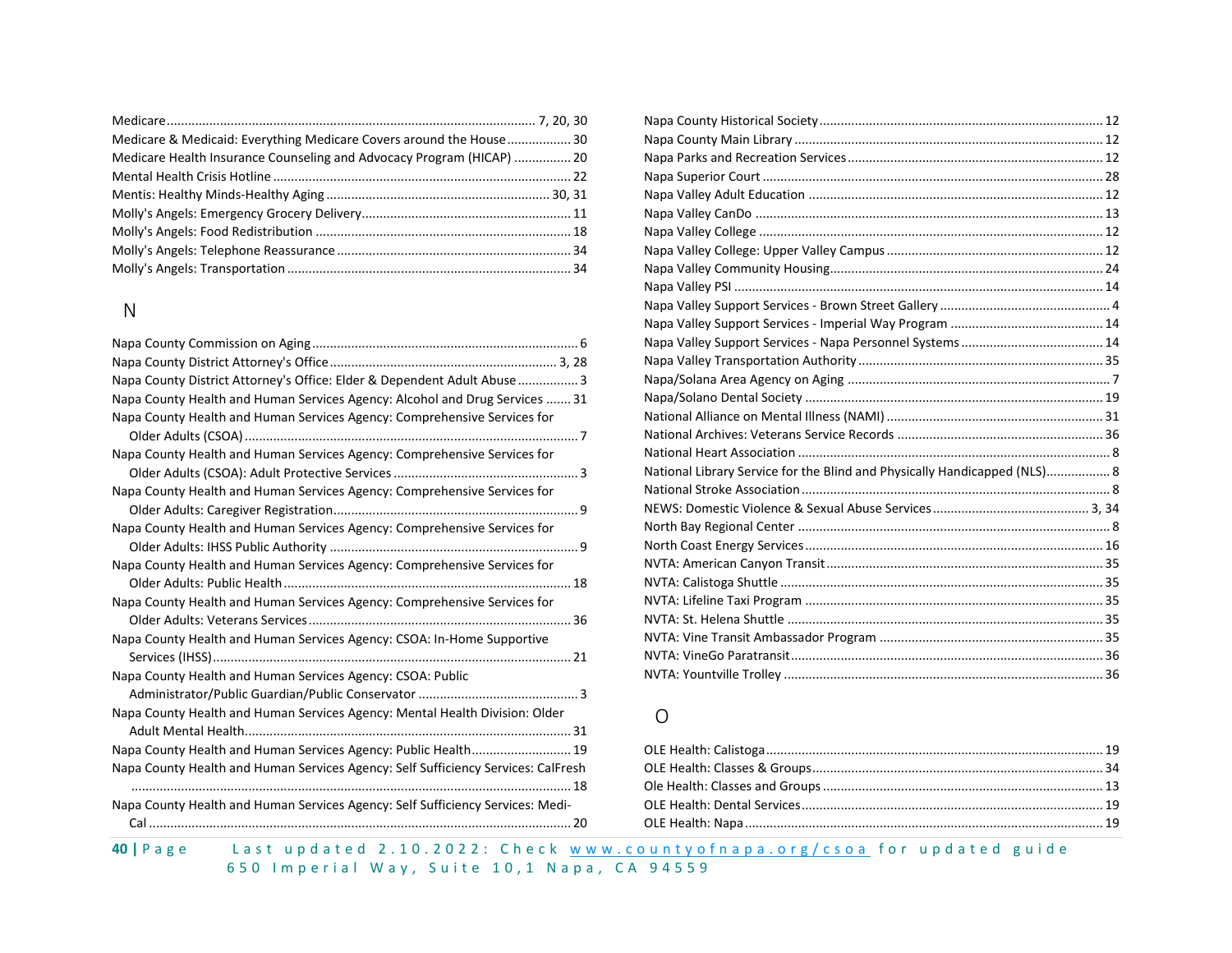| Medicare & Medicaid: Everything Medicare Covers around the House 30   |  |
|-----------------------------------------------------------------------|--|
| Medicare Health Insurance Counseling and Advocacy Program (HICAP)  20 |  |
|                                                                       |  |
|                                                                       |  |
|                                                                       |  |
|                                                                       |  |
|                                                                       |  |
|                                                                       |  |

# N

| Napa County District Attorney's Office: Elder & Dependent Adult Abuse  3          |
|-----------------------------------------------------------------------------------|
| Napa County Health and Human Services Agency: Alcohol and Drug Services  31       |
| Napa County Health and Human Services Agency: Comprehensive Services for          |
|                                                                                   |
| Napa County Health and Human Services Agency: Comprehensive Services for          |
|                                                                                   |
| Napa County Health and Human Services Agency: Comprehensive Services for          |
|                                                                                   |
| Napa County Health and Human Services Agency: Comprehensive Services for          |
|                                                                                   |
| Napa County Health and Human Services Agency: Comprehensive Services for          |
|                                                                                   |
| Napa County Health and Human Services Agency: Comprehensive Services for          |
|                                                                                   |
| Napa County Health and Human Services Agency: CSOA: In-Home Supportive            |
|                                                                                   |
| Napa County Health and Human Services Agency: CSOA: Public                        |
|                                                                                   |
| Napa County Health and Human Services Agency: Mental Health Division: Older       |
|                                                                                   |
| Napa County Health and Human Services Agency: Public Health 19                    |
| Napa County Health and Human Services Agency: Self Sufficiency Services: CalFresh |
|                                                                                   |
| Napa County Health and Human Services Agency: Self Sufficiency Services: Medi-    |
|                                                                                   |
|                                                                                   |

| National Library Service for the Blind and Physically Handicapped (NLS) 8 |
|---------------------------------------------------------------------------|
|                                                                           |
|                                                                           |
|                                                                           |
|                                                                           |
|                                                                           |
|                                                                           |
|                                                                           |
|                                                                           |
|                                                                           |
|                                                                           |
|                                                                           |
|                                                                           |

#### O

40 | P a g e Last up d a t e d 2.10.2022: Check www.county of n a p a . or g / c s o a for up d a t e d guide 6 5 0 Imperial Way, Suite 10, 1 Napa, CA 94559